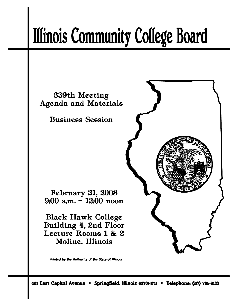# **Illinois Community College Board**

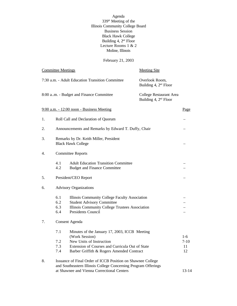Agenda 339<sup>th</sup> Meeting of the Illinois Community College Board Business Session Black Hawk College Building 4, 2<sup>nd</sup> Floor Lecture Rooms 1 & 2 Moline, Illinois

#### February 21, 2003

|    | <b>Committee Meetings</b> |                                                                                                                                                                                             | <b>Meeting Site</b>                                 |                               |  |
|----|---------------------------|---------------------------------------------------------------------------------------------------------------------------------------------------------------------------------------------|-----------------------------------------------------|-------------------------------|--|
|    |                           | 7:30 a.m. - Adult Education Transition Committee                                                                                                                                            | Overlook Room,<br>Building 4, 2 <sup>nd</sup> Floor |                               |  |
|    |                           | 8:00 a.m. - Budget and Finance Committee                                                                                                                                                    | College Restaurant Area<br>Building 4, $2nd$ Floor  |                               |  |
|    |                           | 9:00 a.m. - 12:00 noon - Business Meeting                                                                                                                                                   |                                                     | Page                          |  |
| 1. |                           | Roll Call and Declaration of Quorum                                                                                                                                                         |                                                     |                               |  |
| 2. |                           | Announcements and Remarks by Edward T. Duffy, Chair                                                                                                                                         |                                                     |                               |  |
| 3. |                           | Remarks by Dr. Keith Miller, President<br><b>Black Hawk College</b>                                                                                                                         |                                                     |                               |  |
| 4. |                           | <b>Committee Reports</b>                                                                                                                                                                    |                                                     |                               |  |
|    | 4.1<br>4.2                | <b>Adult Education Transition Committee</b><br><b>Budget and Finance Committee</b>                                                                                                          |                                                     |                               |  |
| 5. |                           | President/CEO Report                                                                                                                                                                        |                                                     |                               |  |
| 6. |                           | <b>Advisory Organizations</b>                                                                                                                                                               |                                                     |                               |  |
|    | 6.1<br>6.2<br>6.3<br>6.4  | Illinois Community College Faculty Association<br><b>Student Advisory Committee</b><br>Illinois Community College Trustees Association<br>Presidents Council                                |                                                     |                               |  |
| 7. |                           | Consent Agenda                                                                                                                                                                              |                                                     |                               |  |
|    | 7.1<br>7.2<br>7.3<br>7.4  | Minutes of the January 17, 2003, ICCB Meeting<br>(Work Session)<br>New Units of Instruction<br>Extension of Courses and Curricula Out of State<br>Barber Griffith & Rogers Amended Contract |                                                     | $1-6$<br>$7 - 10$<br>11<br>12 |  |
| 8. |                           | Issuance of Final Order of ICCB Position on Shawnee College<br>and Southeastern Illinois College Concerning Program Offerings<br>at Shawnee and Vienna Correctional Centers                 |                                                     | $13 - 14$                     |  |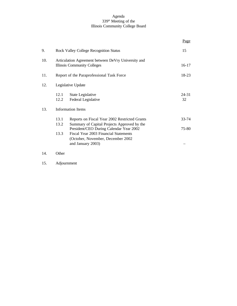#### Agenda 339<sup>th</sup> Meeting of the Illinois Community College Board

|     |              |                                                                                                                                         | Page           |
|-----|--------------|-----------------------------------------------------------------------------------------------------------------------------------------|----------------|
| 9.  |              | <b>Rock Valley College Recognition Status</b>                                                                                           | 15             |
| 10. |              | Articulation Agreement between DeVry University and<br><b>Illinois Community Colleges</b>                                               | $16 - 17$      |
| 11. |              | Report of the Paraprofessional Task Force                                                                                               | 18-23          |
| 12. |              | Legislative Update                                                                                                                      |                |
|     | 12.1<br>12.2 | State Legislative<br>Federal Legislative                                                                                                | 24-31<br>32    |
| 13. |              | <b>Information Items</b>                                                                                                                |                |
|     | 13.1<br>13.2 | Reports on Fiscal Year 2002 Restricted Grants<br>Summary of Capital Projects Approved by the<br>President/CEO During Calendar Year 2002 | 33-74<br>75-80 |
|     | 13.3         | Fiscal Year 2003 Financial Statements<br>(October, November, December 2002)<br>and January 2003)                                        |                |
| 14. | Other        |                                                                                                                                         |                |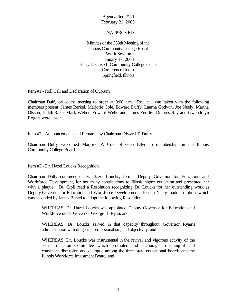#### UNAPPROVED

Minutes of the 338th Meeting of the Illinois Community College Board Work Session January 17, 2003 Harry L. Crisp II Community College Center Conference Room Springfield, Illinois

#### Item #1 - Roll Call and Declaration of Quorum

Chairman Duffy called the meeting to order at 9:00 a.m. Roll call was taken with the following members present: James Berkel, Marjorie Cole, Edward Duffy, Laurna Godwin, Joe Neely, Martha Olsson, Judith Rake, Mark Weber, Edward Welk, and James Zerkle. Delores Ray and Gwendolyn Rogers were absent.

#### Item #2 - Announcements and Remarks by Chairman Edward T. Duffy

Chairman Duffy welcomed Marjorie P. Cole of Glen Ellyn to membership on the Illinois Community College Board.

#### Item #3 - Dr. Hazel Loucks Recognition

Chairman Duffy commended Dr. Hazel Loucks, former Deputy Governor for Education and Workforce Development, for her many contributions to Illinois higher education and presented her with a plaque. Dr. Cipfl read a Resolution recognizing Dr. Loucks for her outstanding work as Deputy Governor for Education and Workforce Development. Joseph Neely made a motion, which was seconded by James Berkel to adopt the following Resolution:

WHEREAS, Dr. Hazel Loucks was appointed Deputy Governor for Education and Workforce under Governor George H. Ryan; and

WHEREAS, Dr. Loucks served in that capacity throughout Governor Ryan's administration with diligence, professionalism, and objectivity; and

WHEREAS, Dr. Loucks was instrumental in the revival and vigorous activity of the Joint Education Committee which promoted and encouraged meaningful and consistent discussion and dialogue among the three state educational boards and the Illinois Workforce Investment Board; and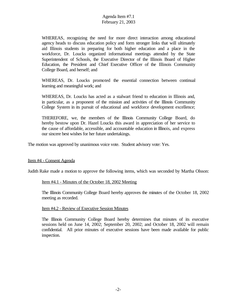WHEREAS, recognizing the need for more direct interaction among educational agency heads to discuss education policy and form stronger links that will ultimately aid Illinois students in preparing for both higher education and a place in the workforce, Dr. Loucks organized informational meetings attended by the State Superintendent of Schools, the Executive Director of the Illinois Board of Higher Education, the President and Chief Executive Officer of the Illinois Community College Board, and herself; and

WHEREAS, Dr. Loucks promoted the essential connection between continual learning and meaningful work; and

WHEREAS, Dr. Loucks has acted as a stalwart friend to education in Illinois and, in particular, as a proponent of the mission and activities of the Illinois Community College System in its pursuit of educational and workforce development excellence;

THEREFORE, we, the members of the Illinois Community College Board, do hereby bestow upon Dr. Hazel Loucks this award in appreciation of her service to the cause of affordable, accessible, and accountable education in Illinois, and express our sincere best wishes for her future undertakings.

The motion was approved by unanimous voice vote. Student advisory vote: Yes.

Item #4 - Consent Agenda

Judith Rake made a motion to approve the following items, which was seconded by Martha Olsson:

#### Item #4.1 - Minutes of the October 18, 2002 Meeting

The Illinois Community College Board hereby approves the minutes of the October 18, 2002 meeting as recorded.

#### Item #4.2 - Review of Executive Session Minutes

The Illinois Community College Board hereby determines that minutes of its executive sessions held on June 14, 2002; September 20, 2002; and October 18, 2002 will remain confidential. All prior minutes of executive sessions have been made available for public inspection.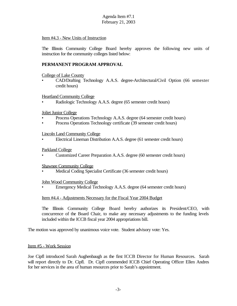#### Item #4.3 - New Units of Instruction

The Illinois Community College Board hereby approves the following new units of instruction for the community colleges listed below:

#### **PERMANENT PROGRAM APPROVAL**

College of Lake County

• CAD/Drafting Technology A.A.S. degree-Architectural/Civil Option (66 semester credit hours)

#### Heartland Community College

• Radiologic Technology A.A.S. degree (65 semester credit hours)

Joliet Junior College

- Process Operations Technology A.A.S. degree (64 semester credit hours)
- Process Operations Technology certificate (39 semester credit hours)

Lincoln Land Community College

• Electrical Lineman Distribution A.A.S. degree (61 semester credit hours)

#### Parkland College

• Customized Career Preparation A.A.S. degree (60 semester credit hours)

Shawnee Community College

• Medical Coding Specialist Certificate (36 semester credit hours)

#### John Wood Community College

• Emergency Medical Technology A.A.S. degree (64 semester credit hours)

#### Item #4.4 - Adjustments Necessary for the Fiscal Year 2004 Budget

The Illinois Community College Board hereby authorizes its President/CEO, with concurrence of the Board Chair, to make any necessary adjustments to the funding levels included within the ICCB fiscal year 2004 appropriations bill.

The motion was approved by unanimous voice vote. Student advisory vote: Yes.

#### Item #5 - Work Session

Joe Cipfl introduced Sarah Aughenbaugh as the first ICCB Director for Human Resources. Sarah will report directly to Dr. Cipfl. Dr. Cipfl commended ICCB Chief Operating Officer Ellen Andres for her services in the area of human resources prior to Sarah's appointment.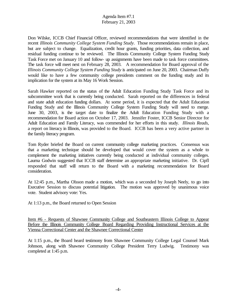Don Wilske, ICCB Chief Financial Officer, reviewed recommendations that were identified in the recent *Illinois Community College System Funding Study.* Those recommendations remain in place, but are subject to change. Equalization, credit hour grants, funding priorities, data collection, and residual funding continue to be reviewed. The Illinois Community College System Funding Study Task Force met on January 10 and follow- up assignments have been made to task force committees. The task force will meet next on February 28, 2003. A recommendation for Board approval of the *Illinois Community College System Funding Study* is anticipated on June 20, 2003. Chairman Duffy would like to have a few community college presidents comment on the funding study and its implication for the system at its May 16 Work Session.

Sarah Hawker reported on the status of the Adult Education Funding Study Task Force and its subcommittee work that is currently being conducted. Sarah reported on the differences in federal and state adult education funding dollars. At some period, it is expected that the Adult Education Funding Study and the Illinois Community College System Funding Study will need to merge. June 30, 2003, is the target date to finalize the Adult Education Funding Study with a recommendation for Board action on October 17, 2003. Jennifer Foster, ICCB Senior Director for Adult Education and Family Literacy, was commended for her efforts in this study. *Illinois Reads*, a report on literacy in Illinois, was provided to the Board. ICCB has been a very active partner in the family literacy program.

Tom Ryder briefed the Board on current community college marketing practices. Consensus was that a marketing technique should be developed that would cover the system as a whole to complement the marketing initiatives currently being conducted at individual community colleges. Laurna Godwin suggested that ICCB staff determine an appropriate marketing initiative. Dr. Cipfl responded that staff will return to the Board with a marketing recommendation for Board consideration.

At 12:45 p.m., Martha Olsson made a motion, which was a seconded by Joseph Neely, to go into Executive Session to discuss potential litigation. The motion was approved by unanimous voice vote. Student advisory vote: Yes.

At 1:13 p.m., the Board returned to Open Session

Item #6 - Requests of Shawnee Community College and Southeastern Illinois College to Appear Before the Illinois Community College Board Regarding Providing Instructional Services at the Vienna Correctional Center and the Shawnee Correctional Center

At 1:15 p.m., the Board heard testimony from Shawnee Community College Legal Counsel Mark Johnson, along with Shawnee Community College President Terry Ludwig. Testimony was completed at 1:45 p.m.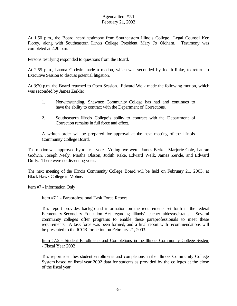At 1:50 p.m., the Board heard testimony from Southeastern Illinois College Legal Counsel Ken Florey, along with Southeastern Illinois College President Mary Jo Oldham. Testimony was completed at 2:20 p.m.

Persons testifying responded to questions from the Board.

At 2:55 p.m., Laurna Godwin made a motion, which was seconded by Judith Rake, to return to Executive Session to discuss potential litigation.

At 3:20 p.m. the Board returned to Open Session. Edward Welk made the following motion, which was seconded by James Zerkle:

- 1. Notwithstanding, Shawnee Community College has had and continues to have the ability to contract with the Department of Corrections.
- 2. Southeastern Illinois College's ability to contract with the Department of Correction remains in full force and effect.

A written order will be prepared for approval at the next meeting of the Illinois Community College Board.

The motion was approved by roll call vote. Voting aye were: James Berkel, Marjorie Cole, Lauran Godwin, Joseph Neely, Martha Olsson, Judith Rake, Edward Welk, James Zerkle, and Edward Duffy. There were no dissenting votes.

The next meeting of the Illinois Community College Board will be held on February 21, 2003, at Black Hawk College in Moline.

Item #7 - Information Only

#### Item #7.1 - Paraprofessional Task Force Report

This report provides background information on the requirements set forth in the federal Elementary-Secondary Education Act regarding Illinois' teacher aides/assistants. Several community colleges offer programs to enable these paraprofessionals to meet these requirements. A task force was been formed, and a final report with recommendations will be presented to the ICCB for action on February 21, 2003.

#### Item #7.2 - Student Enrollments and Completions in the Illinois Community College System - Fiscal Year 2002

This report identifies student enrollments and completions in the Illinois Community College System based on fiscal year 2002 data for students as provided by the colleges at the close of the fiscal year.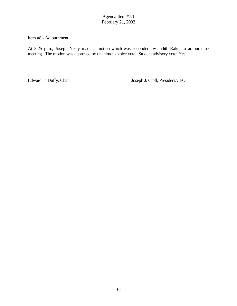Item #8 - Adjournment

At 3:25 p.m., Joseph Neely made a motion which was seconded by Judith Rake, to adjourn the meeting. The motion was approved by unanimous voice vote. Student advisory vote: Yes.

 $\overline{a}$ 

Edward T. Duffy, Chair Joseph J. Cipfl, President/CEO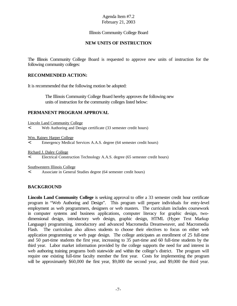#### Illinois Community College Board

#### **NEW UNITS OF INSTRUCTION**

The Illinois Community College Board is requested to approve new units of instruction for the following community colleges:

#### **RECOMMENDED ACTION:**

It is recommended that the following motion be adopted:

 The Illinois Community College Board hereby approves the following new units of instruction for the community colleges listed below:

#### **PERMANENT PROGRAM APPROVAL**

Lincoln Land Community College

< Web Authoring and Design certificate (33 semester credit hours)

Wm. Rainey Harper College

< Emergency Medical Services A.A.S. degree (64 semester credit hours)

Richard J. Daley College

< Electrical Construction Technology A.A.S. degree (65 semester credit hours)

Southwestern Illinois College

< Associate in General Studies degree (64 semester credit hours)

#### **BACKGROUND**

**Lincoln Land Community College** is seeking approval to offer a 33 semester credit hour certificate program in "Web Authoring and Design". This program will prepare individuals for entry-level employment as web programmers, designers or web masters. The curriculum includes coursework in computer systems and business applications, computer literacy for graphic design, twodimensional design, introductory web design, graphic design, HTML (Hyper Text Markup Language) programming, introductory and advanced Macromedia Dreamweaver, and Macromedia Flash. The curriculum also allows students to choose their electives to focus on either web application programming or web page design. The college anticipates an enrollment of 25 full-time and 50 part-time students the first year, increasing to 35 part-time and 60 full-time students by the third year. Labor market information provided by the college supports the need for and interest in web authoring training programs both statewide and within the college's district. The program will require one existing full-time faculty member the first year. Costs for implementing the program will be approximately \$60,000 the first year, \$9,000 the second year, and \$9,000 the third year.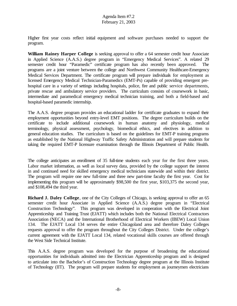Higher first year costs reflect initial equipment and software purchases needed to support the program.

**William Rainey Harper College** is seeking approval to offer a 64 semester credit hour Associate in Applied Science (A.A.S.) degree program in "Emergency Medical Services". A related 29 semester credit hour "Paramedic" certificate program has also recently been approved. The programs are a joint venture between the college and Northwest Community Healthcare-Emergency Medical Services Department. The certificate program will prepare individuals for employment as licensed Emergency Medical Technician-Paramedics (EMT-Ps) capable of providing emergent prehospital care in a variety of settings including hospitals, police, fire and public service departments, private rescue and ambulatory service providers. The curriculum consists of coursework in basic, intermediate and paramedical emergency medical technician training, and both a field-based and hospital-based paramedic internship.

The A.A.S. degree program provides an educational ladder for certificate graduates to expand their employment opportunities beyond entry-level EMT positions. The degree curriculum builds on the certificate to include additional coursework in human anatomy and physiology, medical terminology, physical assessment, psychology, biomedical ethics, and electives in addition to general education studies. The curriculum is based on the guidelines for EMT-P training programs as established by the National Highway Traffic Safety Administration and will prepare students for taking the required EMT-P licensure examination through the Illinois Department of Public Health.

The college anticipates an enrollment of 35 full-time students each year for the first three years. Labor market information, as well as local survey data, provided by the college support the interest in and continued need for skilled emergency medical technicians statewide and within their district. The program will require one new full-time and three new part-time faculty the first year. Cost for implementing this program will be approximately \$98,500 the first year, \$103,375 the second year, and \$108,494 the third year.

**Richard J. Daley College**, one of the City Colleges of Chicago, is seeking approval to offer an 65 semester credit hour Associate in Applied Science (A.A.S.) degree program in "Electrical Construction Technology". This program was developed in cooperation with the Electrical Joint Apprenticeship and Training Trust (EJATT) which includes both the National Electrical Contractors Association (NECA) and the International Brotherhood of Electrical Workers (IBEW) Local Union 134. The EJATT Local 134 serves the entire Chicagoland area and therefore Daley Colleges requests approval to offer the program throughout the City Colleges District. Under the college's current agreement with the EJATT Local 134, related vocational skills courses are offered through the West Side Technical Institute.

This A.A.S. degree program was developed for the purpose of broadening the educational opportunities for individuals admitted into the Electrician Apprenticeship program and is designed to articulate into the Bachelor's of Construction Technology degree program at the Illinois Institute of Technology (IIT). The program will prepare students for employment as journeymen electricians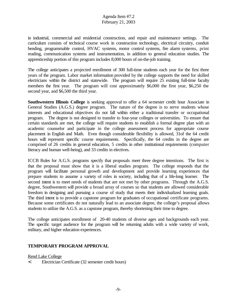in industrial, commercial and residential construction, and repair and maintenance settings. The curriculum consists of technical course work in construction technology, electrical circuitry, conduit bending, programmable control, HVAC systems, motor control systems, fire alarm systems, print reading, communication systems and instrumentation, in addition to general education studies. The apprenticeship portion of this program includes 8,000 hours of on-the-job training.

The college anticipates a projected enrollment of 300 full-time students each year for the first three years of the program. Labor market information provided by the college supports the need for skilled electricians within the district and statewide. The program will require 25 existing full-time faculty members the first year. The program will cost approximately \$6,000 the first year, \$6,250 the second year, and \$6,500 the third year.

**Southwestern Illinois College** is seeking approval to offer a 64 semester credit hour Associate in General Studies (A.G.S.) degree program. The nature of the degree is to serve students whose interests and educational objectives do not fall within either a traditional transfer or occupational program. The degree is not designed to transfer to four-year colleges or universities. To ensure that certain standards are met, the college will require students to establish a formal degree plan with an academic counselor and participate in the college assessment process for appropriate course placement in English and Math. Even though considerable flexibility is allowed, 31of the 64 credit hours will represent specific course requirements. Specifically, the 64 credits in the degree are comprised of 26 credits in general education, 5 credits in other institutional requirements (computer literacy and human well-being), and 33 credits in electives.

ICCB Rules for A.G.S. programs specify that proposals meet three degree intentions. The first is that the proposal must show that it is a liberal studies program. The college responds that the program will facilitate personal growth and development and provide learning experiences that prepare students to assume a variety of roles in society, including that of a life-long learner. The second intent is to meet needs of students that are not met by other programs. Through the A.G.S. degree, Southwestern will provide a broad array of courses so that students are allowed considerable freedom in designing and pursuing a course of study that meets their individualized learning goals. The third intent is to provide a capstone program for graduates of occupational certificate programs. Because some certificates do not naturally lead to an associate degree, the college's proposal allows students to utilize the A.G.S. as a capstone program, thereby shortening their time to degree.

The college anticipates enrollment of 20-40 students of diverse ages and backgrounds each year. The specific target audience for the program will be returning adults with a wide variety of work, military, and higher education experiences.

#### **TEMPORARY PROGRAM APPROVAL**

Rend Lake College

< Electrician Certificate (32 semester credit hours)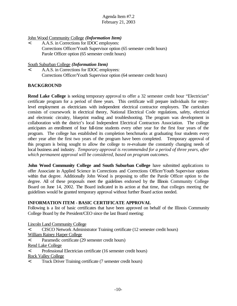#### John Wood Community College *(Information Item)*

< A.A.S. in Corrections for IDOC employees: Corrections Officer/Youth Supervisor option (65 semester credit hours) Parole Officer option (65 semester credit hours)

#### South Suburban College *(Information Item)*

< A.A.S. in Corrections for IDOC employees: Corrections Officer/Youth Supervisor option (64 semester credit hours)

#### **BACKGROUND**

**Rend Lake College** is seeking temporary approval to offer a 32 semester credit hour "Electrician" certificate program for a period of three years. This certificate will prepare individuals for entrylevel employment as electricians with independent electrical contractor employers. The curriculum consists of coursework in electrical theory, National Electrical Code regulations, safety, electrical and electronic circuitry, blueprint reading and troubleshooting. The program was development in collaboration with the district's local Independent Electrical Contractors Association. The college anticipates an enrollment of four full-time students every other year for the first four years of the program. The college has established its completion benchmarks at graduating four students every other year after the first two years of the program have been completed. Temporary approval of this program is being sought to allow the college to re-evaluate the constantly changing needs of local business and industry. *Temporary approval is recommended for a period of three years, after which permanent approval will be considered, based on program outcomes.*

**John Wood Community College and South Suburban College** have submitted applications to offer Associate in Applied Science in Corrections and Corrections Officer/Youth Supervisor options within that degree. Additionally John Wood is proposing to offer the Parole Officer option to the degree. All of these proposals meet the guidelines endorsed by the Illinois Community College Board on June 14, 2002. The Board indicated in its action at that time, that colleges meeting the guidelines would be granted temporary approval without further Board action needed.

#### **INFORMATION ITEM - BASIC CERTIFICATE APPROVAL**

Following is a list of basic certificates that have been approved on behalf of the Illinois Community College Board by the President/CEO since the last Board meeting:

Lincoln Land Community College

- < CISCO Network Administrator Training certificate (12 semester credit hours)
- William Rainey Harper College
- < Paramedic certificate (29 semester credit hours)
- Rend Lake College
- < Professional Electrician certificate (16 semester credit hours)
- Rock Valley College
- < Truck Driver Training certificate (7 semester credit hours)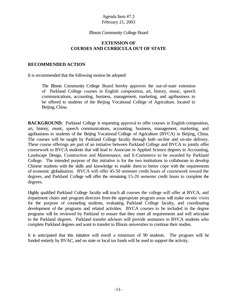#### Illinois Community College Board

#### **EXTENSION OF COURSES AND CURRICULA OUT OF STATE**

#### **RECOMMENDED ACTION**

It is recommended that the following motion be adopted:

The Illinois Community College Board hereby approves the out-of-state extension of Parkland College courses in English composition, art, history, music, speech communications, accounting, business, management, marketing, and agribusiness to be offered to students of the Beijing Vocational College of Agriculture, located in Beijing, China.

**BACKGROUND.** Parkland College is requesting approval to offer courses in English composition, art, history, music, speech communications, accounting, business, management, marketing, and agribusiness to students of the Beijing Vocational College of Agriculture (BVCA) in Beijing, China. The courses will be taught by Parkland College faculty through both on-line and on-site delivery. These course offerings are part of an initiative between Parkland College and BVCA to jointly offer coursework to BVCA students that will lead to Associate in Applied Science degrees in Accounting, Landscape Design, Construction and Maintenance, and E-Commerce to be awarded by Parkland College. The intended purpose of this initiative is for the two institutions to collaborate to develop Chinese students with the skills and knowledge to enable them to better cope with the requirements of economic globalization. BVCA will offer 45-50 semester credit hours of coursework toward the degrees, and Parkland College will offer the remaining 15-20 semester credit hours to complete the degrees.

Highly qualified Parkland College faculty will teach all courses the college will offer at BVCA, and department chairs and program directors from the appropriate program areas will make on-site visits for the purpose of counseling students, evaluating Parkland College faculty, and coordinating development of the programs and related activities. BVCA courses to be included in the degree programs will be reviewed by Parkland to ensure that they meet all requirements and will articulate to the Parkland degrees. Parkland transfer advisors will provide assistance to BVCA students who complete Parkland degrees and want to transfer to Illinois universities to continue their studies.

It is anticipated that this initiative will enroll a minimum of 90 students. The program will be funded entirely by BVAC, and no state or local tax funds will be used to support the activity.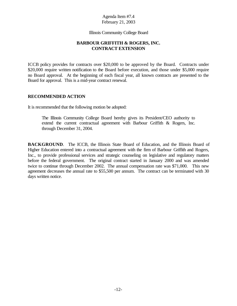Illinois Community College Board

#### **BARBOUR GRIFFITH & ROGERS, INC. CONTRACT EXTENSION**

ICCB policy provides for contracts over \$20,000 to be approved by the Board. Contracts under \$20,000 require written notification to the Board before execution, and those under \$5,000 require no Board approval. At the beginning of each fiscal year, all known contracts are presented to the Board for approval. This is a mid-year contract renewal.

#### **RECOMMENDED ACTION**

It is recommended that the following motion be adopted:

The Illinois Community College Board hereby gives its President/CEO authority to extend the current contractual agreement with Barbour Griffith & Rogers, Inc. through December 31, 2004.

BACKGROUND. The ICCB, the Illinois State Board of Education, and the Illinois Board of Higher Education entered into a contractual agreement with the firm of Barbour Griffith and Rogers, Inc., to provide professional services and strategic counseling on legislative and regulatory matters before the federal government. The original contract started in January 2000 and was amended twice to continue through December 2002. The annual compensation rate was \$71,000. This new agreement decreases the annual rate to \$55,500 per annum. The contract can be terminated with 30 days written notice.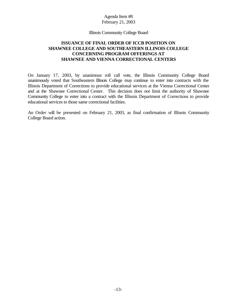#### Illinois Community College Board

#### **ISSUANCE OF FINAL ORDER OF ICCB POSITION ON SHAWNEE COLLEGE AND SOUTHEASTERN ILLINOIS COLLEGE CONCERNING PROGRAM OFFERINGS AT SHAWNEE AND VIENNA CORRECTIONAL CENTERS**

On January 17, 2003, by unanimous roll call vote, the Illinois Community College Board unanimously voted that Southeastern Illinois College may continue to enter into contracts with the Illinois Department of Corrections to provide educational services at the Vienna Correctional Center and at the Shawnee Correctional Center. This decision does not limit the authority of Shawnee Community College to enter into a contract with the Illinois Department of Corrections to provide educational services to those same correctional facilities.

An Order will be presented on February 21, 2003, as final confirmation of Illinois Community College Board action.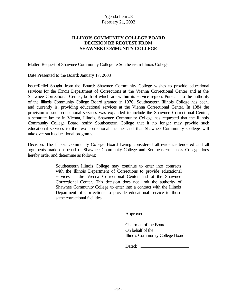#### **ILLINOIS COMMUNITY COLLEGE BOARD DECISION RE REQUEST FROM SHAWNEE COMMUNITY COLLEGE**

Matter: Request of Shawnee Community College re Southeastern Illinois College

Date Presented to the Board: January 17, 2003

Issue/Relief Sought from the Board: Shawnee Community College wishes to provide educational services for the Illinois Department of Corrections at the Vienna Correctional Center and at the Shawnee Correctional Center, both of which are within its service region. Pursuant to the authority of the Illinois Community College Board granted in 1976, Southeastern Illinois College has been, and currently is, providing educational services at the Vienna Correctional Center. In 1984 the provision of such educational services was expanded to include the Shawnee Correctional Center, a separate facility in Vienna, Illinois. Shawnee Community College has requested that the Illinois Community College Board notify Southeastern College that it no longer may provide such educational services to the two correctional facilities and that Shawnee Community College will take over such educational programs.

Decision: The Illinois Community College Board having considered all evidence tendered and all arguments made on behalf of Shawnee Community College and Southeastern Illinois College does hereby order and determine as follows:

> Southeastern Illinois College may continue to enter into contracts with the Illinois Department of Corrections to provide educational services at the Vienna Correctional Center and at the Shawnee Correctional Center. This decision does not limit the authority of Shawnee Community College to enter into a contract with the Illinois Department of Corrections to provide educational service to those same correctional facilities.

> > Approved:

Chairman of the Board On behalf of the Illinois Community College Board

Dated: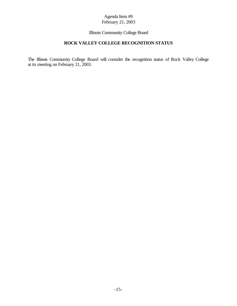#### Illinois Community College Board

#### **ROCK VALLEY COLLEGE RECOGNITION STATUS**

The Illinois Community College Board will consider the recognition status of Rock Valley College at its meeting on February 21, 2003.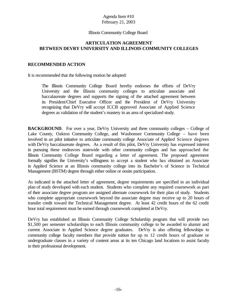#### Illinois Community College Board

#### **ARTICULATION AGREEMENT BETWEEN DEVRY UNIVERSITY AND ILLINOIS COMMUNITY COLLEGES**

#### **RECOMMENDED ACTION**

It is recommended that the following motion be adopted:

The Illinois Community College Board hereby endorses the efforts of DeVry University and the Illinois community colleges to articulate associate and baccalaureate degrees and supports the signing of the attached agreement between its President/Chief Executive Officer and the President of DeVry University recognizing that DeVry will accept ICCB approved Associate of Applied Science degrees as validation of the student's mastery in an area of specialized study.

**BACKGROUND**. For over a year, DeVry University and three community colleges – College of Lake County, Oakton Community College, and Waubonsee Community College – have been involved in an pilot initiative to articulate community college Associate of Applied Science degrees with DeVry baccalaureate degrees. As a result of this pilot, DeVry University has expressed interest in pursuing these endeavors statewide with other community colleges and has approached the Illinois Community College Board regarding a letter of agreement. The proposed agreement formally signifies the University's willingness to accept a student who has obtained an Associate in Applied Science at an Illinois community college into its Bachelor's of Science in Technical Management (BSTM) degree through either online or onsite participation.

As indicated in the attached letter of agreement, degree requirements are specified in an individual plan of study developed with each student. Students who complete any required coursework as part of their associate degree program are assigned alternate coursework for their plan of study. Students who complete appropriate coursework beyond the associate degree may receive up to 20 hours of transfer credit toward the Technical Management degree. At least 42 credit hours of the 62 credit hour total requirement must be earned through coursework completed at DeVry.

DeVry has established an Illinois Community College Scholarship program that will provide two \$1,500 per semester scholarships to each Illinois community college to be awarded to alumni and current Associate in Applied Science degree graduates. DeVry is also offering fellowships to community college faculty members that provide tuition for up to 12 credit hours of graduate or undergraduate classes in a variety of content areas at its ten Chicago land locations to assist faculty in their professional development.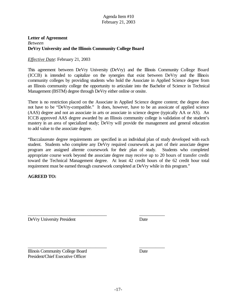#### **Letter of Agreement** *Between* **DeVry University and the Illinois Community College Board**

#### *Effective Date*: February 21, 2003

This agreement between DeVry University (DeVry) and the Illinois Community College Board (ICCB) is intended to capitalize on the synergies that exist between DeVry and the Illinois community colleges by providing students who hold the Associate in Applied Science degree from an Illinois community college the opportunity to articulate into the Bachelor of Science in Technical Management (BSTM) degree through DeVry either online or onsite.

There is no restriction placed on the Associate in Applied Science degree content; the degree does not have to be "DeVry-compatible." It does, however, have to be an assoicate of applied science (AAS) degree and not an associate in arts or associate in science degree (typically AA or AS). An ICCB approved AAS degree awarded by an Illinois community college is validation of the student's mastery in an area of specialized study; DeVry will provide the management and general education to add value to the associate degree.

"Baccalaureate degree requirements are specified in an individual plan of study developed with each student. Students who complete any DeVry required coursework as part of their associate degree program are assigned alternte coursework for their plan of study. Students who completed appropriate course work beyond the associate degree may receive up to 20 hours of transfer credit toward the Technical Management degree. At least 42 credit hours of the 62 credit hour total requirement must be earned through coursework completed at DeVry while in this program."

\_\_\_\_\_\_\_\_\_\_\_\_\_\_\_\_\_\_\_\_\_\_\_\_\_\_\_\_\_\_\_\_\_\_ \_\_\_\_\_\_\_\_\_\_\_

#### **AGREED TO:**

DeVry University President Date

Illinois Community College Board Date President/Chief Executive Officer

\_\_\_\_\_\_\_\_\_\_\_\_\_\_\_\_\_\_\_\_\_\_\_\_\_\_\_\_\_\_\_\_\_\_ \_\_\_\_\_\_\_\_\_\_\_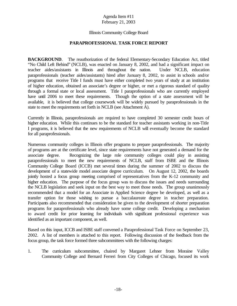#### Illinois Community College Board

#### **PARAPROFESSIONAL TASK FORCE REPORT**

**BACKGROUND.** The reauthorization of the federal Elementary-Secondary Education Act, titled "No Child Left Behind" (NCLB), was enacted on January 8, 2002, and had a significant impact on teacher aides/assistants in Illinois and throughout the nation. Under NCLB, education paraprofessionals (teacher aides/assistants) hired after January 8, 2002, to assist in schools and/or programs that receive Title I funds must have either completed two years of study at an institution of higher education, obtained an associate's degree or higher, or met a rigorous standard of quality through a formal state or local assessment. Title I paraprofessionals who are currently employed have until 2006 to meet these requirements. Though the option of a state assessment will be available, it is believed that college coursework will be widely pursued by paraprofessionals in the state to meet the requirements set forth in NCLB (see Attachment A).

Currently in Illinois, paraprofessionals are required to have completed 30 semester credit hours of higher education. While this continues to be the standard for teacher assistants working in non-Title I programs, it is believed that the new requirements of NCLB will eventually become the standard for all paraprofessionals.

Numerous community colleges in Illinois offer programs to prepare paraprofessionals. The majority of programs are at the certificate level, since state requirements have not generated a demand for the associate degree. Recognizing the large role community colleges could play in assisting paraprofessionals to meet the new requirements of NCLB, staff from ISBE and the Illinois Community College Board (ICCB) met several times during the summer of 2002 to discuss the development of a statewide model associate degree curriculum. On August 12, 2002, the boards jointly hosted a focus group meeting comprised of representatives from the K-12 community and higher education. The purpose of the focus group was to discuss the issues and needs surrounding the NCLB legislation and seek input on the best way to meet those needs. The group unanimously recommended that a model for an Associate in Applied Science degree be developed, as well as a transfer option for those wishing to pursue a baccalaureate degree in teacher preparation. Participants also recommended that consideration be given to the development of shorter preparation programs for paraprofessionals who already have some college credit. Developing a mechanism to award credit for prior learning for individuals with significant professional experience was identified as an important component, as well.

Based on this input, ICCB and ISBE staff convened a Paraprofessional Task Force on September 23, 2002. A list of members is attached to this report. Following discussion of the feedback from the focus group, the task force formed three subcommittees with the following charges:

1. The curriculum subcommittee, chaired by Margaret Lehner from Moraine Valley Community College and Bernard Ferreri from City Colleges of Chicago, focused its work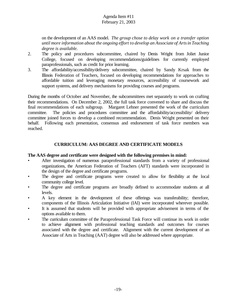on the development of an AAS model. *The group chose to delay work on a transfer option until more information about the ongoing effort to develop an Associate of Artsin Teaching degree is available.*

- 2. The policy and procedures subcommittee, chaired by Denis Wright from Joliet Junior College, focused on developing recommendations/guidelines for currently employed paraprofessionals, such as credit for prior learning.
- 3. The affordability/accessibility/delivery subcommittee, chaired by Sandy Krsak from the Illinois Federation of Teachers, focused on developing recommendations for approaches to affordable tuition and leveraging monetary resources, accessibility of coursework and support systems, and delivery mechanisms for providing courses and programs.

During the months of October and November, the subcommittees met separately to work on crafting their recommendations. On December 2, 2002, the full task force convened to share and discuss the final recommendations of each subgroup. Margaret Lehner presented the work of the curriculum committee. The policies and procedures committee and the affordability/accessibility/ delivery committee joined forces to develop a combined recommendation. Denis Wright presented on their behalf. Following each presentation, consensus and endorsement of task force members was reached.

#### **CURRICULUM: AAS DEGREE AND CERTIFICATE MODELS**

#### **The AAS degree and certificate were designed with the following premises in mind:**

- After investigation of numerous paraprofessional standards from a variety of professional organizations, the American Federation of Teachers (AFT) standards were incorporated in the design of the degree and certificate programs.
- The degree and certificate programs were created to allow for flexibility at the local community college level.
- The degree and certificate programs are broadly defined to accommodate students at all levels.
- A key element in the development of these offerings was transferability; therefore, components of the Illinois Articulation Initiative (IAI) were incorporated wherever possible.
- It is assumed that students will be provided with appropriate advisement in terms of the options available to them.
- The curriculum committee of the Paraprofessional Task Force will continue its work in order to achieve alignment with professional teaching standards and outcomes for courses associated with the degree and certificate. Alignment with the current development of an Associate of Arts in Teaching (AAT) degree will also be addressed where appropriate.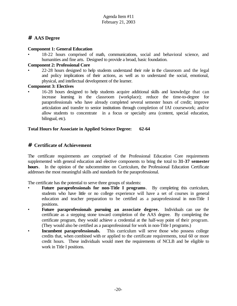## **# AAS Degree**

#### **Component 1: General Education**

• 18-22 hours comprised of math, communications, social and behavioral science, and humanities and fine arts. Designed to provide a broad, basic foundation.

#### **Component 2: Professional Core**

• 22-28 hours designed to help students understand their role in the classroom and the legal and policy implications of their actions, as well as to understand the social, emotional, physical, and intellectual development of the learner.

#### **Component 3: Electives**

• 16-28 hours designed to help students acquire additional skills and knowledge that can increase learning in the classroom (workplace); reduce the time-to-degree for paraprofessionals who have already completed several semester hours of credit; improve articulation and transfer to senior institutions through completion of IAI coursework; and/or allow students to concentrate in a focus or specialty area (content, special education, bilingual, etc).

#### **Total Hours for Associate in Applied Science Degree: 62-64**

#### **# Certificate of Achievement**

The certificate requirements are comprised of the Professional Education Core requirements supplemented with general education and elective components to bring the total to **31-37 semester hours**. In the opinion of the subcommittee on Curriculum, the Professional Education Certificate addresses the most meaningful skills and standards for the paraprofessional.

The certificate has the potential to serve three groups of students:

- **Future paraprofessionals for non-Title I programs**. By completing this curriculum, students who have little or no college experience will have a set of courses in general education and teacher preparation to be certified as a paraprofessional in non-Title I positions.
- **Future paraprofessionals pursuing an associate degree.** Individuals can use the certificate as a stepping stone toward completion of the AAS degree. By completing the certificate program, they would achieve a credential at the half-way point of their program. (They would also be certified as a paraprofessional for work in non-Title I programs.)
- **Incumbent paraprofessionals.** This curriculum will serve those who possess college credits that, when combined with or applied to the certificate requirements, total 60 or more credit hours. These individuals would meet the requirements of NCLB and be eligible to work in Title I positions.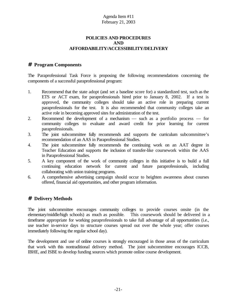#### **POLICIES AND PROCEDURES AND AFFORDABILITY/ACCESSIBILITY/DELIVERY**

#### **# Program Components**

The Paraprofessional Task Force is proposing the following recommendations concerning the components of a successful paraprofessional program:

- 1. Recommend that the state adopt (and set a baseline score for) a standardized test, such as the ETS or ACT exam, for paraprofessionals hired prior to January 8, 2002. If a test is approved, the community colleges should take an active role in preparing current paraprofessionals for the test. It is also recommended that community colleges take an active role in becoming approved sites for administration of the test.
- 2. Recommend the development of a mechanism such as a portfolio process for community colleges to evaluate and award credit for prior learning for current paraprofessionals.
- 3. The joint subcommittee fully recommends and supports the curriculum subcommittee's recommendation of an AAS in Paraprofessional Studies.
- 4. The joint subcommittee fully recommends the continuing work on an AAT degree in Teacher Education and supports the inclusion of transfer-like coursework within the AAS in Paraprofessional Studies.
- 5. A key component of the work of community colleges in this initiative is to build a full continuing education network for current and future paraprofessionals, including collaborating with union training programs.
- 6. A comprehensive advertising campaign should occur to heighten awareness about courses offered, financial aid opportunities, and other program information.

## **# Delivery Methods**

The joint subcommittee encourages community colleges to provide courses onsite (in the elementary/middle/high schools) as much as possible. This coursework should be delivered in a timeframe appropriate for working paraprofessionals to take full advantage of all opportunities (i.e., use teacher in-service days to structure courses spread out over the whole year; offer courses immediately following the regular school day).

The development and use of online courses is strongly encouraged in those areas of the curriculum that work with this nontraditional delivery method. The joint subcommittee encourages ICCB, IBHE, and ISBE to develop funding sources which promote online course development.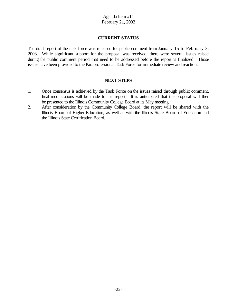#### **CURRENT STATUS**

The draft report of the task force was released for public comment from January 15 to February 3, 2003. While significant support for the proposal was received, there were several issues raised during the public comment period that need to be addressed before the report is finalized. Those issues have been provided to the Paraprofessional Task Force for immediate review and reaction.

#### **NEXT STEPS**

- 1. Once consensus is achieved by the Task Force on the issues raised through public comment, final modifications will be made to the report. It is anticipated that the proposal will then be presented to the Illinois Community College Board at its May meeting.
- 2. After consideration by the Community College Board, the report will be shared with the Illinois Board of Higher Education, as well as with the Illinois State Board of Education and the Illinois State Certification Board.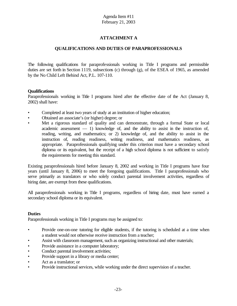#### **ATTACHMENT A**

#### **QUALIFICATIONS AND DUTIES OF PARAPROFESSIONALS**

The following qualifications for paraprofessionals working in Title I programs and permissible duties are set forth in Section 1119, subsections (c) through (g), of the ESEA of 1965, as amended by the No Child Left Behind Act, P.L. 107-110.

#### **Qualifications**

Paraprofessionals working in Title I programs hired after the effective date of the Act (January 8, 2002) shall have:

- Completed at least two years of study at an institution of higher education;
- Obtained an associate's (or higher) degree; or
- Met a rigorous standard of quality and can demonstrate, through a formal State or local academic assessment  $-1$ ) knowledge of, and the ability to assist in the instruction of, reading, writing, and mathematics; or 2) knowledge of, and the ability to assist in the instruction of, reading readiness, writing readiness, and mathematics readiness, as appropriate. Paraprofessionals qualifying under this criterion must have a secondary school diploma or its equivalent, but the receipt of a high school diploma is not sufficient to satisfy the requirements for meeting this standard.

Existing paraprofessionals hired before January 8, 2002 and working in Title I programs have four years (until January 8, 2006) to meet the foregoing qualifications. Title I paraprofessionals who serve primarily as translators or who solely conduct parental involvement activities, regardless of hiring date, are exempt from these qualifications.

All paraprofessionals working in Title I programs, regardless of hiring date, must have earned a secondary school diploma or its equivalent.

#### **Duties**

Paraprofessionals working in Title I programs may be assigned to:

- Provide one-on-one tutoring for eligible students, if the tutoring is scheduled at a time when a student would not otherwise receive instruction from a teacher;
- Assist with classroom management, such as organizing instructional and other materials;
- Provide assistance in a computer laboratory;
- Conduct parental involvement activities;
- Provide support in a library or media center;
- Act as a translator; or
- Provide instructional services, while working under the direct supervision of a teacher.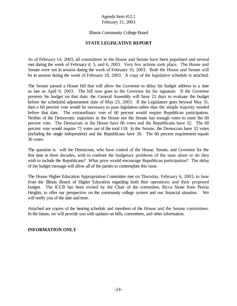#### Illinois Community College Board

#### **STATE LEGISLATIVE REPORT**

As of February 14, 2003, all committees in the House and Senate have been populated and several met during the week of February 4, 5, and 6, 2003. Very few actions took place. The House and Senate were not in session during the week of February 10, 2003. Both the House and Senate will be in session during the week of February 18, 2003. A copy of the legislative schedule is attached.

The Senate passed a House bill that will allow the Governor to delay his budget address to a date as late as April 9, 2003. The bill now goes to the Governor for his signature. If the Governor presents his budget on that date, the General Assembly will have 23 days to evaluate the budget before the scheduled adjournment date of May 23, 2003. If the Legislature goes beyond May 31, then a 60 percent vote would be necessary to pass legislation rather than the simple majority needed before that date. The extraordinary vote of 60 percent would require Republican participation. Neither of the Democratic majorities in the House nor the Senate has enough votes to meet the 60 percent vote. The Democrats in the House have 66 votes and the Republicans have 52. The 60 percent vote would require 72 votes out of the total 118. In the Senate, the Democrats have 33 votes (including the single independent) and the Republicans have 26. The 60 percent requirement equals 36 votes.

The question is: will the Democrats, who have control of the House, Senate, and Governor for the first time in three decades, wish to confront the budgetary problems of the state alone or do they wish to include the Republicans? What price would encourage Republican participation? The delay of the budget message will allow all of the parties to contemplate this issue.

The House Higher Education Appropriation Committee met on Thursday, February 6, 2003, to hear from the Illinois Board of Higher Education regarding both their operations and their proposed budget. The ICCB has been invited by the Chair of the committee, Ricca Slone from Peoria Heights, to offer our perspective on the community college system and our financial situation. We will notify you of the date and time.

Attached are copies of the hearing schedule and members of the House and the Senate committees. In the future, we will provide you with updates on bills, committees, and other information.

#### **INFORMATION ONLY**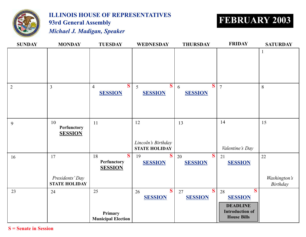

# **ILLINOIS HOUSE OF REPRESENTATIVES 93rd General Assembly FEBRUARY 2003**

*Michael J. Madigan, Speaker*

| <b>SUNDAY</b>  | <b>MONDAY</b>                                 | <b>TUESDAY</b>                                   | <b>WEDNESDAY</b>                                 | <b>THURSDAY</b>           | <b>FRIDAY</b>                                                                                                      | <b>SATURDAY</b>                       |
|----------------|-----------------------------------------------|--------------------------------------------------|--------------------------------------------------|---------------------------|--------------------------------------------------------------------------------------------------------------------|---------------------------------------|
|                |                                               |                                                  |                                                  |                           |                                                                                                                    | $\mathbf{1}$                          |
| $\overline{2}$ | $\overline{3}$                                | $\mathbf{S}$<br>$\overline{4}$<br><b>SESSION</b> | $\overline{\mathbf{S}}$<br>5<br><b>SESSION</b>   | S<br>6<br><b>SESSION</b>  | $\overline{7}$                                                                                                     | 8                                     |
| 9              | 10<br>Perfunctory<br><b>SESSION</b>           | 11                                               | 12<br>Lincoln's Birthday<br><b>STATE HOLIDAY</b> | 13                        | 14<br>Valentine's Day                                                                                              | 15                                    |
| 16             | 17<br>Presidents' Day<br><b>STATE HOLIDAY</b> | S<br>18<br><b>Perfunctory</b><br><b>SESSION</b>  | S.<br>19<br><b>SESSION</b>                       | S<br>20<br><b>SESSION</b> | 21<br><b>SESSION</b>                                                                                               | 22<br>Washington's<br><b>Birthday</b> |
| 23             | 24                                            | 25<br>Primary<br><b>Municipal Election</b>       | $\overline{\mathbf{S}}$<br>26<br><b>SESSION</b>  | S<br>27<br><b>SESSION</b> | $\overline{\mathbf{S}}$<br>28<br><b>SESSION</b><br><b>DEADLINE</b><br><b>Introduction of</b><br><b>House Bills</b> |                                       |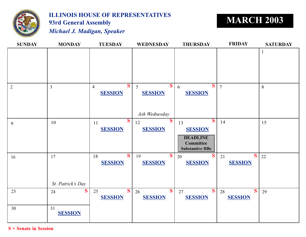

# **ILLINOIS HOUSE OF REPRESENTATIVES 93rd General Assembly MARCH 2003**

*Michael J. Madigan, Speaker*

| <b>SUNDAY</b>  | <b>MONDAY</b>           | <b>TUESDAY</b>                                              | <b>WEDNESDAY</b>                                      | <b>THURSDAY</b>                                                                                                  | <b>FRIDAY</b>                        | <b>SATURDAY</b> |
|----------------|-------------------------|-------------------------------------------------------------|-------------------------------------------------------|------------------------------------------------------------------------------------------------------------------|--------------------------------------|-----------------|
|                |                         |                                                             |                                                       |                                                                                                                  |                                      | $\mathbf{1}$    |
| $\overline{2}$ | $\overline{3}$          | $\overline{\mathbf{S}}$<br>$\overline{4}$<br><b>SESSION</b> | $\mathcal{S}$<br>5<br><b>SESSION</b><br>Ash Wednesday | S<br>6<br><b>SESSION</b>                                                                                         | $\overline{7}$                       | 8               |
| 9              | 10                      | $\overline{\mathbf{S}}$<br>11<br><b>SESSION</b>             | $\mathbf{S}$<br>12<br><b>SESSION</b>                  | $\overline{\mathbf{S}}$<br>13<br><b>SESSION</b><br><b>DEADLINE</b><br><b>Committee</b><br><b>Substantive HBs</b> | 14                                   | 15              |
| 16             | 17<br>St. Patrick's Day | $\overline{\mathbf{S}}$<br>18<br><b>SESSION</b>             | S<br>19<br><b>SESSION</b>                             | S<br>20<br><b>SESSION</b>                                                                                        | S<br>21<br><b>SESSION</b>            | 22              |
| 23             | S<br>24                 | $\mathbf{S}$<br>25<br><b>SESSION</b>                        | $\overline{\mathbf{S}}$<br>26<br><b>SESSION</b>       | S<br>27<br><b>SESSION</b>                                                                                        | $\mathbf{S}$<br>28<br><b>SESSION</b> | 29              |
| 30             | 31<br><b>SESSION</b>    |                                                             |                                                       |                                                                                                                  |                                      |                 |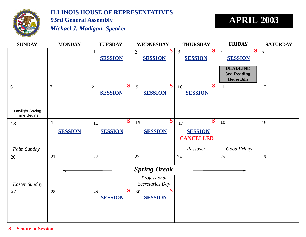

# **ILLINOIS HOUSE OF REPRESENTATIVES 93rd General Assembly** *Michael J. Madigan, Speaker*

# **APRIL 2003**

| <b>SUNDAY</b>      | <b>MONDAY</b>  | <b>TUESDAY</b>    | <b>WEDNESDAY</b>             | <b>THURSDAY</b>                | <b>FRIDAY</b>       | <b>SATURDAY</b> |
|--------------------|----------------|-------------------|------------------------------|--------------------------------|---------------------|-----------------|
|                    |                | $\mathbf{1}$      | S<br>$\overline{2}$          | $\mathbf{S}$<br>$\overline{3}$ | S<br>$\overline{4}$ | 5               |
|                    |                | <b>SESSION</b>    | <b>SESSION</b>               | <b>SESSION</b>                 | <b>SESSION</b>      |                 |
|                    |                |                   |                              |                                | <b>DEADLINE</b>     |                 |
|                    |                |                   |                              |                                | 3rd Reading         |                 |
|                    |                |                   |                              |                                | <b>House Bills</b>  |                 |
| 6                  | $\overline{7}$ | $\mathbf S$<br>8  | $\overline{\mathbf{S}}$<br>9 | $\mathbf{S}$<br>10             | 11                  | 12              |
|                    |                | <b>SESSION</b>    | <b>SESSION</b>               | <b>SESSION</b>                 |                     |                 |
|                    |                |                   |                              |                                |                     |                 |
| Daylight Saving    |                |                   |                              |                                |                     |                 |
| <b>Time Begins</b> |                |                   |                              |                                |                     |                 |
| 13                 | 14             | $\mathbf S$<br>15 | S<br>16                      | $\mathbf{S}$<br>17             | 18                  | 19              |
|                    | <b>SESSION</b> | <b>SESSION</b>    | <b>SESSION</b>               | <b>SESSION</b>                 |                     |                 |
|                    |                |                   |                              | <b>CANCELLED</b>               |                     |                 |
|                    |                |                   |                              |                                |                     |                 |
| Palm Sunday        |                |                   |                              | Passover                       | Good Friday         |                 |
| 20                 | 21             | 22                | 23                           | 24                             | 25                  | 26              |
|                    |                |                   |                              |                                |                     |                 |
|                    |                |                   | <b>Spring Break</b>          |                                |                     |                 |
|                    |                |                   | Professional                 |                                |                     |                 |
| Easter Sunday      |                |                   | Secretaries Day              |                                |                     |                 |
| 27                 | 28             | $\mathbf S$<br>29 | $\bf S$<br>30                |                                |                     |                 |
|                    |                | <b>SESSION</b>    | <b>SESSION</b>               |                                |                     |                 |
|                    |                |                   |                              |                                |                     |                 |
|                    |                |                   |                              |                                |                     |                 |
|                    |                |                   |                              |                                |                     |                 |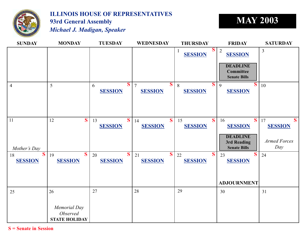

## **ILLINOIS HOUSE OF REPRESENTATIVES 93rd General Assembly MAY 2003** *Michael J. Madigan, Speaker*

**SUNDAY MONDAY TUESDAY WEDNESDAY THURSDAY FRIDAY SATURDAY** 18  $S \begin{bmatrix} 19 & 0 & 0 \end{bmatrix}$  20  $S \begin{bmatrix} 21 & 0 & 0 \end{bmatrix}$  21  $S \begin{bmatrix} 22 & 0 & 0 \end{bmatrix}$  23  $S \begin{bmatrix} 24 & 0 & 0 \end{bmatrix}$ 11 12 16 17 25  $\begin{array}{|c|c|c|c|c|c|c|c|} \hline 26 & 27 & 28 & \hline \end{array}$ 4 5 6 7 10  $\begin{array}{|c|c|c|c|c|c|}\n\hline\n1 & \text{energy} & 3 \\
\hline\n\end{array}$  $\begin{array}{c|c} 13 & S & 14 \\ \hline \end{array}$  $\overline{8}$   $\overline{S}$  9 20 26 27 28 15 21 30 31 **DEADLINE Committee Senate Bills DEADLINE 3rd Reading Senate Bills** *Armed Forces Mother's Day Day* **ADJOURNMENT** *Memorial Day Observed* **STATE HOLIDAY SESSION SESSION SESSION SESSION SESSION SESSION SESSION SESSION SESSION SESSION SESSION SESSION SESSION SESSION SESSION SESSION S**  $S|7$   $S|8$   $S|9$   $S$ **S** | 13 **S** | 14 **S** | 15 **S** | 16 **S** | 17 **S S** | 19 **S** | 20 **S** | 21 **S** | 22 **S** | 23 **S SESSION**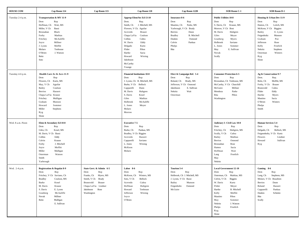| <b>HOUSE COM</b> | Cap Room 114                                                                                                                                                                                                                                                            | Cap Room 115                                                                                                                                                           | Cap Room 118                                                                                                                                                                                                                                                                                                 | Cap Room 122B                                                                                                                                                                                                | SOB Room C-1                                                                                                                                                                                                                                                                                   | SOB Room D-1                                                                                                                                                                                                                                                      |
|------------------|-------------------------------------------------------------------------------------------------------------------------------------------------------------------------------------------------------------------------------------------------------------------------|------------------------------------------------------------------------------------------------------------------------------------------------------------------------|--------------------------------------------------------------------------------------------------------------------------------------------------------------------------------------------------------------------------------------------------------------------------------------------------------------|--------------------------------------------------------------------------------------------------------------------------------------------------------------------------------------------------------------|------------------------------------------------------------------------------------------------------------------------------------------------------------------------------------------------------------------------------------------------------------------------------------------------|-------------------------------------------------------------------------------------------------------------------------------------------------------------------------------------------------------------------------------------------------------------------|
| Tuesday 2-4 p.m. | Transportation & MV 11-9<br>Rep<br>Dem<br>Hoffman, Ch<br>Wait, MS<br>Miller, V Ch<br>Bassi<br>Black<br>Brosnahan<br>Mathias<br>Forby<br>Fritchey<br>McAuliffe<br>Millner<br>Joyce<br>Moffitt<br>J. Lyons<br>Molaro<br>Tenhouse<br>J. Watson<br>O'Brien<br>Reitz<br>Soto |                                                                                                                                                                        | Approp-Elem/Sec Ed 13-10<br>Dem.<br>Rep.<br>Smith, Ch<br>J. Mitchell, MS<br>Flowers, V Ch. Aguilar<br>Brauer<br>Acevedo<br>Chapa LaVia<br>Coulson<br>Collins<br>Cultra<br>W. Davis<br>Eddy<br>Delgado<br>Kurtz<br>Flider<br>Pihos<br>Sacia<br>Hartke<br>Howard<br>Wirsing<br>Jakobsson<br>McCarthy<br>Younge | <b>Insurance 8-6</b><br>Dem<br>Rep<br>Mautino, Ch<br>Parke, MS<br>Yarbrough, V Ch Brady<br>Berrios<br>Dunn<br><b>B.</b> Mitchell<br><b>Bradley</b><br>Dunkin<br>Osmond<br>Colvin<br>Pankau<br>Phelps<br>Rita | <b>Public Utilities 10-8</b><br>Dem<br>Rep<br>S. Davis, Ch<br>Krause, MS<br>Morrow, V Ch Bost<br>M. Davis<br>Hultgren<br>Giles<br>Meyer<br>Granberg<br>Myers<br>Holbrook<br>Saviano<br>L. Jones<br>Sommer<br>May<br>E. Sullivan<br>Novak<br>Scully                                             | Housing & Urban Dev 11-9<br>Dem<br>Rep<br>Hamos, Ch<br>Leitch, MS<br>McKeon, V Ch Biggins<br>Bailey<br>E. Lyons<br>Feigenholtz<br>Munson<br>Graham<br>Poe<br>Jefferson<br>Rose<br>Kelly<br>Froelich<br>Nekritz<br>Stephens<br>Osterman<br>Winters<br>Ryg<br>Slone |
| Tuesday 4-6 p.m. | Health Care Av & Accs 11-9<br>Rep<br>Dem<br>Flowers, Ch<br>Kurtz, MS<br>Aguilar<br>May, V Ch<br>Bailey<br>Coulson<br>Berrios<br>Hassert<br>Chapa LaVia Krause<br>Fritchey<br>Mulligan<br>Graham<br>Munson<br>Howard<br>Sommer<br>Miller<br>Stephens<br>Ryg<br>Slone     |                                                                                                                                                                        | <b>Financial Institutions 10-8</b><br>Dem<br>Rep<br>J. Lyons, Ch B. Mitchell, MS<br>Bellock<br>Burke, V Ch<br>Capparelli<br>Dunn<br>M. Davis<br>Hultgren<br>Kosel<br>S. Davis<br>Giles<br>Mathias<br>McAuliffe<br>Holbrook<br>L. Jones<br>Meyer<br>Molaro<br>Morrow                                          | Elect & Campaign Ref. 5-4<br>Dem<br>Rep<br>Boland, Ch<br>Brady, MS<br>Jefferson, V Ch Osmond<br>Jakobsson<br>E. Sullivan<br>Nekritz<br>Wait<br>Osterman                                                      | <b>Consumer Protection 6-5</b><br>Dem<br>Rep<br>Brosnahan, Ch Tenhouse, MS<br>McCarthy, V Ch Churchill<br>McGuire<br>Millner<br>Mendoza<br>Parke<br>Rita<br>Pihos<br>Washington                                                                                                                | Ag & Conservation 9-7<br>Dem.<br>Rep.<br>Reitz, Ch<br>Moffitt, MS<br>Brauer<br>Forby, V Ch<br>Cultra<br>Brunsvold<br>Flider<br>Eddy<br>Hartke<br>Myers<br>Mautino<br>Sacia<br>O'Brien<br>Winters<br>Phelps<br>Smith                                               |
| Wed. 8 a.m.-Noon | Elem & Secondary Ed 10-8<br>Dem<br>Rep<br>Giles, Ch<br>Kosel, MS<br>M. Davis, V Ch Bassi<br>Collins<br>Eddy<br>Colvin<br>Krause<br>J. Mitchell<br>Forby<br>Moffitt<br>Joyce<br>Miller<br>Mulligan<br>Osterman<br>Watson<br>Smith<br>Yarbrough                           |                                                                                                                                                                        | <b>Executive 7-5</b><br>Dem<br>Rep<br>Burke, Ch<br>Pankau, MS<br>Bradley, V Ch Biggins<br>Acevedo<br>Hassert<br>Saviano<br>Capparelli<br>L. Jones<br>Wirsing<br>McKeon<br>Molaro                                                                                                                             |                                                                                                                                                                                                              | Judiciary I- Civil Law 10-8<br>Dem<br>Rep<br>Fritchey, Ch<br>Hultgren, MS<br>Scully, V Ch<br>Cultra<br>Mathias<br>Bailey<br>Berrios<br>Osmond<br>Brosnahan<br>Rose<br>Hamos<br>Sacia<br>Wait<br>Hoffman<br>Lang<br>Froelich<br>May<br>Nekritz                                                  | <b>Human Services 5-4</b><br>Dem<br>Rep<br>Delgado, Ch<br>Bellock, MS<br>Feignenholtz, V Ch Kurtz<br>Flowers<br>Lindner<br>Sullivan<br>Howard<br>Ryg                                                                                                              |
| Wed. 2-4 p.m.    | Registration & Regulat 8-9<br>Rep<br>Dem<br>Fritchey, V Ch Saviano, Ch<br><b>Bradley</b><br>Coulson, MS<br>Burke<br>Kosel<br>M. Davis<br>Krause<br>S. Davis<br>E. Lyons<br>Granberg<br>McAuliffe<br>Millner<br>Novak<br>Reitz<br>Mulligan<br>E. Sullivan                | State Govt. & Admin 6-5<br>Rep<br>Dem<br>Franks, Ch<br>Myers, MS<br>Smith, V Ch Brady<br>Brunsvold<br>Brauer<br>Chapa LaVia Lindner<br>Jakobsson<br>Rose<br>Washington | Labor 8-6<br>Dem<br>Rep<br>McKeon, Ch<br>Winters, MS<br>Soto, V Ch<br>Bellock<br>Acevedo<br>Cultra<br>Hoffman<br>Hultgren<br>Tenhouse<br>Howard<br>Jefferson<br>Wirsing<br>Joyce<br>O'Brien                                                                                                                  | Tourism 5-4<br>Rep<br>Dem<br>Holbrook, Ch J. Mitchell, MS<br>J. Lyons, V Ch Bassi<br>Bailey<br>Munson<br>Feigenholtz<br>Osmond<br>McGuire                                                                    | <b>Local Government 12-10</b><br>Rep<br>Dem<br>Osterman, Ch Mathias, MS<br>Colvin, V Ch Biggins<br>W. Davis<br>Kurtz<br>Flider<br>Meyer<br><b>B.</b> Mitchell<br>Hartke<br>Moffitt<br>Kelly<br>Pihos<br>Mautino<br>Sommer<br>May<br>J. Watson<br>Nekritz<br>Froelich<br>Phelps<br>Ryg<br>Slone | Gaming 8-6<br>Dem<br>Rep<br>Lang, Ch<br>Stephens, MS<br>Molaro, V Ch Beaubien<br>Berrios<br>Dunn<br>Boland<br>Hassert<br>Capparelli<br>Pankau<br>Dunkin<br>Schmitz<br>Rita<br>Scully                                                                              |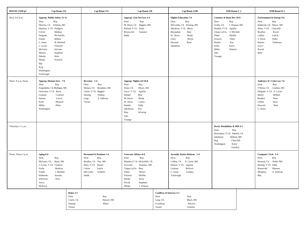| <b>HOUSE COM p2</b> | Cap Room 114                                                                                                                                                                                                                                                                                                                                          |                                                    | Cap Room 115                                                                                                                            | Cap Room 118                                                                                                                                                                                                                          |                                                                           | Cap Room 122B                                                                                                                                                                                         | SOB Room C-1                                                                                                                                                                                                                |                                      | SOB Room D-1                                                                                                                                                                                                                 |
|---------------------|-------------------------------------------------------------------------------------------------------------------------------------------------------------------------------------------------------------------------------------------------------------------------------------------------------------------------------------------------------|----------------------------------------------------|-----------------------------------------------------------------------------------------------------------------------------------------|---------------------------------------------------------------------------------------------------------------------------------------------------------------------------------------------------------------------------------------|---------------------------------------------------------------------------|-------------------------------------------------------------------------------------------------------------------------------------------------------------------------------------------------------|-----------------------------------------------------------------------------------------------------------------------------------------------------------------------------------------------------------------------------|--------------------------------------|------------------------------------------------------------------------------------------------------------------------------------------------------------------------------------------------------------------------------|
| Wed. 4-6 p.m.       | Approp-Public Safety 15-11<br>Dem<br>Rep<br>Morrow, Ch Schmitz, MS<br>Mautino, V Ch Hultgren<br>Colvin<br>Mathias<br>McAuliffe<br>Delgado<br>Franks<br>Millner<br>L. Jones<br><b>B.</b> Mitchell<br>Osmond<br>J. Lyons<br>McGuire<br>Saviano<br>Molaro<br>Stephens<br>Nekritz<br>Wait<br>Froelich<br>Phelps<br>Rita<br>Ryg<br>Washington<br>Yarbrough |                                                    |                                                                                                                                         | Approp- Gen Services 4-3<br>Dem<br>Rep<br>M. Davis, Ch Biggins, MS<br>Dunn<br>Boland, V Ch<br>Brunsvold<br>Sommer<br>Burke                                                                                                            |                                                                           | <b>Higher Education 7-6</b><br>Dem<br>Rep<br>McCarthy, Ch Wirsing, MS<br>Mendoza, V Ch Black<br>Brosnahan<br><b>Bost</b><br>W. Davis<br><b>Brady</b><br>Giles<br>Myers<br>Howard<br>Rose<br>Jakobsson | Commer & Busn Dev 10-8<br>Dem<br>Rep<br>Scully, Ch<br>Dunkin, V Ch Aguilar<br>J. Mitchell<br>Chapa LaVia<br>Flider<br>Moffitt<br>Flowers<br>Pihos<br>Hartke<br>Poe<br>Sacia<br>Kelly<br>Miller<br>Winters<br>Soto<br>Younge | J. Watson, MS                        | <b>Environment &amp; Energy 9-6</b><br>Dem<br>Rep<br>Holbrook, Ch Meyer, MS<br>Slone, V Ch<br>Churchill<br><b>Bradley</b><br>Kosel<br>Collins<br>Leitch<br>S. Davis<br>Parke<br>Tenhouse<br>Hamos<br>Joyce<br>Novak<br>Reitz |
| Thurs. 8 a.m.-Noon  | Approp-Human Serv. 7-6<br>Rep<br>Dem<br>Feigenholtz, Ch Mulligan, MS<br>Osterman, V Ch Bassi<br>Graham<br>Coulson<br>Hamos<br>Leitch<br>Kelly<br>Munson<br>Miller<br>Pihos<br>Washington                                                                                                                                                              |                                                    | Revenue 5-4<br>Dem<br>Rep<br>Molaro, Ch Beaubien, MS<br>Currie, V Ch Biggins<br>Pankau<br>Hannig<br>E. Sullivan<br>Lang<br>Turner       | Approp-Higher Ed 10-8<br>Dem<br>Rep<br>Slone, Ch<br>Myers, MS<br>Joyce, V Ch<br>Aguilar<br>Boland<br>Bost<br>M. Davis<br><b>Brady</b><br>W. Davis<br>Cultra<br>Dunkin<br>Eddy<br>Jakobsson<br>Poe<br>May<br>Wirsing<br>Soto<br>Younge |                                                                           |                                                                                                                                                                                                       |                                                                                                                                                                                                                             |                                      | Judiciary II- Crim Law 7-6<br>Dem<br>Rep<br>O'Brien, Ch Lindner, MS<br>Delgado, V Ch E. Lyons<br>Bailey<br>Millner<br><b>Bradley</b><br>Rose<br>Collins<br>Sacia<br>Wait<br>Howard<br>L. Jones                               |
| Thursday 11 a.m.    |                                                                                                                                                                                                                                                                                                                                                       |                                                    |                                                                                                                                         |                                                                                                                                                                                                                                       |                                                                           |                                                                                                                                                                                                       | Devel. Disabilities & MH 4-5<br>Dem<br>Rep<br>Brosnahan, V Ch Daniels, Ch<br>Jakobsson<br>Ryg<br>Washington<br>Kurtz                                                                                                        | Bellock, MS<br>Churchill<br>Froelich |                                                                                                                                                                                                                              |
| Thurs. Noon-2 p.m.  | Aging 8-6<br>Dem.<br>Rep.<br>Bassi, MS<br>McGuire, Ch.<br>J. Lyons, V Ch Coulson<br>Mathias<br>Forby<br>J. Mitchell<br>Franks<br>Holbrook<br>Saviano<br>Wait<br>Jefferson<br>Joyce<br>McKeon                                                                                                                                                          |                                                    | Personnel & Pensions 5-4<br>Dem<br>Rep<br>Bradley, Ch Poe, MS<br>Reitz, V Ch Brauer<br>Leitch<br>Colvin<br>McCarthy<br>Schmitz<br>Smith | <b>Veterans Affairs 8-8</b><br>Dem<br>Rep<br>Mautino, V Ch McAuliffe, Ch<br>Sommer, MS<br>Acevedo<br>Bost<br>Chapa LaVia<br>Flider<br>Meyer<br>Fritchey<br>Moffitt<br>Hartke<br>Sacia<br>Novak<br>Stephens<br>Phelps<br>J. Watson     |                                                                           | Juvenile Justice Reform 5-4<br>Rep<br>Dem<br>Collins, Ch<br>E. Lyons, MS<br>Hamos, V Ch<br>Aguilar<br>Bellock<br>Graham<br>Lindner<br>L. Jones<br>Yarbrough                                           |                                                                                                                                                                                                                             |                                      | Computer Tech 5-4<br>Dem<br>Rep<br>Howard, Ch Parke, MS<br>Hannig, V Ch Eddy<br>Munson<br>Brunsvold<br>E. Sullivan<br>Mendoza<br>Rita                                                                                        |
|                     |                                                                                                                                                                                                                                                                                                                                                       | Rules 3-2<br>Dem<br>Currie, Ch<br>Hannig<br>Turner | Rep<br>Hassert, MS<br>Black                                                                                                             |                                                                                                                                                                                                                                       | <b>Conflicts of Interest 3-3</b><br>Dem<br>Lang, Ch<br>Granberg<br>Turner | $\ensuremath{\mathop{\mathrm{Rep}}\nolimits}$<br>Black, MS<br>Hassert<br>Schmitz                                                                                                                      |                                                                                                                                                                                                                             |                                      |                                                                                                                                                                                                                              |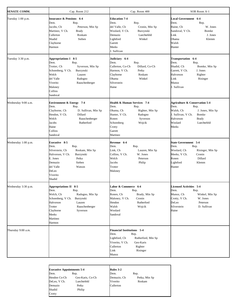| SENATE COMM.        | Cap. Room 212                                                                                                                                                                                                        | Cap. Room 400                                                                                                                                                                                    | SOB Room A-1                                                                                                                                                                              |
|---------------------|----------------------------------------------------------------------------------------------------------------------------------------------------------------------------------------------------------------------|--------------------------------------------------------------------------------------------------------------------------------------------------------------------------------------------------|-------------------------------------------------------------------------------------------------------------------------------------------------------------------------------------------|
| Tuesday 1:00 p.m.   | <b>Insurance &amp; Pensions</b> 6-4<br>Rep.<br>Dem.<br>Jacobs, Ch<br>Peterson, Min Sp<br>Martinez, V Ch.<br><b>Brady</b><br>Cullerton<br>Roskam<br>Shadid<br>Sieben<br>Clayborne<br>Harmon                           | <b>Education 7-4</b><br>Dem.<br>Rep.<br>del Valle, Ch<br>Cronin, Min Sp<br>Woolard, V Ch.<br>Burzynski<br>Luechtefeld<br>Demuzio<br>Winkel<br>Lightford<br>Garrett<br>Meeks<br>J. Sullivan       | <b>Local Government</b> 6-4<br>Dem.<br>Rep.<br>Haine, Ch<br>W. Jones<br>Sandoval, V Ch.<br>Bomke<br>Link<br>J. Jones<br>Obama<br>Klemm<br>Walsh<br>Hunter                                 |
| Tuesday 3:30 p.m.   | Appropriations I 8-5<br>Dem.<br>Rep.<br>Trotter, Ch<br>Syverson, Min Sp<br>Schoenberg, V Ch.<br>Burzynski<br>Welch<br>Lauzen<br>del Valle<br>Radogno<br>Viverito<br>Rauschenberger<br>Maloney<br>Collins<br>Sandoval | Judiciary 6-4<br>Dem.<br>Rep.<br>Cullerton, Co-Ch<br>Dillard, Co-Ch<br>Harmon, V Ch.<br>Petka<br>Clayborne<br>Roskam<br>Obama<br>Winkel<br>Silverstein<br>Haine                                  | Transportation 6-4<br>Dem.<br>Rep.<br>Shadid, Ch<br>Bomke, Min Sp<br>Garrett, V Ch.<br>J. Jones<br>Halvorson<br>Righter<br>Link<br>Risinger<br>Munoz<br>J. Sullivan                       |
| Wednesday 9:00 a.m. | Environment & Energy 7-4<br>Dem.<br>Rep.<br>Clayborne, Ch<br>D. Sullivan, Min Sp<br>Hendon, V Ch.<br>Dillard<br>Welch<br>Rauschenberger<br>Jacobs<br>Rutherford<br>Haine<br>Collins<br>Sandoval                      | <b>Health &amp; Human Services 7-4</b><br>Dem.<br>Rep.<br>Obama, Ch<br>Righter, Min Sp<br>Hunter, V Ch.<br>Radogno<br>Ronen<br>Syverson<br>Schoenberg<br>Wojcik<br>Crotty<br>Garrett<br>Martinez | <b>Agriculture &amp; Conservation 5-4</b><br>Dem.<br>Rep.<br>Walsh, Ch<br>J. Jones, Min Sp<br>J. Sullivan, V Ch.<br>Bomke<br>Halvorson<br><b>Brady</b><br>Woolard<br>Luechtefeld<br>Meeks |
| Wednesday 1:00 p.m. | Executive 8-5<br>Dem.<br>Rep.<br>Silverstein, Ch<br>Roskam, Min Sp<br>Halvorson, V Ch.<br>Burzynski<br>E. Jones<br>Petka<br>Sieben<br>Demuzio<br>del Valle<br>Watson<br>DeLeo<br>Viverito<br>Shadid                  | Revenue 6-4<br>Dem.<br>Rep.<br>Link, Ch<br>Lauzen, Min Sp<br>Collins, V Ch.<br>W. Jones<br>Welch<br>Peterson<br>Philip<br>Jacobs<br>Trotter<br>Maloney                                           | <b>State Government 5-4</b><br>Dem.<br>Rep.<br>Woolard, Ch<br>Risinger, Min Sp<br>Meeks, V Ch.<br>Cronin<br>Dillard<br>Ronen<br>Lightford<br>Klemm<br>Hunter                              |
| Wednesday 3:30 p.m. | Appropriations II 8-5<br>Dem.<br>Rep.<br>Welch, Ch<br>Radogno, Min Sp<br>Schoenberg, V Ch.<br>Burzynski<br>Halvorson<br>Lauzen<br>Trotter<br>Rauschenberger<br>Clayborne<br>Syverson<br>Meeks<br>Martinez<br>Harmon  | Labor & Commerce 6-4<br>Dem.<br>Rep.<br>Ronen, Ch<br>Brady, Min Sp<br>Maloney, V Ch.<br>Cronin<br>Rutherford<br>Hendon<br>Walsh<br>Wojcik<br>Woolard<br>Sandoval                                 | <b>Licensed Activities</b> 5-4<br>Dem.<br>Rep.<br>Munoz, Ch<br>Winkel, Min Sp<br>Crotty, V Ch.<br>W. Jones<br>DeLeo<br>Peterson<br>Silverstein<br>D. Sullivan<br>Haine                    |
| Thursday 9:00 a.m.  |                                                                                                                                                                                                                      | <b>Financial Institutions 5-4</b><br>Dem.<br>Rep.<br>Lightford, Ch<br>Rutherford, Min Sp<br>Viverito, V Ch.<br>Geo-Karis<br>Cullerton<br>Righter<br>Link<br>Risinger<br>Munoz                    |                                                                                                                                                                                           |

| <b>Executive Appointments 5-4</b> |                  | Rules 3-2   |               |  |  |
|-----------------------------------|------------------|-------------|---------------|--|--|
| Dem.                              | Rep.             | Dem.        | Rep.          |  |  |
| Hendon Co-Ch                      | Geo-Karis, Co-Ch | Demuzio, Ch | Petka, Min Sp |  |  |
| DeLeo, V Ch.                      | Luechtefeld      | Viverito    | Roskam        |  |  |
| Demuzio                           | Petka            | Cullerton   |               |  |  |
| Shadid                            | Philip           |             |               |  |  |
| Crotty                            |                  |             |               |  |  |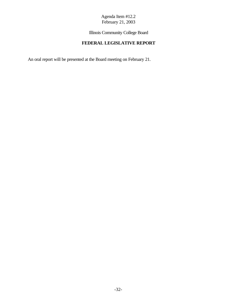Illinois Community College Board

## **FEDERAL LEGISLATIVE REPORT**

An oral report will be presented at the Board meeting on February 21.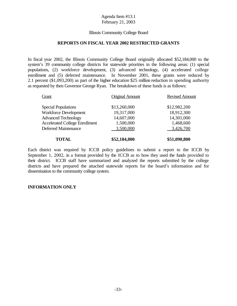#### Illinois Community College Board

#### **REPORTS ON FISCAL YEAR 2002 RESTRICTED GRANTS**

In fiscal year 2002, the Illinois Community College Board originally allocated \$52,184,000 to the system's 39 community college districts for statewide priorities in the following areas: (1) special populations, (2) workforce development, (3) advanced technology, (4) accelerated college enrollment and (5) deferred maintenance. In November 2001, these grants were reduced by 2.1 percent (\$1,093,200) as part of the higher education \$25 million reduction in spending authority as requested by then Governor George Ryan. The breakdown of these funds is as follows:

|                        | \$51,090,800          |
|------------------------|-----------------------|
| 3,500,000              | 3,426,700             |
| 1,500,000              | 1,468,600             |
| 14,607,000             | 14,301,000            |
| 19,317,000             | 18,912,300            |
| \$13,260,000           | \$12,982,200          |
| <b>Original Amount</b> | <b>Revised Amount</b> |
|                        | \$52,184,000          |

Each district was required by ICCB policy guidelines to submit a report to the ICCB by September 1, 2002, in a format provided by the ICCB as to how they used the funds provided to their district. ICCB staff have summarized and analyzed the reports submitted by the college districts and have prepared the attached statewide reports for the board's information and for dissemination to the community college system.

#### **INFORMATION ONLY**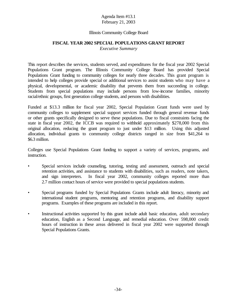#### Illinois Community College Board

#### **FISCAL YEAR 2002 SPECIAL POPULATIONS GRANT REPORT**

*Executive Summary*

This report describes the services, students served, and expenditures for the fiscal year 2002 Special Populations Grant program. The Illinois Community College Board has provided Special Populations Grant funding to community colleges for nearly three decades. This grant program is intended to help colleges provide special or additional services to assist students who may have a physical, developmental, or academic disability that prevents them from succeeding in college. Students from special populations may include persons from low-income families, minority racial/ethnic groups, first generation college students, and persons with disabilities.

Funded at \$13.3 million for fiscal year 2002, Special Population Grant funds were used by community colleges to supplement special support services funded through general revenue funds or other grants specifically designed to serve these populations. Due to fiscal constraints facing the state in fiscal year 2002, the ICCB was required to withhold approximately \$278,000 from this original allocation, reducing the grant program to just under \$13 million. Using this adjusted allocation, individual grants to community college districts ranged in size from \$41,264 to \$6.3 million.

Colleges use Special Populations Grant funding to support a variety of services, programs, and instruction.

- Special services include counseling, tutoring, testing and assessment, outreach and special retention activities, and assistance to students with disabilities, such as readers, note takers, and sign interpreters. In fiscal year 2002, community colleges reported more than 2.7 million contact hours of service were provided to special populations students.
- Special programs funded by Special Populations Grants include adult literacy, minority and international student programs, mentoring and retention programs, and disability support programs. Examples of these programs are included in this report.
- Instructional activities supported by this grant include adult basic education, adult secondary education, English as a Second Language, and remedial education. Over 598,000 credit hours of instruction in these areas delivered in fiscal year 2002 were supported through Special Populations Grants.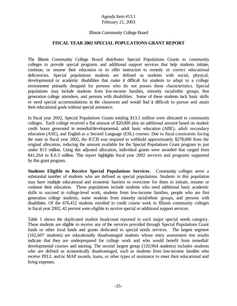#### Illinois Community College Board

#### **FISCAL YEAR 2002 SPECIAL POPULATIONS GRANT REPORT**

The Illinois Community College Board distributes Special Populations Grants to community colleges to provide special programs and additional support services that help students initiate, continue, or resume their education or to offer instruction to remedy or correct educational deficiencies. Special populations students are defined as students with social, physical, developmental or academic disabilities that make it difficult for students to adapt to a college environment primarily designed for persons who do not posses these characteristics. Special populations may include students from low-income families, minority racial/ethic groups, first generation college attendees, and persons with disabilities. Some of these students lack basic skills or need special accommodations in the classroom and would find it difficult to pursue and attain their educational goals without special assistance.

In fiscal year 2002, Special Populations Grants totaling \$13.3 million were allocated to community colleges. Each college received a flat amount of \$20,000 plus an additional amount based on student credit hours generated in remedial/developmental, adult basic education (ABE), adult secondary education (ASE), and English as a Second Language (ESL) courses. Due to fiscal constraints facing the state in fiscal year 2002, the ICCB was required to withhold approximately \$278,000 from the original allocation, reducing the amount available for the Special Populations Grant program to just under \$13 million. Using this adjusted allocation, individual grants were awarded that ranged from \$41,264 to \$.6.3 million. This report highlights fiscal year 2002 services and programs supported by this grant program.

**Students Eligible to Receive Special Populations Services.** Community colleges serve a substantial number of students who are defined as special populations. Students in this population may have multiple educational and economic barriers to overcome for them to initiate, resume or continue their education. These populations include students who need additional basic academic skills to succeed in college-level work, students from low-income families, people who are first generation college students, some students from minority racial/ethnic groups, and persons with disabilities. Of the 676,412 students enrolled in credit course work in Illinois community colleges in fiscal year 2002, 42 percent were eligible to receive special or additional support services.

Table 1 shows the duplicated student headcount reported in each major special needs category. These students are eligible to receive any of the services provided through Special Populations Grant funds or other local funds and grants dedicated to special needs services. The largest segment (162,607 students) are educationally disadvantaged students whose entry assessment test results indicate that they are underprepared for college work and who would benefit from remedial/ developmental courses and tutoring. The second largest group (120,964 students) includes students who are defined as economically disadvantaged, such as students from low-income families who receive PELL and/or MAP awards, loans, or other types of assistance to meet their educational and living expenses.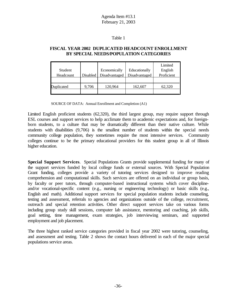#### Table 1

#### **FISCAL YEAR 2002 DUPLICATED HEADCOUNT ENROLLMENT BY SPECIAL NEEDS/POPULATION CATEGORIES**

|                   |          |               |               | Limited    |
|-------------------|----------|---------------|---------------|------------|
| Student           |          | Economically  | Educationally | English    |
| Headcount         | Disabled | Disadvantaged | Disadvantaged | Proficient |
|                   |          |               |               |            |
| <b>Duplicated</b> | 9,706    | 120,964       | 162,607       | 62,320     |
|                   |          |               |               |            |

SOURCE OF DATA: Annual Enrollment and Completion (A1)

Limited English proficient students (62,320), the third largest group, may require support through ESL courses and support services to help acclimate them to academic expectations and, for foreignborn students, to a culture that may be dramatically different than their native culture. While students with disabilities (9,706) is the smallest number of students within the special needs community college population, they sometimes require the most intensive services. Community colleges continue to be the primary educational providers for this student group in all of Illinois higher education.

**Special Support Services**. Special Populations Grants provide supplemental funding for many of the support services funded by local college funds or external sources. With Special Population Grant funding, colleges provide a variety of tutoring services designed to improve reading comprehension and computational skills. Such services are offered on an individual or group basis, by faculty or peer tutors, through computer-based instructional systems which cover disciplineand/or vocational-specific content (e.g., nursing or engineering technology) or basic skills (e.g., English and math). Additional support services for special population students include counseling, testing and assessment, referrals to agencies and organizations outside of the college, recruitment, outreach and special retention activities. Other direct support services take on various forms including group study skill sessions, computer lab assistance, mentoring and coaching, job skills, goal setting, time management, exam strategies, job interviewing seminars, and supported employment and job placement.

The three highest ranked service categories provided in fiscal year 2002 were tutoring, counseling, and assessment and testing. Table 2 shows the contact hours delivered in each of the major special populations service areas.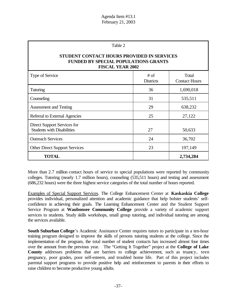| П<br>∩ | n<br>,, |  |
|--------|---------|--|
|        |         |  |

#### **STUDENT CONTACT HOURS PROVIDED IN SERVICES FUNDED BY SPECIAL POPULATIONS GRANTS FISCAL YEAR 2002**

| Type of Service                                                  | $#$ of<br><b>Districts</b> | Total<br><b>Contact Hours</b> |
|------------------------------------------------------------------|----------------------------|-------------------------------|
| <b>Tutoring</b>                                                  | 36                         | 1,690,018                     |
| Counseling                                                       | 31                         | 535,511                       |
| Assessment and Testing                                           | 29                         | 638,232                       |
| Referral to External Agencies                                    | 25                         | 27,122                        |
| Direct Support Services for<br><b>Students with Disabilities</b> | 27                         | 50,633                        |
| <b>Outreach Services</b>                                         | 24                         | 36,702                        |
| <b>Other Direct Support Services</b>                             | 23                         | 197,149                       |
| <b>TOTAL</b>                                                     |                            | 2,734,284                     |

More than 2.7 million contact hours of service to special populations were reported by community colleges. Tutoring (nearly 1.7 million hours), counseling (535,511 hours) and testing and assessment (686,232 hours) were the three highest service categories of the total number of hours reported.

Examples of Special Support Services. The College Enhancement Center at **Kaskaskia College** provides individual, personalized attention and academic guidance that help bolster students' selfconfidence in achieving their goals. The Learning Enhancement Center and the Student Support Service Program at **Waubonsee Community College** provide a variety of academic support services to students. Study skills workshops, small group tutoring, and individual tutoring are among the services available.

**South Suburban College**'s Academic Assistance Center requires tutors to participate in a ten-hour training program designed to improve the skills of persons tutoring students at the college. Since the implementation of the program, the total number of student contacts has increased almost four times over the amount from the previous year. The "Getting It Together" project at the **College of Lake County** addresses problems that are barriers to college achievement, such as truancy, teen pregnancy, poor grades, poor self-esteem, and troubled home life. Part of this project includes parental support programs to provide positive help and reinforcement to parents in their efforts to raise children to become productive young adults.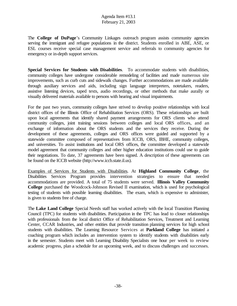The **College of DuPage**'s Community Linkages outreach program assists community agencies serving the immigrant and refugee populations in the district. Students enrolled in ABE, ASE, or ESL courses receive special case management service and referrals to community agencies for emergency or in-depth support services.

**Special Services for Students with Disabilities**. To accommodate students with disabilities, community colleges have undergone considerable remodeling of facilities and made numerous site improvements, such as curb cuts and sidewalk changes. Further accommodations are made available through auxiliary services and aids, including sign language interpreters, notetakers, readers, assistive listening devices, taped texts, audio recordings, or other methods that make aurally or visually delivered materials available to persons with hearing and visual impairments.

For the past two years, community colleges have strived to develop positive relationships with local district offices of the Illinois Office of Rehabilitation Services (ORS). These relationships are built upon local agreements that identify shared payment arrangements for ORS clients who attend community colleges, joint training sessions between colleges and local ORS offices, and an exchange of information about the ORS students and the services they receive. During the development of these agreements, colleges and ORS offices were guided and supported by a statewide committee composed of representatives from ICCB, ORS, IBHE, community colleges, and universities. To assist institutions and local ORS offices, the committee developed a statewide model agreement that community colleges and other higher education institutions could use to guide their negotiations. To date, 37 agreements have been signed. A description of these agreements can be found on the ICCB website (http://www.iccb.state.il.us).

Examples of Services for Students with Disabilities. At **Highland Community College**, the Disabilities Services Program provides intervention strategies to ensure that needed accommodations are provided. A total of 75 students were served. **Illinois Valley Community College** purchased the Woodcock-Johnson Revised II examination, which is used for psychological testing of students with possible learning disabilities. The exam, which is expensive to administer, is given to students free of charge.

The **Lake Land College** Special Needs staff has worked actively with the local Transition Planning Council (TPC) for students with disabilities. Participation in the TPC has lead to closer relationships with professionals from the local district Office of Rehabilitation Services, Treatment and Learning Center, CCAR Industries, and other entities that provide transition planning services for high school students with disabilities. The Learning Resource Services at **Parkland College** has initiated a coaching program which includes an intervention system to identify students with disabilities early in the semester. Students meet with Learning Disability Specialists one hour per week to review academic progress, plan a schedule for an upcoming week, and to discuss challenges and successes.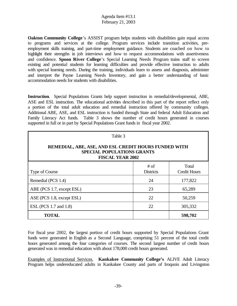**Oakton Community College**'s ASSIST program helps students with disabilities gain equal access to programs and services at the college. Program services include transition activities, preemployment skills training, and part-time employment guidance. Students are coached on how to highlight their strengths in job interviews and how to request accommodations with assertiveness and confidence. **Spoon River College**'s Special Learning Needs Program trains staff to screen existing and potential students for learning difficulties and provide effective instruction to adults with special learning needs. During the training, individuals learn to assess and diagnosis, administer and interpret the Payne Learning Needs Inventory, and gain a better understanding of basic accommodation needs for students with disabilities.

**Instruction**. Special Populations Grants help support instruction in remedial/developmental, ABE, ASE and ESL instruction. The educational activities described in this part of the report reflect only a portion of the total adult education and remedial instruction offered by community colleges. Additional ABE, ASE, and ESL instruction is funded through State and federal Adult Education and Family Literacy Act funds. Table 3 shows the number of credit hours generated in courses supported in full or in part by Special Populations Grant funds in fiscal year 2002.

| Table 3                                                                                                              |                          |                              |  |  |  |  |  |  |  |
|----------------------------------------------------------------------------------------------------------------------|--------------------------|------------------------------|--|--|--|--|--|--|--|
| REMEDIAL, ABE, ASE, AND ESL CREDIT HOURS FUNDED WITH<br><b>SPECIAL POPULATIONS GRANTS</b><br><b>FISCAL YEAR 2002</b> |                          |                              |  |  |  |  |  |  |  |
| Type of Course                                                                                                       | # of<br><b>Districts</b> | Total<br><b>Credit Hours</b> |  |  |  |  |  |  |  |
| Remedial (PCS 1.4)                                                                                                   | 24                       | 177,822                      |  |  |  |  |  |  |  |
| ABE (PCS 1.7, except ESL)                                                                                            | 23                       | 65,289                       |  |  |  |  |  |  |  |
| ASE (PCS 1.8, except ESL)                                                                                            | 22                       | 50,259                       |  |  |  |  |  |  |  |
| ESL (PCS 1.7 and 1.8)                                                                                                | 22                       | 305,332                      |  |  |  |  |  |  |  |
| TOTAL                                                                                                                |                          | 598,702                      |  |  |  |  |  |  |  |

For fiscal year 2002, the largest portion of credit hours supported by Special Populations Grant funds were generated in English as a Second Language, comprising 51 percent of the total credit hours generated among the four categories of courses. The second largest number of credit hours generated was in remedial education with about 178,000 credit hours generated.

Examples of Instructional Services. **Kankakee Community College's** ALIVE Adult Literacy Program helps undereducated adults in Kankakee County and parts of Iroquois and Livingston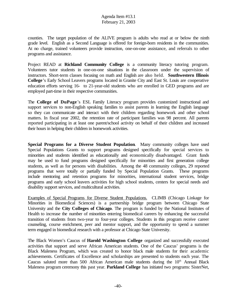counties. The target population of the ALIVE program is adults who read at or below the ninth grade level. English as a Second Language is offered for foreign-born residents in the communities. At no charge, trained volunteers provide instruction, one-on-one assistance, and referrals to other programs and assistance.

Project READ at **Richland Community College** is a community literacy tutoring program. Volunteers tutor students in one-on-one situations in the classroom under the supervision of instructors. Short-term classes focusing on math and English are also held. **Southwestern Illinois College**'s Early School Leavers programs located in Granite City and East St. Louis are cooperative education efforts serving 16- to 21-year-old students who are enrolled in GED programs and are employed part-time in their respective communities.

The **College of DuPage**'s ESL Family Literacy program provides customized instructional and support services to non-English speaking families to assist parents in learning the English language so they can communicate and interact with their children regarding homework and other school matters. In fiscal year 2002, the retention rate of participant families was 98 percent. All parents reported participating in at least one parent/school activity on behalf of their children and increased their hours in helping their children in homework activities.

**Special Programs for a Diverse Student Population**. Many community colleges have used Special Populations Grants to support programs designed specifically for special services to minorities and students identified as educationally and economically disadvantaged. Grant funds may be used to fund programs designed specifically for minorities and first generation college students, as well as for persons with disabilities. Among the 48 community colleges, 29 reported programs that were totally or partially funded by Special Population Grants. These programs include mentoring and retention programs for minorities, international student services, bridge programs and early school leavers activities for high school students, centers for special needs and disability support services, and multicultural activities.

Examples of Special Programs for Diverse Student Populations. CLIMB (Chicago Linkage for Minorities in Biomedical Sciences) is a partnership bridge program between Chicago State University and the **City Colleges of Chicago**. The program is funded by the National Institutes of Health to increase the number of minorities entering biomedical careers by enhancing the successful transition of students from two-year to four-year colleges. Students in this program receive career counseling, course enrichment, peer and mentor support, and the opportunity to spend a summer term engaged in biomedical research with a professor at Chicago State University.

The Black Women's Caucus of **Harold Washington College** organized and successfully executed activities that support and serve African American students. One of the Caucus' programs is the Black Maleness Program, which was created to honor black male students for their academic achievements. Certificates of Excellence and scholarships are presented to students each year. The Caucus saluted more than 500 African American male students during the  $10<sup>th</sup>$  Annual Black Maleness program ceremony this past year. **Parkland College** has initiated two programs: SisterNet,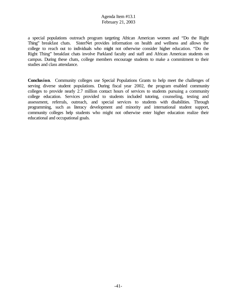a special populations outreach program targeting African American women and "Do the Right Thing" breakfast chats. SisterNet provides information on health and wellness and allows the college to reach out to individuals who might not otherwise consider higher education. "Do the Right Thing" breakfast chats involve Parkland faculty and staff and African American students on campus. During these chats, college members encourage students to make a commitment to their studies and class attendance.

**Conclusion**. Community colleges use Special Populations Grants to help meet the challenges of serving diverse student populations. During fiscal year 2002, the program enabled community colleges to provide nearly 2.7 million contact hours of services to students pursuing a community college education. Services provided to students included tutoring, counseling, testing and assessment, referrals, outreach, and special services to students with disabilities. Through programming, such as literacy development and minority and international student support, community colleges help students who might not otherwise enter higher education realize their educational and occupational goals.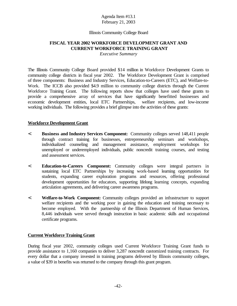#### Illinois Community College Board

# **FISCAL YEAR 2002 WORKFORCE DEVELOPMENT GRANT AND CURRENT WORKFORCE TRAINING GRANT**

*Executive Summary*

The Illinois Community College Board provided \$14 million in Workforce Development Grants to community college districts in fiscal year 2002. The Workforce Development Grant is comprised of three components: Business and Industry Services, Education-to-Careers (ETC), and Welfare-to-Work. The ICCB also provided \$4.9 million to community college districts through the Current Workforce Training Grant. The following reports show that colleges have used these grants to provide a comprehensive array of services that have significantly benefitted businesses and economic development entities, local ETC Partnerships, welfare recipients, and low-income working individuals. The following provides a brief glimpse into the activities of these grants:

#### **Workforce Development Grant**

- < **Business and Industry Services Component:** Community colleges served 148,411 people through contract training for businesses, entrepreneurship seminars and workshops, individualized counseling and management assistance, employment workshops for unemployed or underemployed individuals, public noncredit training courses, and testing and assessment services.
- < **Education-to-Careers Component:** Community colleges were integral partners in sustaining local ETC Partnerships by increasing work-based learning opportunities for students, expanding career exploration programs and resources, offering professional development opportunities for educators, supporting lifelong learning concepts, expanding articulation agreements, and delivering career awareness programs.
- < **Welfare-to-Work Component:** Community colleges provided an infrastructure to support welfare recipients and the working poor in gaining the education and training necessary to become employed. With the partnership of the Illinois Department of Human Services, 8,446 individuals were served through instruction in basic academic skills and occupational certificate programs.

### **Current Workforce Training Grant**

During fiscal year 2002, community colleges used Current Workforce Training Grant funds to provide assistance to 1,160 companies to deliver 3,287 noncredit customized training contracts. For every dollar that a company invested in training programs delivered by Illinois community colleges, a value of \$39 in benefits was returned to the company through this grant program.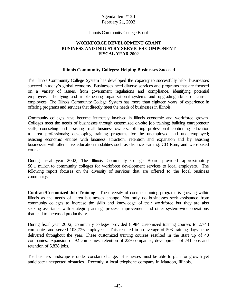#### Illinois Community College Board

#### **WORKFORCE DEVELOPMENT GRANT BUSINESS AND INDUSTRY SERVICES COMPONENT FISCAL YEAR 2002**

#### **Illinois Community Colleges: Helping Businesses Succeed**

The Illinois Community College System has developed the capacity to successfully help businesses succeed in today's global economy. Businesses need diverse services and programs that are focused on a variety of issues, from government regulations and compliance, identifying potential employees, identifying and implementing organizational systems and upgrading skills of current employees. The Illinois Community College System has more than eighteen years of experience in offering programs and services that directly meet the needs of businesses in Illinois.

Community colleges have become intimately involved in Illinois economic and workforce growth. Colleges meet the needs of businesses through customized on-site job training; building entrepreneur skills; counseling and assisting small business owners; offering professional continuing education to area professionals; developing training programs for the unemployed and underemployed; assisting economic entities with business attraction; retention and expansion and by assisting businesses with alternative education modalities such as distance learning, CD Rom, and web-based courses.

During fiscal year 2002, The Illinois Community College Board provided approximately \$6.1 million to community colleges for workforce development services to local employers. The following report focuses on the diversity of services that are offered to the local business community.

**Contract/Customized Job Training**. The diversity of contract training programs is growing within Illinois as the needs of area businesses change. Not only do businesses seek assistance from community colleges to increase the skills and knowledge of their workforce but they are also seeking assistance with strategic planning, process improvement and other system-wide operations that lead to increased productivity.

During fiscal year 2002, community colleges provided 8,984 customized training courses to 2,748 companies and served 103,726 employees. This resulted in an average of 503 training days being delivered throughout the year. These customized training courses resulted in the start up of 40 companies, expansion of 92 companies, retention of 229 companies, development of 741 jobs and retention of 5,838 jobs.

The business landscape is under constant change. Businesses must be able to plan for growth yet anticipate unexpected obstacles. Recently, a local telephone company in Mattoon, Illinois,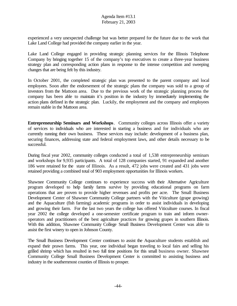experienced a very unexpected challenge but was better prepared for the future due to the work that Lake Land College had provided the company earlier in the year.

Lake Land College engaged in providing strategic planning services for the Illinois Telephone Company by bringing together 15 of the company's top executives to create a three-year business strategy plan and corresponding action plans in response to the intense competition and sweeping changes that are being felt by this industry.

In October 2001, the completed strategic plan was presented to the parent company and local employees. Soon after the endorsement of the strategic plans the company was sold to a group of investors from the Mattoon area. Due to the previous work of the strategic planning process the company has been able to maintain it's position in the industry by immediately implementing the action plans defined in the strategic plan. Luckily, the employment and the company and employees remain stable in the Mattoon area.

**Entrepreneurship Seminars and Workshops**. Community colleges across Illinois offer a variety of services to individuals who are interested in starting a business and for individuals who are currently running their own business. These services may include: development of a business plan, securing finances, addressing state and federal employment laws, and other details necessary to be successful.

During fiscal year 2002, community colleges conducted a total of 1,538 entrepreneurship seminars and workshops for 9,935 participants. A total of 128 companies started, 91 expanded and another 186 were retained for the state of Illinois. As a result, 472 jobs were created and 431 jobs were retained providing a combined total of 903 employment opportunities for Illinois workers.

Shawnee Community College continues to experience success with their Alternative Agriculture program developed to help family farms survive by providing educational programs on farm operations that are proven to provide higher revenues and profits per acre. The Small Business Development Center of Shawnee Community College partners with the Viticulture (grape growing) and the Aquaculture (fish farming) academic programs in order to assist individuals in developing and growing their farm. For the last two years the college has offered Viticulture courses. In fiscal year 2002 the college developed a one-semester certificate program to train and inform owneroperators and practitioners of the best agriculture practices for growing grapes in southern Illinois. With this addition, Shawnee Community College Small Business Development Center was able to assist the first winery to open in Johnson County.

The Small Business Development Center continues to assist the Aquaculture students establish and expand their prawn farms. This year, one individual began traveling to local fairs and selling his grilled shrimp which has resulted in two full time positions for this small business owner. Shawnee Community College Small Business Development Center is committed to assisting business and industry in the southernmost counties of Illinois to prosper.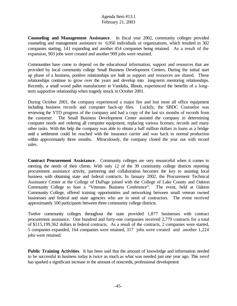**Counseling and Management Assistance**. In fiscal year 2002, community colleges provided counseling and management assistance to 6,956 individuals or organizations, which resulted in 302 companies starting, 141 expanding and another 454 companies being retained. As a result of the expansion, 903 jobs were created and another 909 jobs were retained.

Communities have come to depend on the educational information, support and resources that are provided by local community college Small Business Development Centers. During the initial start up phase of a business, positive relationships are built as support and resources are shared. These relationships continue to grow over the years and develop into long-term mentoring relationships. Recently, a small wood pallet manufacturer in Vandalia, Illinois, experienced the benefits of a longterm supportive relationship when tragedy struck in October 2001.

During October 2001, the company experienced a major fire and lost most all office equipment including business records and computer back-up files. Luckily, the SBDC Counselor was reviewing the YTD progress of the company and had a copy of the last six months of records from the customer. The Small Business Development Center assisted the company in determining computer needs and ordering all computer equipment, replacing various licenses, records and many other tasks. With this help the company was able to obtain a half million dollars in loans as a bridge until a settlement could be reached with the insurance carrier and was back to normal production within approximately three months. Miraculously, the company closed the year out with record sales.

**Contract Procurement Assistance**. Community colleges are very resourceful when it comes to meeting the needs of their clients. With only 12 of the 39 community college districts reporting procurement assistance activity, partnering and collaboration becomes the key to assisting local business with obtaining state and federal contracts. In January 2002, the Procurement Technical Assistance Center at the College of DuPage joined with the College of Lake County and Oakton Community College to host a "Veterans Business Conference". The event, held at Oakton Community College, offered training opportunities and networking between small veteran owned businesses and federal and state agencies who are in need of contractors. The event received approximately 100 participants between three community college districts.

Twelve community colleges throughout the state provided 1,877 businesses with contract procurement assistance. One hundred and forty-one companies received 2,779 contracts for a total of \$115,199,362 dollars in federal contracts. As a result of the contracts, 2 companies were started, 5 companies expanded, 164 companies were retained, 317 jobs were created and another 1,224 jobs were retained.

**Public Training Activities**. It has been said that the amount of knowledge and information needed to be successful in business today is twice as much as what was needed just one year ago. This need has sparked a significant increase in the amount of noncredit, professional development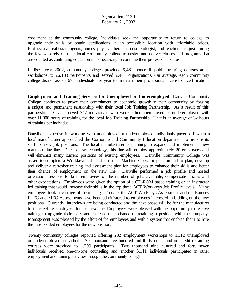enrollment at the community college. Individuals seek the opportunity to return to college to upgrade their skills or obtain certifications in an accessible location with affordable prices. Professional real estate agents, nurses, physical therapist, cosmetologist, and teachers are just among the few who rely on their local community college to design and deliver classes and programs that are counted as continuing education units necessary to continue their professional status.

In fiscal year 2002, community colleges provided 5,481 noncredit public training courses and workshops to 26,183 participants and served 2,481 organizations. On average, each community college district assists 671 individuals per year to maintain their professional license or certification.

**Employment and Training Services for Unemployed or Underemployed**. Danville Community College continues to prove their commitment to economic growth in their community by forging a unique and permanent relationship with their local Job Training Partnership. As a result of this partnership, Danville served 347 individuals who were either unemployed or underemployed with over 11,000 hours of training for the local Job Training Partnership. That is an average of 32 hours of training per individual.

Danville's expertise in working with unemployed or underemployed individuals payed off when a local manufacturer approached the Corporate and Community Education department to prepare its staff for new job positions. The local manufacturer is planning to expand and implement a new manufacturing line. Due to new technology, this line will employ approximately 20 employees and will eliminate many current positions of existing employees. Danville Community College was asked to complete a Workkeys Job Profile on the Machine Operator position and to plan, develop and deliver a refresher training and assessment plan for employees to enhance their skills and better their chance of employment on the new line. Danville performed a job profile and hosted orientation sessions to brief employees of the number of jobs available, compensation rates and other expectations. Employees were given the option of a CD-ROM based training or an instructor led training that would increase their skills in the top three ACT Workkeys Job Profile levels. Many employees took advantage of the training. To date, the ACT Workkeys Assessment and the Ramsey ELEC and MEC Assessments have been administered to employees interested in bidding on the new positions. Currently, interviews are being conducted and the next phase will be for the manufacturer to transfer/hire employees for the new line. Employees were pleased with the opportunity to receive training to upgrade their skills and increase their chance of retaining a position with the company. Management was pleased by the effort of the employees and with a system that enables them to hire the most skilled employees for the new position.

Twenty community colleges reported offering 232 employment workshops to 1,312 unemployed or underemployed individuals. Six thousand five hundred and thirty credit and noncredit retraining courses were provided to 1,799 participants. Two thousand nine hundred and forty seven individuals received one-on-one counseling and another 5,111 individuals participated in other employment and training activities through the community college.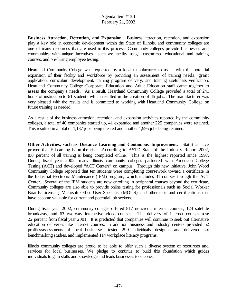**Business Attraction, Retention, and Expansion**. Business attraction, retention, and expansion play a key role in economic development within the State of Illinois, and community colleges are one of many resources that are used in this process. Community colleges provide businesses and communities with unique incentives such as: facility usage, customized educational and training courses, and pre-hiring employee testing.

Heartland Community College was requested by a local manufacturer to assist with the potential expansion of their facility and workforce by providing an assessment of training needs, grant application, curriculum development, training program delivery, and training usefulness verification. Heartland Community College Corporate Education and Adult Education staff came together to assess the company's needs. As a result, Heartland Community College provided a total of 241 hours of instruction to 61 students which resulted in the creation of 45 jobs. The manufacturer was very pleased with the results and is committed to working with Heartland Community College on future training as needed.

As a result of the business attraction, retention, and expansion activities reported by the community colleges, a total of 46 companies started up, 41 expanded and another 225 companies were retained. This resulted in a total of 1,187 jobs being created and another 1,995 jobs being retained.

**Other Activities, such as Distance Learning and Continuous Improvement**. Statistics have proven that E-Learning is on the rise. According to ASTD State of the Industry Report 2002, 8.8 percent of all training is being completed online. This is the highest reported since 1997. During fiscal year 2002, many Illinois community colleges partnered with American College Testing (ACT) and developed "ACT Centers" on campus. Through this new initiative, John Wood Community College reported that ten students were completing coursework toward a certificate in the Industrial Electronic Maintenance (IEM) program, which includes 31 courses through the ACT Center. Several of the IEM students are now enrolling in peripheral courses beyond the certificate. Community colleges are also able to provide online testing for professionals such as Social Worker Boards Licensing, Microsoft Office User Specialist (MOUS), and other tests and certifications that have become valuable for current and potential job seekers.

During fiscal year 2002, community colleges offered 817 noncredit internet courses, 124 satellite broadcasts, and 63 two-way interactive video courses. The delivery of internet courses rose 22 percent from fiscal year 2001. It is predicted that companies will continue to seek out alternative education deliveries like internet courses. In addition business and industry centers provided 52 profiles/assessments of local businesses, tested 299 individuals, designed and delivered six benchmarking studies, and implemented 114 workplace literacy programs.

Illinois community colleges are proud to be able to offer such a diverse system of resources and services for local businesses. We pledge to continue to build this foundation which guides individuals to gain skills and knowledge and leads businesses to success.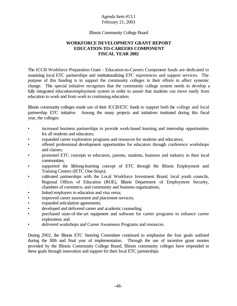#### Illinois Community College Board

#### **WORKFORCE DEVELOPMENT GRANT REPORT EDUCATION-TO-CAREERS COMPONENT FISCAL YEAR 2002**

The ICCB Workforce Preparation Grant - Education-to-Careers Component funds are dedicated to sustaining local ETC partnerships and institutionalizing ETC experiences and support services. The purpose of this funding is to support the community colleges in their efforts to affect systemic change.This special initiative recognizes that the community college system needs to develop a fully integrated education/employment system in order to assure that students can move easily from education to work and from work to continuing education.

Illinois community colleges made use of their ICCB/ETC funds to support both the college and local partnership ETC initiative. Among the many projects and initiatives instituted during this fiscal year, the colleges:

- increased business partnerships to provide work-based learning and internship opportunities for all students and educators;
- expanded career exploration programs and resources for students and educators;
- offered professional development opportunities for educators through conference workshops and classes;
- promoted ETC concepts to educators, parents, students, business and industry in their local communities;
- supported the lifelong-learning concept of ETC through the Illinois Employment and Training Centers (IETC One-Stops);
- cultivated partnerships with the Local Workforce Investment Board, local youth councils, Regional Offices of Education (ROE), Illinois Department of Employment Security, chambers of commerce, and community and business organizations;
- linked employers to education and visa versa;
- improved career assessment and placement services;
- expanded articulation agreements;
- developed and delivered career and academic counseling;
- purchased state-of-the-art equipment and software for career programs to enhance career exploration; and
- delivered workshops and Career Awareness Programs and resources.

During 2002, the Illinois ETC Steering Committee continued to emphasize the four goals outlined during the fifth and final year of implementation. Through the use of incentive grant monies provided by the Illinois Community College Board, Illinois community colleges have responded to these goals through innovation and support for their local ETC partnerships.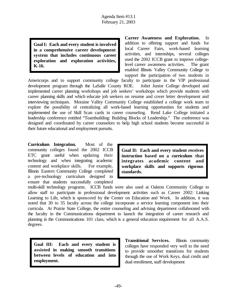**GoalI: Each and every student is involved in a comprehensive career development system that includes continuous career exploration and exploration activities, K-16.**

**Career Awareness and Exploration.** In addition to offering support and funds for local Career Fairs, work-based learning activities, and internships, several colleges used the 2002 ICCB grant to improve collegelevel career awareness activities. The grant enabled Illinois Valley Community College to support the participation of two students in

Americorps and to support community college faculty to participate in the VIP professional development program through the LaSalle County ROE. Joliet Junior College developed and implemented career planning workshops and job seekers' workshops which provide students with career planning skills and which educate job seekers on resume and cover letter development and interviewing techniques. Moraine Valley Community College established a college work team to explore the possibility of centralizing all work-based learning opportunities for students and implemented the use of Skill Scan cards in career counseling. Rend Lake College initiated a leadership conference entitled "Teambuilding: Building Blocks of Leadership." The conference was designed and coordinated by career counselors to help high school students become successful in their future educational and employment pursuits.

**Curriculum Integration.** Most of the community colleges found the 2002 ICCB ETC grant useful when updating their technology and when integrating academic content and workplace skills. For example, Illinois Eastern Community College completed a pre-technology curriculum designed to ensure that students successfully completed

**Goal II: Each and every student receives instruction based on a curriculum that integrates academic content and workplace skills and supports rigorous standards.**

multi-skill technology programs. ICCB funds were also used at Oakton Community College to allow staff to participate in professional development activities such as Career 2002: Linking Learning to Life, which is sponsored by the Center on Education and Work. In addition, it was noted that 30 to 35 faculty across the college incorporate a service learning component into their curricula. At Prairie State College, the entire counseling and advising department collaborated with the faculty in the Communications department to launch the integration of career research and planning in the Communications 101 class, which is a general education requirement for all A.A.S. degrees.

**Goal III: Each and every student is assisted in making smooth transitions between levels of education and into employment.**

**Transitional Services.** Illinois community colleges have responded very well to the need to provide smoother transitions for students through the use of Work Keys, dual credit and dual enrollment, staff development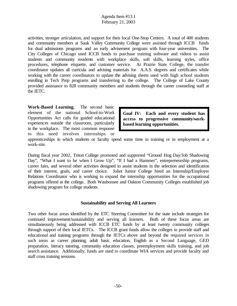activities, stronger articulation, and support for their local One-Stop Centers. A total of 400 students and community members at Sauk Valley Community College were assisted through ICCB funds for dual admissions programs and an early advisement program with four-year universities. The City Colleges of Chicago used ICCB funds to purchase training software and videos to assist students and community residents with workplace skills, soft skills, learning styles, office procedures, telephone etiquette, and customer service. At Prairie State College, the transfer coordinator updates all curricula and advising materials for A.A.S. degrees and certificates while working with the career coordinators to update the advising sheets used with high school students enrolling in Tech Prep programs and transferring to the college. The College of Lake County provided assistance to 828 community members and students through the career counseling staff at the IETC.

**Work-Based Learning.** The second basic element of the national School-to-Work Opportunities Act calls for guided educational experiences outside the classroom, particularly in the workplace. The most common response to this need involves internships or

**Goal IV: Each and every student has access to progressive community/workbased learning opportunities.**

apprenticeships in which students or faculty spend some time in training or in employment at a work-site.

During fiscal year 2002, Triton College promoted and supported "Ground Hog Day/Job Shadowing Day", "What I want to be when I Grow Up", "If I had a Hammer", entrepreneurship programs, career fairs, and several other activities designed to assist students in the selection and identification of their interest, goals, and career choice. Joliet Junior College hired an Internship/Employer Relations Coordinator who is working to expand the internship opportunities for the occupational programs offered at the college. Both Waubonsee and Oakton Community Colleges established job shadowing program for college students.

#### **Sustainability and Serving All Learners**

Two other focus areas identified by the ETC Steering Committee for the state include strategies for continued improvement/sustainability and serving all learners. Both of these focus areas are simultaneously being addressed with ICCB ETC funds by at least twenty community colleges through support of their local IETCs. The ICCB grant funds allow the colleges to provide staff and educational and training programs through the IETCs above and beyond the required services in such areas as career planning, adult basic education, English as a Second Language, GED preparation, literacy tutoring, community education classes, preemployment skills training, and job search assistance. Additionally, funds are used to coordinate WIA services and provide faculty and staff cross training sessions.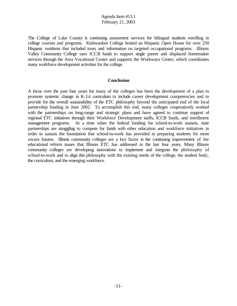The College of Lake County is continuing assessment services for bilingual students enrolling in college courses and programs. Kishwaukee College hosted an Hispanic Open House for over 250 Hispanic residents that included tours and information on targeted occupational programs. Illinois Valley Community College uses ICCB funds to support single parent and displaced homemaker services through the Area Vocational Center and supports the Workways Center, which coordinates many workforce development activities for the college.

#### **Conclusion**

A focus over the past four years for many of the colleges has been the development of a plan to promote systemic change in K-14 curriculum to include career development competencies and to provide for the overall sustainability of the ETC philosophy beyond the anticipated end of the local partnership funding in June 2002. To accomplish this end, many colleges cooperatively worked with the partnerships on long-range and strategic plans and have agreed to continue support of regional ETC initiatives through their Workforce Development staffs, ICCB funds, and enrollment management programs. At a time when the federal funding for school-to-work sunsets, state partnerships are struggling to compete for funds with other education and workforce initiatives in order to sustain the foundation that school-to-work has provided in preparing students for more secure futures. Illinois community colleges are a key factor in the continuing improvement of the educational reform issues that Illinois ETC has addressed in the last four years. Many Illinois community colleges are developing innovations to implement and integrate the philosophy of school-to-work and to align this philosophy with the existing needs of the college, the student body, the curriculum, and the emerging workforce.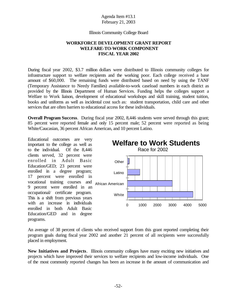Illinois Community College Board

### **WORKFORCE DEVELOPMENT GRANT REPORT WELFARE-TO-WORK COMPONENT FISCAL YEAR 2002**

During fiscal year 2002, \$3.7 million dollars were distributed to Illinois community colleges for infrastructure support to welfare recipients and the working poor. Each college received a base amount of \$60,000. The remaining funds were distributed based on need by using the TANF (Temporary Assistance to Needy Families) available-to-work caseload numbers in each district as provided by the Illinois Department of Human Services. Funding helps the colleges support a Welfare to Work liaison, development of educational workshops and skill training, student tuition, books and uniforms as well as incidental cost such as: student transportation, child care and other services that are often barriers to educational access for these individuals.

**Overall Program Success**. During fiscal year 2002, 8,446 students were served through this grant; 85 percent were reported female and only 15 percent male; 52 percent were reported as being White/Caucasian, 36 percent African American, and 10 percent Latino.

Educational outcomes are very important to the college as well as to the individual. Of the 8,446 clients served, 32 percent were enrolled in Adult Basic Education/GED; 23 percent were enrolled in a degree program; 17 percent were enrolled in vocational training courses and 9 percent were enrolled in an occupational/ certificate program. This is a shift from previous years with an increase in individuals enrolled in both Adult Basic Education/GED and in degree programs.



An average of 38 percent of clients who received support from this grant reported completing their program goals during fiscal year 2002 and another 21 percent of all recipients were successfully placed in employment.

**New Initiatives and Projects**. Illinois community colleges have many exciting new initiatives and projects which have improved their services to welfare recipients and low-income individuals. One of the most commonly reported changes has been an increase in the amount of communication and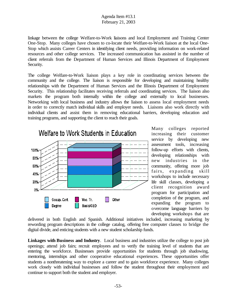linkage between the college Welfare-to-Work liaisons and local Employment and Training Center One-Stop. Many colleges have chosen to co-locate their Welfare-to-Work liaison at the local One-Stop which assists Career Centers in identifying client needs, providing information on work-related resources and other college services. The increased communication has assisted in the number of client referrals from the Department of Human Services and Illinois Department of Employment Security.

The college Welfare-to-Work liaison plays a key role in coordinating services between the community and the college. The liaison is responsible for developing and maintaining healthy relationships with the Department of Human Services and the Illinois Department of Employment Security. This relationship facilitates receiving referrals and coordinating services. The liaison also markets the program both internally within the college and externally to local businesses. Networking with local business and industry allows the liaison to assess local employment needs in order to correctly match individual skills and employer needs. Liaisons also work directly with individual clients and assist them in removing educational barriers, developing education and training programs, and supporting the client to reach their goals.



Many colleges reported increasing their customer service by developing new assessment tools, increasing follow-up efforts with clients, developing relationships with new industries in the community, offering more job fairs, expanding skill workshops to include necessary life skill classes, developing a client recognition award program for participation and completion of the program, and expanding the program to overcome language barriers by developing workshops that are

delivered in both English and Spanish. Additional initiatives included, increasing marketing by rewording program descriptions in the college catalog, offering free computer classes to bridge the digital divide, and enticing students with a new student scholarship funds.

**Linkages with Business and Industry**. Local business and industries utilize the college to post job openings; attend job fairs; recruit employees and to verify the training level of students that are entering the workforce. Businesses provide opportunities for students through job shadowing, mentoring, internships and other cooperative educational experiences. These opportunities offer students a nonthreatening way to explore a career and to gain workforce experience. Many colleges work closely with individual businesses and follow the student throughout their employment and continue to support both the student and employer.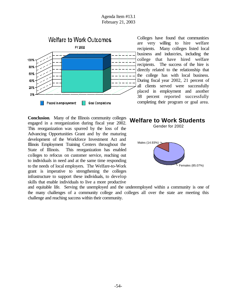

Colleges have found that communities are very willing to hire welfare recipients. Many colleges listed local business and industries, including the college that have hired welfare recipients. The success of the hire is directly related to the relationship that the college has with local business. During fiscal year 2002, 21 percent of all clients served were successfully placed in employment and another 38 percent reported successfully completing their program or goal area.

**Conclusion**. Many of the Illinois community colleges engaged in a reorganization during fiscal year 2002. This reorganization was spurred by the loss of the Advancing Opportunities Grant and by the maturing development of the Workforce Investment Act and Illinois Employment Training Centers throughout the State of Illinois. This reorganization has enabled colleges to refocus on customer service, reaching out to individuals in need and at the same time responding to the needs of local employers. The Welfare-to-Work grant is imperative to strengthening the colleges infrastructure to support these individuals, to develop skills that enable individuals to live a more productive



Gender for 2002



and equitable life. Serving the unemployed and the underemployed within a community is one of the many challenges of a community college and colleges all over the state are meeting this challenge and reaching success within their community.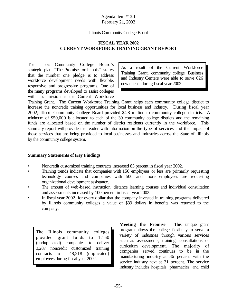#### Illinois Community College Board

### **FISCAL YEAR 2002 CURRENT WORKFORCE TRAINING GRANT REPORT**

The Illinois Community College Board's strategic plan, "The Promise for Illinois," states that the number one pledge is to address workforce development needs with flexible, responsive and progressive programs. One of the many programs developed to assist colleges with this mission is the Current Workforce

As a result of the Current Workforce Training Grant, community college Business and Industry Centers were able to serve 626 new clients during fiscal year 2002.

Training Grant. The Current Workforce Training Grant helps each community college district to increase the noncredit training opportunities for local business and industry. During fiscal year 2002, Illinois Community College Board provided \$4.8 million to community college districts. A minimum of \$50,000 is allocated to each of the 39 community college districts and the remaining funds are allocated based on the number of district residents currently in the workforce. This summary report will provide the reader with information on the type of services and the impact of those services that are being provided to local businesses and industries across the State of Illinois by the community college system.

### **Summary Statements of Key Findings**

- Noncredit customized training contracts increased 85 percent in fiscal year 2002.
- Training trends indicate that companies with 150 employees or less are primarily requesting technology courses and companies with 500 and more employees are requesting organizational development assistance.
- The amount of web-based instruction, distance learning courses and individual consultation and assessments increased by 100 percent in fiscal year 2002.
- In fiscal year 2002, for every dollar that the company invested in training programs delivered by Illinois community colleges a value of \$39 dollars in benefits was returned to the company.

The Illinois community colleges provided grant funds to 1,160 (unduplicated) companies to deliver 3,287 noncredit customized training contracts to 48,218 (duplicated) employees during fiscal year 2002.

**Meeting the Promise**. This unique grant program allows the college flexibility to serve a variety of industries through various services such as assessments, training, consultations or curriculum development. The majority of companies served continues to be in the manufacturing industry at 36 percent with the service industry next at 31 percent. The service industry includes hospitals, pharmacies, and child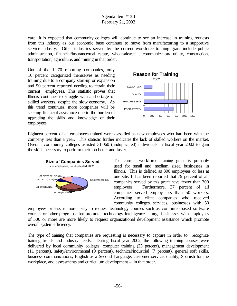care. It is expected that community colleges will continue to see an increase in training requests from this industry as our economic base continues to move from manufacturing to a supportive service industry. Other industries served by the current workforce training grant include public administration, financial/insurance/real estate, wholesale/retail, communication/ utility, construction, transportation, agriculture, and mining in that order.

Out of the 1,270 reporting companies, only 10 percent categorized themselves as needing training due to a company start-up or expansion and 90 percent reported needing to retrain their current employees. This statistic proves that Illinois continues to struggle with a shortage of skilled workers, despite the slow economy. As this trend continues, more companies will be seeking financial assistance due to the burden of upgrading the skills and knowledge of their employees.



Eighteen percent of all employees trained were classified as new employees who had been with the company less than a year. This statistic further indicates the lack of skilled workers on the market. Overall, community colleges assisted 31,060 (unduplicated) individuals in fiscal year 2002 to gain the skills necessary to perform their job better and faster.



The current workforce training grant is primarily used for small and medium sized businesses in Illinois. This is defined as 300 employees or less at one site. It has been reported that 79 percent of all companies served by this grant have fewer than 300 employees. Furthermore, 37 percent of all companies served employ less than 50 workers. According to client companies who received community colleges services, businesses with 50

employees or less is more likely to request technology courses such as computer-based software courses or other programs that promote technology intelligence. Large businesses with employees of 500 or more are more likely to request organizational development assistance which promote overall system efficiency.

The type of training that companies are requesting is necessary to capture in order to recognize training trends and industry needs. During fiscal year 2002, the following training courses were delivered by local community colleges: computer training (23 percent), management development (11 percent), safety/environmental (9 percent), technical/industrial (7 percent), general soft skills, business communications, English as a Second Language, customer service, quality, Spanish for the workplace, and assessments and curriculum development – in that order.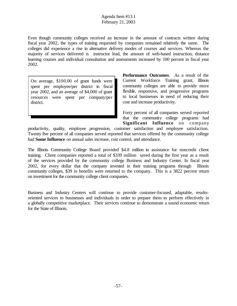Even though community colleges received an increase in the amount of contracts written during fiscal year 2002, the types of training requested by companies remained relatively the same. The colleges did experience a rise in alternative delivery modes of courses and services. Whereas the majority of services delivered is instructor lead, the amount of web-based instruction, distance learning courses and individual consultation and assessments increased by 100 percent in fiscal year 2002.

On average, \$100.00 of grant funds were spent per employee/per district in fiscal year 2002, and an average of \$4,000 of grant resources were spent per company/per district.

**Performance Outcomes**. As a result of the Current Workforce Training grant, Illinois community colleges are able to provide more flexible, responsive, and progressive programs to local businesses in need of reducing their cost and increase productivity.

Forty percent of all companies served reported that the community college programs had **Significant Influence** on company

productivity, quality, employee progression, customer satisfaction and employee satisfaction. Twenty five percent of all companies served reported that services offered by the community college had **Some Influence** on annual sales increase, cost control, and attendance.

The Illinois Community College Board provided \$4.8 million in assistance for noncredit client training. Client companies reported a total of \$339 million saved during the first year as a result of the services provided by the community college Business and Industry Center. In fiscal year 2002, for every dollar that the company invested in their training programs through Illinois community colleges, \$39 in benefits were returned to the company. This is a 3822 percent return on investment for the community college client companies.

Business and Industry Centers will continue to provide customer-focused, adaptable, resultsoriented services to businesses and individuals in order to prepare them to perform effectively in a globally competitive marketplace. Their services continue to demonstrate a sound economic return for the State of Illinois.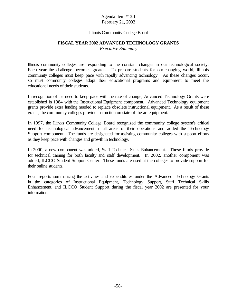#### Illinois Community College Board

#### **FISCAL YEAR 2002 ADVANCED TECHNOLOGY GRANTS**

*Executive Summary*

Illinois community colleges are responding to the constant changes in our technological society. Each year the challenge becomes greater. To prepare students for our-changing world, Illinois community colleges must keep pace with rapidly advancing technology. As these changes occur, so must community colleges adapt their educational programs and equipment to meet the educational needs of their students.

In recognition of the need to keep pace with the rate of change, Advanced Technology Grants were established in 1984 with the Instructional Equipment component. Advanced Technology equipment grants provide extra funding needed to replace obsolete instructional equipment. As a result of these grants, the community colleges provide instruction on state-of-the-art equipment.

In 1997, the Illinois Community College Board recognized the community college system's critical need for technological advancement in all areas of their operations and added the Technology Support component. The funds are designated for assisting community colleges with support efforts as they keep pace with changes and growth in technology.

In 2000, a new component was added, Staff Technical Skills Enhancement. These funds provide for technical training for both faculty and staff development. In 2002, another component was added, ILCCO Student Support Center. These funds are used at the colleges to provide support for their online students.

Four reports summarizing the activities and expenditures under the Advanced Technology Grants in the categories of Instructional Equipment, Technology Support, Staff Technical Skills Enhancement, and ILCCO Student Support during the fiscal year 2002 are presented for your information.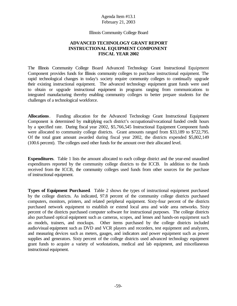#### Illinois Community College Board

#### **ADVANCED TECHNOLOGY GRANT REPORT INSTRUCTIONAL EQUIPMENT COMPONENT FISCAL YEAR 2002**

The Illinois Community College Board Advanced Technology Grant Instructional Equipment Component provides funds for Illinois community colleges to purchase instructional equipment. The rapid technological changes in today's society require community colleges to continually upgrade their existing instructional equipment. The advanced technology equipment grant funds were used to obtain or upgrade instructional equipment in programs ranging from communications to integrated manufacturing thereby enabling community colleges to better prepare students for the challenges of a technological workforce.

**Allocations**. Funding allocation for the Advanced Technology Grant Instructional Equipment Component is determined by multiplying each district's occupational/vocational funded credit hours by a specified rate. During fiscal year 2002, \$5,766,545 Instructional Equipment Component funds were allocated to community college districts. Grant amounts ranged from \$33,189 to \$722,795. Of the total grant amount awarded during fiscal year 2002, the districts expended \$5,802,149 (100.6 percent). The colleges used other funds for the amount over their allocated level.

**Expenditures**. Table 1 lists the amount allocated to each college district and the year-end unaudited expenditures reported by the community college districts to the ICCB. In addition to the funds received from the ICCB, the community colleges used funds from other sources for the purchase of instructional equipment.

**Types of Equipment Purchased**. Table 2 shows the types of instructional equipment purchased by the college districts. As indicated, 97.8 percent of the community college districts purchased computers, monitors, printers, and related peripheral equipment. Sixty-four percent of the districts purchased network equipment to establish or extend local area and wide area networks. Sixty percent of the districts purchased computer software for instructional purposes. The college districts also purchased optical equipment such as cameras, scopes, and lenses and hands-on equipment such as models, trainers, and mockups. Other items purchased by the college districts included audio/visual equipment such as DVD and VCR players and recorders, test equipment and analyzers, and measuring devices such as meters, gauges, and indicators and power equipment such as power supplies and generators. Sixty percent of the college districts used advanced technology equipment grant funds to acquire a variety of workstations, medical and lab equipment, and miscellaneous instructional equipment.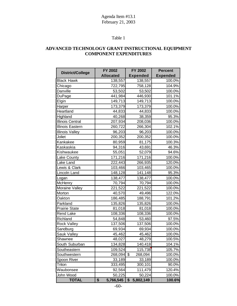# Table 1

### **ADVANCED TECHNOLOGY GRANT INSTRUCTIONAL EQUIPMENT COMPONENT EXPENDITURES**

| <b>District/College</b> | <b>FY 2002</b>   | <b>FY 2002</b>        | <b>Percent</b>  |  |
|-------------------------|------------------|-----------------------|-----------------|--|
|                         | <b>Allocated</b> | <b>Expended</b>       | <b>Expended</b> |  |
| <b>Black Hawk</b>       | 138,557          | 138,557               | 100.0%          |  |
| Chicago                 | 722,795          | 758,128               | 104.9%          |  |
| Danville                | 53,502           | 53,502                | 100.0%          |  |
| DuPage                  | 441,984          | 446,930               | 101.1%          |  |
| Elgin                   | 149,713          | 149,713               | 100.0%          |  |
| Harper                  | 173,379          | 173,379               | 100.0%          |  |
| Heartland               | 44,833           | 44,833                | 100.0%          |  |
| Highland                | 40,268           | 38,359                | 95.3%           |  |
| <b>Illinois Central</b> | 207,934          | 208,036               | 100.0%          |  |
| Illinois Eastern        | 260,722          | 266,304               | 102.1%          |  |
| <b>Illinois Valley</b>  | 96,203           | 96,203                | 100.0%          |  |
| Joliet                  | 200,352          | 200,352               | 100.0%          |  |
| Kankakee                | 80,959           | 81,175                | 100.3%          |  |
| Kaskaskia               | 94,316           | 43,691                | 46.3%           |  |
| Kishwaukee              | 55,051           | 52,079                | 94.6%           |  |
| Lake County             | 171,216          | 171,216               | 100.0%          |  |
| Lake Land               | 222,443          | 266,935               | 120.0%          |  |
| Lewis & Clark           | 103,466          | 103,465               | 100.0%          |  |
| Lincoln Land            | 148,128          | 141,148               | 95.3%           |  |
| Logan                   | 138,477          | 138,477               | 100.0%          |  |
| McHenry                 | 70,794           | 70,794                | 100.0%          |  |
| Moraine Valley          | 221,522          | 221,522               | 100.0%          |  |
| Morton                  | 40,570           | 49,496                | 122.0%          |  |
| Oakton                  | 186,485          | 188,791               | 101.2%          |  |
| Parkland                | 135,826          | 135,826               | 100.0%          |  |
| <b>Prairie State</b>    | 81,018           | 81,018                | 100.0%          |  |
| Rend Lake               | 108,336          | 108,336               | 100.0%          |  |
| Richland                | 54,848           | 53,460                | 97.5%           |  |
| <b>Rock Valley</b>      | 137,506          | 137,506               | 100.0%          |  |
| Sandburg                | 69,934           | 69,934                | 100.0%          |  |
| Sauk Valley             | 45,462           | 45,462                | 100.0%          |  |
| Shawnee                 | 48,027           | 48,279                | 100.5%          |  |
| South Suburban          | 134,828          | 140,418               | 104.1%          |  |
| Southeastern            | 109,524          | 115,738               | 105.7%          |  |
| Southwestern            | 268,094          | $\sqrt{3}$<br>268,094 | 100.0%          |  |
| Spoon River             | 33,189           | 33,189                | 100.0%          |  |
| Triton                  | 333,495          | 300,101               | 90.0%           |  |
| Waubonsee               | 92,564           | 111,479               | 120.4%          |  |
| John Wood               | 50,225           | 50,224                | 100.0%          |  |
| <b>TOTAL</b>            | \$<br>5,766,545  | 5,802,149<br>\$       | 100.6%          |  |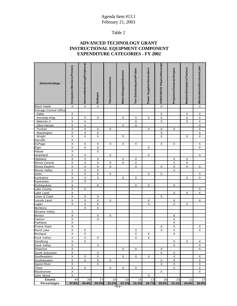# Table 2

# **ADVANCED TECHNOLOGY GRANT INSTRUCTIONAL EQUIPMENT COMPONENT EXPENDITURE CATEGORIES - FY 2002**

| District/College         | Computers/Monitors/Printers | Servers/Networking/Peripherals | <b>Software</b>                         | Telecommunications | Meters/Gauges/Indicators | Test Sets/Analyzers/Probes | Power Supplies/Generators | VCR/CD/DVD Players/Recorder | Projectors/Cameras/Scopes    | Models/Simulators/Trainers | X Workstations/Furniture/Labs                      |
|--------------------------|-----------------------------|--------------------------------|-----------------------------------------|--------------------|--------------------------|----------------------------|---------------------------|-----------------------------|------------------------------|----------------------------|----------------------------------------------------|
| <b>Black Hawk</b>        | Χ                           | $\overline{\mathsf{x}}$        | $\mathsf X$                             |                    |                          |                            |                           | $\overline{X}$              |                              |                            |                                                    |
| Chicago-Central Office   |                             |                                |                                         |                    |                          |                            |                           |                             |                              |                            |                                                    |
| <b>Daley</b>             | $\mathsf X$                 |                                |                                         |                    |                          |                            |                           | X                           |                              | X                          | $\sf X$                                            |
| Kennedy-King             | X                           | X                              | X                                       |                    | X                        | X                          | X                         | X                           |                              | X                          | $\overline{X}$                                     |
| Malcolm X                | X                           | $\overline{\mathsf{x}}$        |                                         |                    |                          | $\overline{X}$             |                           | X                           |                              | X                          | $\overline{\mathsf{X}}$                            |
| Olive-Harvey             | $\overline{\mathsf{X}}$     | $\overline{X}$                 |                                         |                    | X                        | $\overline{X}$             |                           |                             |                              |                            | $\overline{\mathsf{X}}$                            |
| Truman                   | X<br>$\mathsf X$            | Χ<br>$\overline{\mathsf{x}}$   | X<br>$\overline{\mathsf{X}}$            | X                  |                          |                            | X                         | X<br>$\overline{X}$         | X                            |                            | $\overline{\mathsf{X}}$<br>$\overline{\mathsf{X}}$ |
| Washington<br>Wright     | X                           | X                              | Χ                                       |                    | Χ                        |                            |                           | X                           |                              | X                          | Χ                                                  |
| Danville                 | $\overline{X}$              |                                |                                         |                    |                          |                            |                           |                             |                              |                            |                                                    |
| DuPage                   | $\overline{\mathsf{x}}$     | $\overline{X}$                 | Χ                                       | X                  | X                        | Χ                          |                           | X                           | X                            |                            | $\overline{X}$                                     |
| Elgin                    | $\overline{\mathsf{x}}$     | $\overline{\mathsf{x}}$        | $\overline{X}$                          |                    |                          |                            | $\overline{X}$            |                             |                              |                            | $\overline{\mathsf{x}}$                            |
| Harper                   | $\overline{\mathsf{x}}$     |                                | $\overline{\mathsf{x}}$                 |                    |                          |                            |                           |                             |                              |                            |                                                    |
| Heartland                | X                           | Χ                              |                                         | X                  |                          |                            | $\boldsymbol{\mathsf{X}}$ |                             |                              |                            | Χ                                                  |
| Highland                 | $\overline{\mathsf{x}}$     | $\overline{\mathsf{x}}$        | $\overline{\mathsf{X}}$                 |                    | X                        | Χ                          |                           |                             | X                            | Χ                          |                                                    |
| <b>Illinois Central</b>  | Χ                           | $\overline{X}$                 | $\overline{X}$                          | X                  | X                        | $\overline{\mathsf{X}}$    |                           |                             | X                            | $\overline{\mathsf{X}}$    |                                                    |
| <b>Illinois Eastern</b>  | X                           | $\overline{X}$                 | $\overline{\mathsf{X}}$                 | X                  |                          | X                          |                           | X                           | X                            | X                          | X                                                  |
| <b>Illinois Valley</b>   | $\mathsf X$                 | $\overline{X}$                 | $\overline{\mathsf{X}}$                 |                    |                          |                            |                           |                             | X                            |                            |                                                    |
| Joliet                   | $\overline{X}$              | $\overline{\mathsf{x}}$        | $\overline{\mathsf{X}}$                 | X                  |                          |                            | X                         | $\mathsf X$                 |                              |                            | X                                                  |
| Kankakee                 | X                           | X                              | $\overline{X}$                          |                    | X                        | Χ                          |                           |                             |                              | X                          | X                                                  |
| Kaskaskia                | $\overline{X}$              | $\overline{\mathsf{x}}$        |                                         |                    |                          |                            |                           |                             |                              |                            |                                                    |
| Kishwaukee               | X                           |                                | $\overline{X}$                          |                    |                          | $\sf X$                    | $\mathsf X$               |                             | X                            |                            |                                                    |
| Lake County              | $\overline{\mathsf{x}}$     | $\overline{X}$                 |                                         |                    |                          |                            |                           |                             |                              |                            | X                                                  |
| Lake Land                | Χ                           |                                |                                         |                    |                          |                            |                           |                             | X                            | X                          | X                                                  |
| Lewis & Clark            | X                           | X                              | X                                       |                    |                          |                            |                           | X                           |                              |                            |                                                    |
| Lincoln Land             | X                           | $\overline{X}$                 | $\overline{X}$                          | X                  |                          |                            | $\mathsf{X}$              |                             | X                            |                            | X                                                  |
| Logan                    | $\overline{\mathsf{X}}$     | $\overline{\mathsf{x}}$        | $\overline{\mathsf{X}}$                 |                    |                          |                            | $\overline{\mathsf{X}}$   |                             | X                            | X                          |                                                    |
| <b>McHenry</b>           |                             | X                              | X                                       |                    |                          |                            |                           |                             |                              |                            |                                                    |
| Moraine Valley<br>Morton | $\mathsf X$<br>X            |                                |                                         | X                  |                          |                            |                           |                             |                              |                            |                                                    |
| Oakton                   | $\overline{\mathsf{x}}$     |                                | $\mathsf{X}$<br>$\overline{\mathsf{X}}$ |                    |                          |                            |                           |                             | Х<br>$\overline{\mathsf{x}}$ |                            |                                                    |
| Parkland                 | Χ                           |                                |                                         |                    |                          |                            |                           |                             | Χ                            |                            |                                                    |
| <b>Prairie State</b>     | $\overline{X}$              |                                |                                         |                    |                          |                            |                           | X                           | X                            |                            | Χ                                                  |
| <b>Rend Lake</b>         | $\overline{\mathsf{x}}$     | Χ                              |                                         |                    |                          | Χ                          |                           | $\overline{\mathsf{x}}$     | $\overline{\mathsf{x}}$      |                            | Χ                                                  |
| Richland                 | $\overline{\mathsf{x}}$     | $\overline{\mathsf{x}}$        |                                         |                    |                          | $\overline{\mathsf{x}}$    | X                         |                             | $\overline{\mathsf{x}}$      |                            |                                                    |
| <b>Rock Valley</b>       | X                           | Χ                              | X                                       |                    |                          | X                          | X                         |                             |                              |                            |                                                    |
| Sandburg                 | $\overline{\mathsf{X}}$     | X                              |                                         |                    |                          |                            |                           |                             | $\overline{\mathsf{X}}$      | X                          | $\sf X$                                            |
| Sauk Valley              | X                           |                                | X                                       |                    |                          |                            |                           |                             | X                            |                            | X                                                  |
| Shawnee                  | X                           |                                |                                         |                    | X                        | X                          |                           | X                           |                              |                            | X                                                  |
| South Suburban           | $\mathsf{X}$                |                                | X                                       |                    |                          |                            |                           | X                           | $\mathsf{X}$                 |                            |                                                    |
| Southeastern             | X                           | X                              | $\mathsf{X}$                            |                    | X                        | Х                          | X                         |                             | X                            |                            | $\sf X$                                            |
| Southwestern             | $\overline{X}$              | $\mathsf X$                    | $\overline{X}$                          | X                  |                          |                            |                           | X                           | $\overline{X}$               |                            | $\overline{\mathsf{X}}$                            |
| Spoon River              | $\times$                    |                                | $\mathsf{X}$                            |                    |                          |                            |                           | X                           | $\times$                     |                            | $\times$                                           |
| Triton                   | $\overline{\mathsf{X}}$     | X                              |                                         | X                  | X                        | X                          |                           |                             | $\overline{X}$               |                            | $\overline{\mathsf{X}}$                            |
| Waubonsee                | X                           |                                |                                         |                    |                          |                            |                           | X                           |                              |                            | X                                                  |
| John Wood                | X                           |                                |                                         |                    |                          |                            | X                         |                             |                              |                            |                                                    |
| Counts                   | 44                          | 29                             | 27                                      | 10                 | 10                       | 15                         | 12                        | 18                          | 23                           | 11                         | 27                                                 |
| Percentages              | 97.8%                       | 64.4%                          | 60.0%                                   | 22.2%              | 22.2%                    | 33.3%                      | 26.7%                     | 40.0%                       | 51.1%                        | 24.4%                      | 60.0%                                              |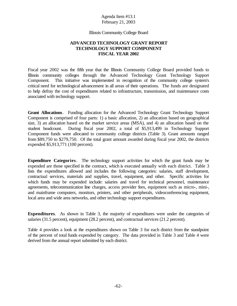Illinois Community College Board

### **ADVANCED TECHNOLOGY GRANT REPORT TECHNOLOGY SUPPORT COMPONENT FISCAL YEAR 2002**

Fiscal year 2002 was the fifth year that the Illinois Community College Board provided funds to Illinois community colleges through the Advanced Technology Grant Technology Support Component. This initiative was implemented in recognition of the community college system's critical need for technological advancement in all areas of their operations. The funds are designated to help defray the cost of expenditures related to infrastructure, transmission, and maintenance costs associated with technology support.

**Grant Allocations**. Funding allocation for the Advanced Technology Grant Technology Support Component is comprised of four parts: 1) a basic allocation, 2) an allocation based on geographical size, 3) an allocation based on the market service areas (MSA), and 4) an allocation based on the student headcount. During fiscal year 2002, a total of \$5,913,499 in Technology Support Component funds were allocated to community college districts (Table 3). Grant amounts ranged from \$89,750 to \$279,750. Of the total grant amount awarded during fiscal year 2002, the districts expended \$5,913,771 (100 percent).

**Expenditure Categories**. The technology support activities for which the grant funds may be expended are those specified in the contract, which is executed annually with each district. Table 3 lists the expenditures allowed and includes the following categories: salaries, staff development, contractual services, materials and supplies, travel, equipment, and other. Specific activities for which funds may be expended include: salaries and travel for technical personnel, maintenance agreements, telecommunication line charges, access provider fees, equipment such as micro-, mini-, and mainframe computers, monitors, printers, and other peripherals, videoconferencing equipment, local area and wide area networks, and other technology support expenditures.

**Expenditures**. As shown in Table 3, the majority of expenditures were under the categories of salaries (31.5 percent), equipment (28.2 percent), and contractual services (21.2 percent).

Table 4 provides a look at the expenditures shown on Table 3 for each district from the standpoint of the percent of total funds expended by category. The data provided in Table 3 and Table 4 were derived from the annual report submitted by each district.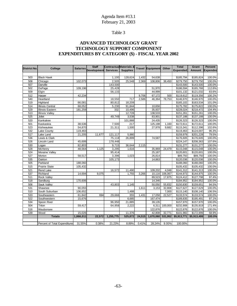# Table 3

## **ADVANCED TECHNOLOGY GRANT TECHNOLOGY SUPPORT COMPONENT EXPENDITURES BY CATEGORY (\$) - FISCAL YEAR 2002**

| <b>District No.</b> | College                       | <b>Salaries</b> | <b>Staff</b>         | <b>ContractualMaterials &amp;</b> |                 |        | Travel Equipment | Other   | <b>Total</b>    | Grant       | Percent         |
|---------------------|-------------------------------|-----------------|----------------------|-----------------------------------|-----------------|--------|------------------|---------|-----------------|-------------|-----------------|
|                     |                               |                 | Development Services |                                   | <b>Supplies</b> |        |                  |         | <b>Expended</b> | Amount      | <b>Expended</b> |
|                     |                               |                 |                      |                                   |                 |        |                  |         |                 |             |                 |
| 503                 | <b>Black Hawk</b>             |                 |                      | 1,100                             | 128,624         | 1,432  | 54,638           |         | \$185,794       | \$185,824   | 100.0%          |
| 508                 | Chicago                       | 102,073         |                      | 2,505                             | 25,548          | 2,369  | 108,806          | 38,450  | \$279,750       | \$279,750   | 100.0%          |
| 507                 | Danville                      |                 |                      | 143,500                           |                 |        |                  |         | \$143,500       | \$143,500   | 100.0%          |
| 502                 | DuPage                        | 109,196         |                      | 25,428                            |                 |        | 51,970           |         | \$186,594       | \$165,766   | 112.6%          |
| 509                 | Elgin                         |                 |                      | 56,133                            |                 |        | 44,999           |         | \$101,132       | \$121,032   | 83.6%           |
| 512                 | Harper                        | 42,234          |                      |                                   |                 | 9,706  | 67,172           | 500     | \$119,612       | \$119,356   | 100.2%          |
| 540                 | Heartland                     |                 |                      | 18,550                            | 717             | 2,586  | 46,364           | 78,753  | \$146,970       | \$146,970   | 100.0%          |
| 519                 | Highland                      | 66,081          |                      | 80,812                            | 18,209          |        |                  |         | \$165,102       | \$163,534   | 101.0%          |
| 514                 | <b>Illinois Central</b>       | 68,052          |                      | 5,230                             | 91,844          |        | 10,656           |         | \$175,782       | \$175,822   | 100.0%          |
| 529                 | <b>Illinois Eastern</b>       | 181,259         |                      | 332                               | 10,496          |        | 35,937           |         | \$228,024       | \$218,472   | 104.4%          |
| 513                 | <b>Illinois Valley</b>        |                 |                      |                                   | 12,728          |        | 138,533          |         | \$151,261       | \$151,261   | 100.0%          |
| 525                 | Joliet                        |                 |                      | 49,749                            | 3,538           |        | 83,901           |         | \$137,188       | \$137,188   | 100.0%          |
| 520                 | Kankakee                      |                 |                      |                                   | 101,888         |        | 24,435           |         | \$126,323       | \$126,323   | 100.0%          |
| 501                 | Kaskaskia                     | 38,536          |                      | 7,500                             | 217             |        | 125,198          | 1,160   | \$172,611       | \$172,611   | 100.0%          |
| 523                 | Kishwaukee                    | 54,870          |                      | 21,311                            | 1,500           |        | 27,978           | 9,682   | \$115,341       | \$112,396   | 102.6%          |
| 532                 | Lake County                   | 119,463         |                      |                                   |                 |        |                  |         | \$119,463       | \$124,007   | 96.3%           |
| 517                 | Lake Land                     | 21,205          | 11,677               | 121,117                           | 5,980           |        |                  |         | \$159,979       | \$201,228   | 79.5%           |
| 536                 | Lewis & Clark                 |                 |                      | 75,118                            | 26,899          |        | 74,587           |         | \$176,605       | \$176,605   | 100.0%          |
| 526                 | Lincoln Land                  | 45,699          |                      | 178,448                           |                 |        |                  |         | \$224,147       | \$208,363   | 107.6%          |
| 530                 | Logan                         | 82,803          |                      | 9,715                             | 36,644          | 2,115  |                  |         | \$131,277       | \$131,277   | 100.0%          |
| 528                 | McHenry                       | 48,564          | 1,125                | 3,295                             | 1,616           |        | 35,969           | 24,479  | \$115,048       | \$115,048   | 100.0%          |
| 524                 | Moraine Valley                |                 |                      | 95,414                            |                 |        | 25,187           |         | \$120,601       | \$120,601   | 100.0%          |
| 527                 | Morton                        | 58,517          |                      | 3,396                             | 1,023           |        | 26,814           |         | \$89,750        | \$89,750    | 100.0%          |
| 535                 | Oakton                        |                 |                      | 105,173                           |                 |        | 14,863           |         | \$120,036       | \$120,036   | 100.0%          |
| 505                 | Parkland                      | 188,060         |                      |                                   |                 |        |                  |         | \$188,060       | \$188,060   | 100.0%          |
| 515                 | <b>Prairie State</b>          | 105,432         |                      |                                   |                 |        |                  |         | \$105,432       | \$105,432   | 100.0%          |
| 521                 | Rend Lake                     |                 |                      | 16,572                            | 11,490          |        | 109,202          | 4,048   | \$141,312       | \$141,313   | 100.0%          |
| 537                 | Richland                      | 14,694          | 9.075                |                                   | 1.755           | 3,266  | 10,116           | 106,067 | \$144,973       | \$144,975   | 100.0%          |
| 511                 | <b>Rock Valley</b>            |                 |                      |                                   |                 |        | 89,523           | 17,875  | \$124,412       | \$127,798   | 97.4%           |
| 518                 | Sandburg                      | 170,606         |                      |                                   |                 |        | 14,346           |         | \$184,952       | \$184,952   | 100.0%          |
| 506                 | Sauk Valley                   |                 |                      | 43,803                            | 1,145           |        | 50,050           | 55,832  | \$150,830       | \$159,651   | 94.5%           |
| 531                 | Shawnee                       | 90,055          |                      |                                   |                 | 1,611  | 3,153            | 32,808  | \$127,627       | \$127,629   | 100.0%          |
| 510                 | South Suburban                | 106,652         |                      |                                   | 1,488           |        |                  | 7,000   | \$115,140       | \$108,140   | 106.5%          |
| 533                 | Southeastern                  | 61,842          | 694                  | 29,666                            | 355             | 1,431  | 17,058           | 22,527  | \$133,574       | \$133,574   | 100.0%          |
| 522                 | Southwestern                  | 15,676          |                      |                                   | 6,685           |        | 167,474          |         | \$189,835       | \$195,491   | 97.1%           |
| 534                 | Spoon River                   |                 |                      | 96,950                            | 21,885          |        | 39,135           |         | \$157,970       | \$157,970   | 100.0%          |
| 504                 | Triton                        | 59,417          |                      | 64,958                            | 2,222           |        | 6,311            | 100,000 | \$232,908       | \$135,919   | 171.4%          |
| 516                 | Waubonsee                     |                 |                      |                                   |                 |        | 122,876          |         | \$122,876       | \$122,876   | 100.0%          |
| 539                 | Wood                          | 15,026          |                      |                                   | 11,376          |        | 42,808           | 32,771  | \$101,982       | \$172,999   | 58.9%           |
|                     | <b>Totals</b>                 | 1,866,011       | 22,572               | 1,255,775                         | 525,872         | 24,515 | 1,670,060        | 531,952 | \$5,913,771     | \$5,913,499 | 100.0%          |
|                     |                               |                 |                      |                                   |                 |        |                  |         |                 |             |                 |
|                     | Percent of Total Expenditures | 31.55%          | 0.38%                | 21.23%                            | 8.89%           | 0.41%  | 28.24%           | 9.00%   | 100.00%         |             |                 |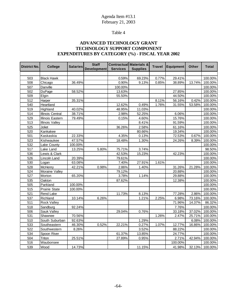# Table 4

## **ADVANCED TECHNOLOGY GRANT TECHNOLOGY SUPPORT COMPONENT EXPENDITURES BY CATEGORY (%) - FISCAL YEAR 2002**

| <b>District No.</b> | <b>College</b>         | <b>Salaries</b> | <b>Staff</b><br><b>Development</b> | <b>Services</b> | <b>Contractual Materials &amp;</b><br><b>Supplies</b> | <b>Travel</b> | <b>Equipment</b> | Other  | <b>Total</b> |
|---------------------|------------------------|-----------------|------------------------------------|-----------------|-------------------------------------------------------|---------------|------------------|--------|--------------|
|                     |                        |                 |                                    |                 |                                                       |               |                  |        |              |
| 503                 | <b>Black Hawk</b>      |                 |                                    | 0.59%           | 69.23%                                                | 0.77%         | 29.41%           |        | 100.00%      |
| 508                 | Chicago                | 36.49%          |                                    | 0.90%           | 9.13%                                                 | 0.85%         | 38.89%           | 13.74% | 100.00%      |
| 507                 | Danville               |                 |                                    | 100.00%         |                                                       |               |                  |        | 100.00%      |
| 502                 | DuPage                 | 58.52%          |                                    | 13.63%          |                                                       |               | 27.85%           |        | 100.00%      |
| 509                 | Elgin                  |                 |                                    | 55.50%          |                                                       |               | 44.50%           |        | 100.00%      |
| 512                 | Harper                 | 35.31%          |                                    |                 |                                                       | 8.11%         | 56.16%           | 0.42%  | 100.00%      |
| 540                 | Heartland              |                 |                                    | 12.62%          | 0.49%                                                 | 1.76%         | 31.55%           | 53.58% | 100.00%      |
| 519                 | Highland               | 40.02%          |                                    | 48.95%          | 11.03%                                                |               |                  |        | 100.00%      |
| 514                 | Illinois Central       | 38.71%          |                                    | 2.98%           | 52.25%                                                |               | 6.06%            |        | 100.00%      |
| 529                 | Illinois Eastern       | 79.49%          |                                    | 0.15%           | 4.60%                                                 |               | 15.76%           |        | 100.00%      |
| 513                 | <b>Illinois Valley</b> |                 |                                    |                 | 8.41%                                                 |               | 91.59%           |        | 100.00%      |
| 525                 | Joliet                 |                 |                                    | 36.26%          | 2.58%                                                 |               | 61.16%           |        | 100.00%      |
| 520                 | Kankakee               |                 |                                    |                 | 80.66%                                                |               | 19.34%           |        | 100.00%      |
| 501                 | Kaskaskia              | 22.33%          |                                    | 4.35%           | 0.13%                                                 |               | 72.53%           | 0.67%  | 100.00%      |
| 523                 | Kishwaukee             | 47.57%          |                                    | 18.48%          | 1.30%                                                 |               | 24.26%           | 8.39%  | 100.00%      |
| 532                 | Lake County            | 100.00%         |                                    |                 |                                                       |               |                  |        | 100.00%      |
| 517                 | Lake Land              | 13.25%          | 5.80%                              | 75.71%          | 3.74%                                                 |               |                  |        | 98.50%       |
| 536                 | Lewis & Clark          |                 |                                    | 42.53%          | 15.23%                                                |               | 42.23%           |        | 100.00%      |
| 526                 | Lincoln Land           | 20.39%          |                                    | 79.61%          |                                                       |               |                  |        | 100.00%      |
| 530                 | Logan                  | 63.08%          |                                    | 7.40%           | 27.91%                                                | 1.61%         |                  |        | 100.00%      |
| 528                 | McHenry                | 42.21%          | 0.98%                              | 2.86%           | 1.40%                                                 |               | 31.26%           | 21.28% | 100.00%      |
| 524                 | Moraine Valley         |                 |                                    | 79.12%          |                                                       |               | 20.88%           |        | 100.00%      |
| 527                 | Morton                 | 65.20%          |                                    | 3.78%           | 1.14%                                                 |               | 29.88%           |        | 100.00%      |
| 535                 | Oakton                 |                 |                                    | 87.62%          |                                                       |               | 12.38%           |        | 100.00%      |
| 505                 | Parkland               | 100.00%         |                                    |                 |                                                       |               |                  |        | 100.00%      |
| 515                 | <b>Prairie State</b>   | 100.00%         |                                    |                 |                                                       |               |                  |        | 100.00%      |
| 521                 | Rend Lake              |                 |                                    | 11.73%          | 8.13%                                                 |               | 77.28%           | 2.86%  | 100.00%      |
| 537                 | Richland               | 10.14%          | 6.26%                              |                 | 1.21%                                                 | 2.25%         | 6.98%            | 73.16% | 100.00%      |
| 511                 | <b>Rock Valley</b>     |                 |                                    |                 |                                                       |               | 71.96%           | 14.37% | 86.32%       |
| 518                 | Sandburg               | 92.24%          |                                    |                 |                                                       |               | 7.76%            |        | 100.00%      |
| 506                 | Sauk Valley            |                 |                                    | 29.04%          | 0.76%                                                 |               | 33.18%           | 37.02% | 100.00%      |
| 531                 | Shawnee                | 70.56%          |                                    |                 |                                                       | 1.26%         | 2.47%            | 25.71% | 100.00%      |
| 510                 | South Suburban         | 92.63%          |                                    |                 | 1.29%                                                 |               |                  | 6.08%  | 100.00%      |
| 533                 | Southeastern           | 46.30%          | 0.52%                              | 22.21%          | 0.27%                                                 | 1.07%         | 12.77%           | 16.86% | 100.00%      |
| 522                 | Southwestern           | 8.26%           |                                    |                 | 3.52%                                                 |               | 88.22%           |        | 100.00%      |
| 534                 | Spoon River            |                 |                                    | 61.37%          | 13.85%                                                |               | 24.77%           |        | 100.00%      |
| 504                 | Triton                 | 25.51%          |                                    | 27.89%          | 0.95%                                                 |               | 2.71%            | 42.94% | 100.00%      |
| 516                 | Waubonsee              |                 |                                    |                 |                                                       |               | 100.00%          |        | 100.00%      |
| 539                 | Wood                   | 14.73%          |                                    |                 | 11.15%                                                |               | 41.98%           | 32.13% | 100.00%      |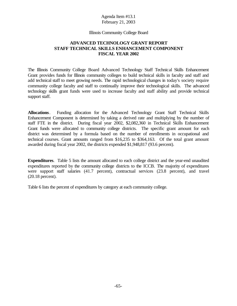#### Illinois Community College Board

#### **ADVANCED TECHNOLOGY GRANT REPORT STAFF TECHNICAL SKILLS ENHANCEMENT COMPONENT FISCAL YEAR 2002**

The Illinois Community College Board Advanced Technology Staff Technical Skills Enhancement Grant provides funds for Illinois community colleges to build technical skills in faculty and staff and add technical staff to meet growing needs. The rapid technological changes in today's society require community college faculty and staff to continually improve their technological skills. The advanced technology skills grant funds were used to increase faculty and staff ability and provide technical support staff.

**Allocations**. Funding allocation for the Advanced Technology Grant Staff Technical Skills Enhancement Component is determined by taking a derived rate and multiplying by the number of staff FTE in the district. During fiscal year 2002, \$2,082,360 in Technical Skills Enhancement Grant funds were allocated to community college districts. The specific grant amount for each district was determined by a formula based on the number of enrollments in occupational and technical courses. Grant amounts ranged from \$16,235 to \$364,163. Of the total grant amount awarded during fiscal year 2002, the districts expended \$1,948,817 (93.6 percent).

**Expenditures**. Table 5 lists the amount allocated to each college district and the year-end unaudited expenditures reported by the community college districts to the ICCB. The majority of expenditures were support staff salaries (41.7 percent), contractual services (23.8 percent), and travel (20.18 percent).

Table 6 lists the percent of expenditures by category at each community college.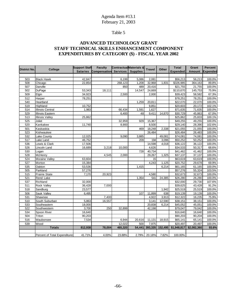# Table 5

# **ADVANCED TECHNOLOGY GRANT STAFF TECHNICAL SKILLS ENHANCEMENT COMPONENT EXPENDITURES BY CATEGORY (\$) - FISCAL YEAR 2002**

| <b>District No.</b> | College                       | <b>Support Staff</b> | <b>Faculty</b>                 | <b>ContractualMaterials &amp;</b> |        | <b>Travel</b> | <b>Other</b> | <b>Total</b>         | Grant         | Percent         |
|---------------------|-------------------------------|----------------------|--------------------------------|-----------------------------------|--------|---------------|--------------|----------------------|---------------|-----------------|
|                     |                               | <b>Salaries</b>      | Compensation Services Supplies |                                   |        |               |              | <b>Expended</b>      | <b>Amount</b> | <b>Expended</b> |
|                     |                               |                      |                                |                                   |        |               |              |                      |               |                 |
| 503                 | <b>Black Hawk</b>             | 42,847               |                                | 6,199                             | 5,086  | 2,081         |              | \$56,213             | 56,213        | 100.0%          |
| 508                 | Chicago                       | 22,854               |                                | 268,123                           | 1,208  | 32,968        | 1,831        | \$326,985            | 364,163       | 89.8%           |
| 507                 | Danville                      |                      |                                | 850                               | 489    | 20,416        |              | \$21,755             | 21,755        | 100.0%          |
| 502                 | DuPage                        | 53,343               | 18,111                         |                                   | 14,547 | 24,669        |              | \$110,670            | 145,753       | 75.9%           |
| 509                 | Elgin                         | 34,923               |                                | 2,500                             |        | 2,000         |              | \$39,423             | 58,582        | 67.3%           |
| 512                 | Harper                        | 78,251               |                                |                                   |        |               |              | \$78,251             | 78,251        | 100.0%          |
| 540                 | Heartland                     |                      |                                |                                   | 1,259  | 20,811        |              | \$22,070             | 22,070        | 100.0%          |
| 519                 | Highland                      | 10,752               |                                |                                   |        | 9,851         |              | \$20,603             | 20,172        | 102.1%          |
| 514                 | <b>Illinois Central</b>       | 1,983                |                                | 66,434                            | 1,591  | 1,627         |              | \$71,635             | 71,635        | 100.0%          |
| 529                 | Illinois Eastern              |                      |                                | 6,400                             | 48     | 9,411         | 14,870       | \$30,729             | 45,863        | 67.0%           |
| 513                 | <b>Illinois Valley</b>        | 25,862               |                                |                                   |        |               |              | \$25,862             | 25,833        | 100.1%          |
| 525                 | Joliet                        |                      |                                | 32,959                            | 929    | 15,367        |              | \$49,255             | 49,255        | 100.0%          |
| 520                 | Kankakee                      | 11,740               |                                | 8,900                             |        | 8,500         |              | \$29,140             | 28,390        | 102.6%          |
| 501                 | Kaskaskia                     |                      |                                |                                   | 469    | 18,248        | 2,338        | $\overline{$21,055}$ | 21,055        | 100.0%          |
| 523                 | Kishwaukee                    |                      |                                |                                   |        | 26,484        |              | \$26,484             | 26,483        | 100.0%          |
| 532                 | Lake County                   | 12,025               |                                | 9,090                             | 3,885  |               | 49,081       | \$74,081             | 74,081        | 100.0%          |
| 517                 | Lake Land                     | 46,752               |                                |                                   | 209    | 194           | 3,096        | \$50,252             | 50,252        | 100.0%          |
| 536                 | Lewis & Clark                 | 17,506               |                                |                                   |        | 14,598        | 4,018        | \$36,122             | 36,122        | 100.0%          |
| 526                 | Lincoln Land                  | 16,689               | 3,218                          | 10,000                            |        | 4,626         |              | \$34,533             | 50,317        | 68.6%           |
| 530                 | Logan                         |                      |                                |                                   | 728    | 40,734        |              | \$41,462             | 41,462        | 100.0%          |
| 528                 | McHenry                       |                      | 4,545                          | 2,000                             |        | 29,267        | 1,325        | \$37,137             | 37,137        | 100.0%          |
| 524                 | Moraine Valley                | 63,604               |                                |                                   |        | 15            |              | \$63,619             | 63,619        | 100.0%          |
| 527                 | Morton                        | 15,384               |                                |                                   |        | 4,243         | 1,125        | $\overline{$20,752}$ | 29,678        | 69.9%           |
| 535                 | Oakton                        | 53,536               |                                |                                   | 1,415  |               | 6,214        | \$61,165             | 61,165        | 100.0%          |
| 505                 | Parkland                      | 57,276               |                                |                                   |        |               |              | \$57,276             | 55,324        | 103.5%          |
| 515                 | Prairie State                 | 7,170                | 20,923                         |                                   |        | 4,580         |              | \$32,673             | 32,673        | 100.0%          |
| 521                 | Rend Lake                     |                      |                                |                                   | 1,354  | 541           | 24,385       | \$26,280             | 26,280        | 100.0%          |
| 537                 | Richland                      | 32,000               |                                |                                   |        |               |              | \$32,000             | 29,730        | 107.6%          |
| $\overline{511}$    | Rock Valley                   | 36,428               | 7,000                          |                                   |        |               |              | \$39,625             | 43,428        | 91.2%           |
| 518                 | Sandburg                      | 23,577               |                                |                                   |        |               | 1,942        | \$25,519             | 25,519        | 100.0%          |
| 506                 | Sauk Valley                   | 6,495                |                                |                                   | 107    | 11,899        | 638          | \$19,139             | 19,139        | 100.0%          |
| 531                 | Shawnee                       |                      | 7,400                          |                                   |        | 4,922         | 3,913        | \$12,322             | 16,235        | 75.9%           |
| 510                 | South Suburban                | 5,863                | 16,557                         |                                   |        | 3,141         | 12,590       | \$38,151             | 38,151        | 100.0%          |
| 533                 | Southeastern                  | 18,000               |                                |                                   |        | 20,838        | 6,214        | \$45,052             | 45,051        | 100.0%          |
| 522                 | Southwestern                  | 3,700                | 250                            | 32,899                            |        | 42,198        |              | \$79,047             | 79,042        | 100.0%          |
| 534                 | Spoon River                   | 16,640               |                                |                                   |        |               |              | \$16,640             | 16,640        | 100.0%          |
| 504                 | Triton                        | 90,203               |                                |                                   |        |               |              | \$90,203             | 90,204        | 100.0%          |
| 516                 | Waubonsee                     | 7,534                |                                | 6,944                             | 20,616 | 11,131        | 18,915       | \$65,141             | 65,141        | 100.0%          |
| 539                 | Wood                          |                      |                                | 12,022                            | 500    | 7,975         |              | \$20,497             | 20,497        | 100.0%          |
|                     | <b>Totals</b>                 | 812,938              | 78,004                         | 465,320                           | 54,441 | 393,335       | 152,495      | \$1,948,817          | \$2,082,360   | 93.6%           |
|                     |                               |                      |                                |                                   |        |               |              |                      |               |                 |
|                     | Percent of Total Expenditures | 41.71%               | 4.00%                          | 23.88%                            | 2.79%  | 20.18%        | 7.82%        | 100.00%              |               |                 |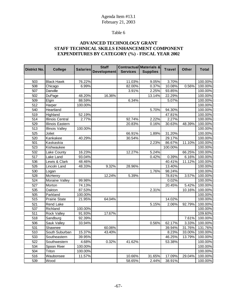# Table 6

## **ADVANCED TECHNOLOGY GRANT STAFF TECHNICAL SKILLS ENHANCEMENT COMPONENT EXPENDITURES BY CATEGORY (%) - FISCAL YEAR 2002**

| <b>District No.</b> | <b>College</b>          | <b>Salaries</b> | <b>Staff</b><br><b>Development</b> | <b>Services</b> | Contractual Materials &<br><b>Supplies</b> | <b>Travel</b> | <b>Other</b> | <b>Total</b> |
|---------------------|-------------------------|-----------------|------------------------------------|-----------------|--------------------------------------------|---------------|--------------|--------------|
|                     |                         |                 |                                    |                 |                                            |               |              |              |
| 503                 | <b>Black Hawk</b>       | 76.22%          |                                    | 11.03%          | 9.05%                                      | 3.70%         |              | 100.00%      |
| 508                 | Chicago                 | 6.99%           |                                    | 82.00%          | 0.37%                                      | 10.08%        | 0.56%        | 100.00%      |
| 507                 | <b>Danville</b>         |                 |                                    | 3.91%           | 2.25%                                      | 93.85%        |              | 100.00%      |
| 502                 | DuPage                  | 48.20%          | 16.36%                             |                 | 13.14%                                     | 22.29%        |              | 100.00%      |
| 509                 | Elgin                   | 88.59%          |                                    | 6.34%           |                                            | 5.07%         |              | 100.00%      |
| 512                 | Harper                  | 100.00%         |                                    |                 |                                            |               |              | 100.00%      |
| 540                 | Heartland               |                 |                                    |                 | 5.70%                                      | 94.30%        |              | 100.00%      |
| $\overline{519}$    | Highland                | 52.19%          |                                    |                 |                                            | 47.81%        |              | 100.00%      |
| $\overline{514}$    | <b>Illinois Central</b> | 2.77%           |                                    | 92.74%          | 2.22%                                      | 2.27%         |              | 100.00%      |
| 529                 | Illinois Eastern        |                 |                                    | 20.83%          | 0.16%                                      | 30.63%        | 48.39%       | 100.00%      |
| 513                 | <b>Illinois Valley</b>  | 100.00%         |                                    |                 |                                            |               |              | 100.00%      |
| 525                 | Joliet                  |                 |                                    | 66.91%          | 1.89%                                      | 31.20%        |              | 100.00%      |
| 520                 | Kankakee                | 40.29%          |                                    | 30.54%          |                                            | 29.17%        |              | 100.00%      |
| 501                 | Kaskaskia               |                 |                                    |                 | 2.23%                                      | 86.67%        | 11.10%       | 100.00%      |
| 523                 | Kishwaukee              |                 |                                    |                 |                                            | 100.00%       |              | 100.00%      |
| 532                 | Lake County             | 16.23%          |                                    | 12.27%          | $\overline{5.24\%}$                        |               | 66.25%       | 100.00%      |
| 517                 | Lake Land               | 93.04%          |                                    |                 | 0.42%                                      | 0.39%         | 6.16%        | 100.00%      |
| 536                 | Lewis & Clark           | 48.46%          |                                    |                 |                                            | 40.41%        | 11.12%       | 100.00%      |
| 526                 | <b>Lincoln Land</b>     | 48.33%          | 9.32%                              | 28.96%          |                                            | 13.40%        |              | 100.00%      |
| 530                 | Logan                   |                 |                                    |                 | 1.76%                                      | 98.24%        |              | 100.00%      |
| 528                 | McHenry                 |                 | 12.24%                             | 5.39%           |                                            | 78.81%        | 3.57%        | 100.00%      |
| 524                 | <b>Moraine Valley</b>   | 99.98%          |                                    |                 |                                            | 0.02%         |              | 100.00%      |
| 527                 | Morton                  | 74.13%          |                                    |                 |                                            | 20.45%        | 5.42%        | 100.00%      |
| 535                 | Oakton                  | 87.53%          |                                    |                 | 2.31%                                      |               | 10.16%       | 100.00%      |
| 505                 | Parkland                | 100.00%         |                                    |                 |                                            |               |              | 100.00%      |
| $\overline{515}$    | <b>Prairie State</b>    | 21.95%          | 64.04%                             |                 |                                            | 14.02%        |              | 100.00%      |
| $\overline{521}$    | <b>Rend Lake</b>        |                 |                                    |                 | 5.15%                                      | 2.06%         | 92.79%       | 100.00%      |
| 537                 | Richland                | 100.00%         |                                    |                 |                                            |               |              | 100.00%      |
| 511                 | Rock Valley             | 91.93%          | 17.67%                             |                 |                                            |               |              | 109.60%      |
| 518                 | Sandburg                | 92.39%          |                                    |                 |                                            |               | 7.61%        | 100.00%      |
| 506                 | Sauk Valley             | 33.94%          |                                    |                 | 0.56%                                      | 62.17%        | 3.33%        | 100.00%      |
| 531                 | Shawnee                 |                 | 60.06%                             |                 |                                            | 39.94%        | 31.76%       | 131.76%      |
| 510                 | South Suburban          | 15.37%          | 43.40%                             |                 |                                            | 8.23%         | 33.00%       | 100.00%      |
| 533                 | Southeastern            | 39.95%          |                                    |                 |                                            | 46.25%        | 13.79%       | 100.00%      |
| 522                 | Southwestern            | 4.68%           | 0.32%                              | 41.62%          |                                            | 53.38%        |              | 100.00%      |
| 534                 | Spoon River             | 100.00%         |                                    |                 |                                            |               |              | 100.00%      |
| 504                 | Triton                  | 100.00%         |                                    |                 |                                            |               |              | 100.00%      |
| 516                 | Waubonsee               | 11.57%          |                                    | 10.66%          | 31.65%                                     | 17.09%        | 29.04%       | 100.00%      |
| 539                 | Wood                    |                 |                                    | 58.65%          | 2.44%                                      | 38.91%        |              | 100.00%      |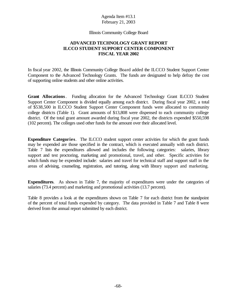Illinois Community College Board

### **ADVANCED TECHNOLOGY GRANT REPORT ILCCO STUDENT SUPPORT CENTER COMPONENT FISCAL YEAR 2002**

In fiscal year 2002, the Illinois Community College Board added the ILCCO Student Support Center Component to the Advanced Technology Grants. The funds are designated to help defray the cost of supporting online students and other online activities.

**Grant Allocations**. Funding allocation for the Advanced Technology Grant ILCCO Student Support Center Component is divided equally among each district. During fiscal year 2002, a total of \$538,500 in ILCCO Student Support Center Component funds were allocated to community college districts (Table 1). Grant amounts of \$13,808 were dispensed to each community college district. Of the total grant amount awarded during fiscal year 2002, the districts expended \$550,598 (102 percent). The colleges used other funds for the amount over their allocated level.

**Expenditure Categories**. The ILCCO student support center activities for which the grant funds may be expended are those specified in the contract, which is executed annually with each district. Table 7 lists the expenditures allowed and includes the following categories: salaries, library support and test proctoring, marketing and promotional, travel, and other. Specific activities for which funds may be expended include: salaries and travel for technical staff and support staff in the areas of advising, counseling, registration, and tutoring, along with library support and marketing.

**Expenditures**. As shown in Table 7, the majority of expenditures were under the categories of salaries (73.4 percent) and marketing and promotional activities (13.7 percent).

Table 8 provides a look at the expenditures shown on Table 7 for each district from the standpoint of the percent of total funds expended by category. The data provided in Table 7 and Table 8 were derived from the annual report submitted by each district.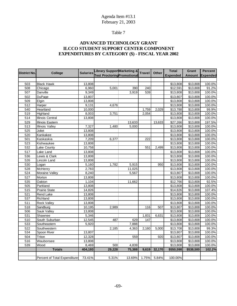# Table 7

# **ADVANCED TECHNOLOGY GRANT ILCCO STUDENT SUPPORT CENTER COMPONENT EXPENDITURES BY CATEGORY (\$) - FISCAL YEAR 2002**

| <b>District No.</b> | College                       | <b>Salaries</b> | <b>Library SupportMarketing &amp;</b> |        | <b>Travel</b> | <b>Other</b> | <b>Total</b>    | Grant         | <b>Percent</b>  |
|---------------------|-------------------------------|-----------------|---------------------------------------|--------|---------------|--------------|-----------------|---------------|-----------------|
|                     |                               |                 | <b>Test Proctoring Promotional</b>    |        |               |              | <b>Expended</b> | <b>Amount</b> | <b>Expended</b> |
|                     |                               |                 |                                       |        |               |              |                 |               |                 |
| 503                 | <b>Black Hawk</b>             | 13,808          |                                       |        |               |              | \$13,808        | \$13,808      | 100.0%          |
| 508                 | Chicago                       | 6,960           | 5,001                                 | 390    | 240           |              | \$12,591        | \$13,808      | 91.2%           |
| 507                 | Danville                      | 9,349           |                                       | 3,919  | 539           |              | \$13,808        | \$13,808      | 100.0%          |
| 502                 | DuPage                        | 13,807          |                                       |        |               |              | \$13,807        | \$13,808      | 100.0%          |
| 509                 | Elgin                         | 13,808          |                                       |        |               |              | \$13,808        | \$13,808      | 100.0%          |
| $\overline{512}$    | Harper                        | 9,131           | 4,676                                 |        |               |              | \$13,808        | \$13,808      | 100.0%          |
| 540                 | Heartland                     | 10,000          |                                       |        | 1,759         | 2,029        | \$13,788        | \$13,808      | 99.9%           |
| 519                 | Highland                      | 8,003           | 3,751                                 |        | 2,054         |              | \$13,808        | \$13,808      | 100.0%          |
| 514                 | Illinois Central              | 13,808          |                                       |        |               |              | \$13,808        | \$13,808      | 100.0%          |
| 529                 | Illinois Eastern              |                 |                                       | 13,633 |               | 13,633       | \$27,266        | \$13,808      | 197.5%          |
| 513                 | <b>Illinois Valley</b>        | 7,327           | 1,480                                 | 5,000  |               |              | \$13,808        | \$13,808      | 100.0%          |
| 525                 | Joliet                        | 13,808          |                                       |        |               |              | \$13,808        | \$13,808      | 100.0%          |
| 520                 | Kankakee                      | 13,808          |                                       |        |               |              | \$13,808        | \$13,808      | 100.0%          |
| 501                 | Kaskaskia                     | 7,209           | 6,377                                 |        | 222           |              | \$13,808        | \$13,808      | 100.0%          |
| 523                 | Kishwaukee                    | 13,808          |                                       |        |               |              | \$13,808        | \$13,808      | 100.0%          |
| $\overline{532}$    | Lake County                   | 10,758          |                                       |        | 551           | 2,499        | \$13,808        | \$13,808      | 100.0%          |
| 517                 | Lake Land                     | 13,808          |                                       |        |               |              | \$13,808        | \$13,808      | 100.0%          |
| 536                 | Lewis & Clark                 | 13,808          |                                       |        |               |              | \$13,808        | \$13,808      | 100.0%          |
| 526                 | Lincoln Land                  | 13,808          |                                       |        |               |              | \$13,808        | \$13,808      | 100.0%          |
| 530                 | Logan                         | 5,160           | 1,782                                 | 5,915  |               | 950          | \$13,808        | \$13,808      | 100.0%          |
| 528                 | McHenry                       | 2,783           |                                       | 11,025 |               |              | \$13,808        | \$13,808      | 100.0%          |
| $\overline{524}$    | Moraine Valley                | 8,240           |                                       | 5,567  |               |              | \$13,807        | \$13,808      | 100.0%          |
| 527                 | Morton                        | 13,808          |                                       |        |               |              | \$13,808        | \$13,808      | 100.0%          |
| 535                 | Oakton                        | 1,104           |                                       | 11,662 |               |              | \$12,766        | \$13,808      | 92.5%           |
| 505                 | Parkland                      | 13,808          |                                       |        |               |              | \$13,808        | \$13,808      | 100.0%          |
| 515                 | Prairie State                 | 14,826          |                                       |        |               |              | \$14,826        | \$13,808      | 107.4%          |
| 521                 | Rend Lake                     | 13,808          |                                       |        |               |              | \$13,808        | \$13,808      | 100.0%          |
| 537                 | Richland                      | 13,808          |                                       |        |               |              | \$13,808        | \$13,808      | 100.0%          |
| 511                 | Rock Valley                   | 13,808          |                                       |        |               |              | \$13,808        | \$13,808      | 100.0%          |
| 518                 | Sandburg                      | 10,195          | 2,989                                 |        | 116           | 507          | \$13,807        | \$13,808      | 100.0%          |
| 506                 | Sauk Valley                   | 13,808          |                                       |        |               |              | \$13,808        | \$13,808      | 100.0%          |
| 531                 | Shawnee                       | 5,346           |                                       |        | 1,831         | 6,631        | \$13,808        | \$13,808      | 100.0%          |
| 510                 | South Suburban                | 12,545          | 487                                   | 629    | 147           |              | \$13,808        | \$13,808      | 100.0%          |
| 533                 | Southeastern                  | 5,920           |                                       | 7,888  |               |              | \$13,808        | \$13,808      | 100.0%          |
| $\overline{522}$    | Southwestern                  |                 | 2,185                                 | 4,363  | 2,160         | 5,000        | \$13,708        | \$13,808      | 99.3%           |
| 534                 | Spoon River                   | 13,807          |                                       |        |               |              | \$13,807        | \$13,808      | 100.0%          |
| 504                 | Triton                        | 12,328          |                                       | 559    |               | 920          | \$13,807        | \$13,808      | 100.0%          |
| 516                 | Waubonsee                     | 13,808          |                                       |        |               |              | \$13,808        | \$13,808      | 100.0%          |
| 539                 | Wood                          | 8,469           | 500                                   | 4,839  |               |              | \$13,808        | \$13,808      | 100.0%          |
|                     | <b>Totals</b>                 | 404,193         | 29,228                                | 75,388 | 9,619         | 32,170       | \$550,598       | \$538,500     | 102.2%          |
|                     |                               |                 |                                       |        |               |              |                 |               |                 |
|                     | Percent of Total Expenditure: | 73.41%          | 5.31%                                 | 13.69% | 1.75%         | 5.84%        | 100.00%         |               |                 |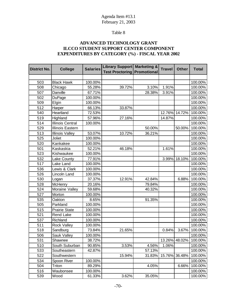### Table 8

#### **ADVANCED TECHNOLOGY GRANT ILCCO STUDENT SUPPORT CENTER COMPONENT EXPENDITURES BY CATEGORY (%) - FISCAL YEAR 2002**

| <b>District No.</b> | <b>College</b>          | <b>Salaries</b> | Library Support Marketing &<br><b>Test Proctoring Promotional</b> |        | <b>Travel</b> | <b>Other</b> | <b>Total</b> |
|---------------------|-------------------------|-----------------|-------------------------------------------------------------------|--------|---------------|--------------|--------------|
|                     |                         |                 |                                                                   |        |               |              |              |
| 503                 | <b>Black Hawk</b>       | 100.00%         |                                                                   |        |               |              | 100.00%      |
| 508                 | Chicago                 | 55.28%          | 39.72%                                                            | 3.10%  | 1.91%         |              | 100.00%      |
| 507                 | Danville                | 67.71%          |                                                                   | 28.38% | 3.91%         |              | 100.00%      |
| 502                 | <b>DuPage</b>           | 100.00%         |                                                                   |        |               |              | 100.00%      |
| 509                 | Elgin                   | 100.00%         |                                                                   |        |               |              | 100.00%      |
| 512                 | Harper                  | 66.13%          | 33.87%                                                            |        |               |              | 100.00%      |
| 540                 | Heartland               | 72.53%          |                                                                   |        | 12.76%        | 14.72%       | 100.00%      |
| 519                 | Highland                | 57.96%          | 27.16%                                                            |        | 14.87%        |              | 100.00%      |
| 514                 | <b>Illinois Central</b> | 100.00%         |                                                                   |        |               |              | 100.00%      |
| 529                 | <b>Illinois Eastern</b> |                 |                                                                   | 50.00% |               | 50.00%       | 100.00%      |
| 513                 | <b>Illinois Valley</b>  | 53.07%          | 10.72%                                                            | 36.21% |               |              | 100.00%      |
| 525                 | Joliet                  | 100.00%         |                                                                   |        |               |              | 100.00%      |
| 520                 | Kankakee                | 100.00%         |                                                                   |        |               |              | 100.00%      |
| 501                 | Kaskaskia               | 52.21%          | 46.18%                                                            |        | 1.61%         |              | 100.00%      |
| 523                 | Kishwaukee              | 100.00%         |                                                                   |        |               |              | 100.00%      |
| 532                 | Lake County             | 77.91%          |                                                                   |        | 3.99%         | 18.10%       | 100.00%      |
| 517                 | Lake Land               | 100.00%         |                                                                   |        |               |              | 100.00%      |
| 536                 | Lewis & Clark           | 100.00%         |                                                                   |        |               |              | 100.00%      |
| 526                 | Lincoln Land            | 100.00%         |                                                                   |        |               |              | 100.00%      |
| 530                 | Logan                   | 37.37%          | 12.91%                                                            | 42.84% |               | 6.88%        | 100.00%      |
| 528                 | McHenry                 | 20.16%          |                                                                   | 79.84% |               |              | 100.00%      |
| 524                 | Moraine Valley          | 59.68%          |                                                                   | 40.32% |               |              | 100.00%      |
| 527                 | Morton                  | 100.00%         |                                                                   |        |               |              | 100.00%      |
| 535                 | Oakton                  | 8.65%           |                                                                   | 91.35% |               |              | 100.00%      |
| 505                 | Parkland                | 100.00%         |                                                                   |        |               |              | 100.00%      |
| 515                 | <b>Prairie State</b>    | 100.00%         |                                                                   |        |               |              | 100.00%      |
| 521                 | <b>Rend Lake</b>        | 100.00%         |                                                                   |        |               |              | 100.00%      |
| 537                 | Richland                | 100.00%         |                                                                   |        |               |              | 100.00%      |
| 511                 | <b>Rock Valley</b>      | 100.00%         |                                                                   |        |               |              | 100.00%      |
| 518                 | Sandburg                | 73.84%          | 21.65%                                                            |        | 0.84%         | 3.67%        | 100.00%      |
| 506                 | Sauk Valley             | 100.00%         |                                                                   |        |               |              | 100.00%      |
| 531                 | Shawnee                 | 38.72%          |                                                                   |        | 13.26%        | 48.02%       | 100.00%      |
| 510                 | South Suburban          | 90.85%          | 3.53%                                                             | 4.56%  | 1.06%         |              | 100.00%      |
| 533                 | Southeastern            | 42.87%          |                                                                   | 57.13% |               |              | 100.00%      |
| 522                 | Southwestern            |                 | 15.94%                                                            | 31.83% | 15.76%        | 36.48%       | 100.00%      |
| 534                 | Spoon River             | 100.00%         |                                                                   |        |               |              | 100.00%      |
| 504                 | Triton                  | 89.29%          |                                                                   | 4.05%  |               | 6.66%        | 100.00%      |
| 516                 | Waubonsee               | 100.00%         |                                                                   |        |               |              | 100.00%      |
| 539                 | Wood                    | 61.33%          | 3.62%                                                             | 35.05% |               |              | 100.00%      |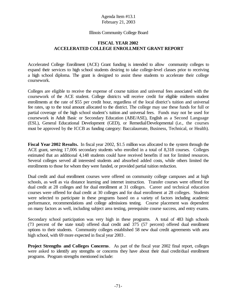#### Illinois Community College Board

#### **FISCAL YEAR 2002 ACCELERATED COLLEGE ENROLLMENT GRANT REPORT**

Accelerated College Enrollment (ACE) Grant funding is intended to allow community colleges to expand their services to high school students desiring to take college-level classes prior to receiving a high school diploma. The grant is designed to assist these students to accelerate their college coursework.

Colleges are eligible to receive the expense of course tuition and universal fees associated with the coursework of the ACE student. College districts will receive credit for eligible midterm student enrollments at the rate of \$55 per credit hour, regardless of the local district's tuition and universal fee rates, up to the total amount allocated to the district. The college may use these funds for full or partial coverage of the high school student's tuition and universal fees. Funds may not be used for coursework in Adult Basic or Secondary Education (ABE/ASE), English as a Second Language (ESL), General Educational Development (GED), or Remedial/Developmental (i.e., the courses must be approved by the ICCB as funding category: Baccalaureate, Business, Technical, or Health).

**Fiscal Year 2002 Results.** In fiscal year 2002, \$1.5 million was allocated to the system through the ACE grant, serving 17,006 secondary students who enrolled in a total of 8,318 courses. Colleges estimated that an additional 4,148 students could have received benefits if not for limited resources. Several colleges served all interested students and absorbed added costs, while others limited the enrollments to those for whom they were funded, or provided partial tuition reduction.

Dual credit and dual enrollment courses were offered on community college campuses and at high schools, as well as via distance learning and internet instruction. Transfer courses were offered for dual credit at 28 colleges and for dual enrollment at 31 colleges. Career and technical education courses were offered for dual credit at 30 colleges and for dual enrollment at 28 colleges. Students were selected to participate in these programs based on a variety of factors including academic performance, recommendations and college admissions testing. Course placement was dependent on many factors as well, including subject area testing, prerequisite course success, and entry exams.

Secondary school participation was very high in these programs. A total of 483 high schools (73 percent of the state total) offered dual credit and 375 (57 percent) offered dual enrollment options to their students. Community colleges established 58 new dual credit agreements with area high school, with 69 more expected in fiscal year 2003 .

**Project Strengths and Colleges Concerns**. As part of the fiscal year 2002 final report, colleges were asked to identify any strengths or concerns they have about their dual credit/dual enrollment programs. Program strengths mentioned include: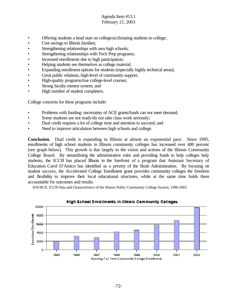- Offering students a head start on college/acclimating students to college;
- Cost savings to Illinois families;
- Strengthening relationships with area high schools;
- Strengthening relationships with Tech Prep programs;
- Increased enrollments due to high participation;
- Helping students see themselves as college material;
- Expanding enrollment options for students (especially highly technical areas);
- Great public relations, high-level of community support;
- High-quality programs/true college-level courses;
- Strong faculty mentor system; and
- High number of student completers.

College concerns for these programs include:

- Problems with funding: uncertainty of ACE grants/funds can not meet demand;
- Some students are not ready/do not take class work seriously;
- Dual credit requires a lot of college time and attention to succeed; and
- Need to improve articulation between high schools and college.

**Conclusion**. Dual credit is expanding in Illinois at almost an exponential pace. Since 1995, enrollments of high school students in Illinois community colleges has increased over 400 percent (see graph below). This growth is due largely to the vision and actions of the Illinois Community College Board. By streamlining the administrative rules and providing funds to help colleges help students, the ICCB has placed Illinois in the forefront of a program that Assistant Secretary of Education Carol D'Amico has identified as a priority of the Bush Administration. By focusing on student success, the Accelerated College Enrollment grant provides community colleges the freedom and flexibility to improve their local educational structures, while at the same time holds them accountable for outcomes and results.

SOURCE: ICCB Data and Characteristics of the Illinois Public Community College System, 1996-2003



#### High School Enrollments in Illinois Community Colleges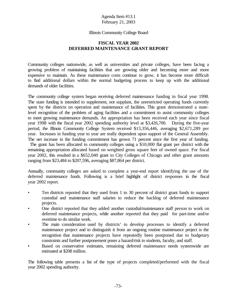#### Illinois Community College Board

#### **FISCAL YEAR 2002 DEFERRED MAINTENANCE GRANT REPORT**

Community colleges nationwide, as well as universities and private colleges, have been facing a growing problem of maintaining facilities that are growing older and becoming more and more expensive to maintain. As these maintenance costs continue to grow, it has become more difficult to find additional dollars within the normal budgeting process to keep up with the additional demands of older facilities.

The community college system began receiving deferred maintenance funding in fiscal year 1998. The state funding is intended to supplement, not supplant, the unrestricted operating funds currently spent by the districts on operation and maintenance of facilities. This grant demonstrated a statelevel recognition of the problem of aging facilities and a commitment to assist community colleges to meet growing maintenance demands. An appropriation has been received each year since fiscal year 1998 with the fiscal year 2002 spending authority level at \$3,426,700. During the five-year period, the Illinois Community College System received \$13,356,446, averaging \$2,671,289 per year. Increases in funding year to year are really dependent upon support of the General Assembly. The net increase in the funding commitment has grown 71 percent since the first year of funding.

The grant has been allocated to community colleges using a \$10,000 flat grant per district with the remaining appropriation allocated based on weighted gross square feet of owned space. For fiscal year 2002, this resulted in a \$652,040 grant to City Colleges of Chicago and other grant amounts ranging from \$23,484 to \$207,596, averaging \$87,864 per district.

Annually, community colleges are asked to complete a year-end report identifying the use of the deferred maintenance funds. Following is a brief highlight of district responses in the fiscal year 2002 report.

- Ten districts reported that they used from 1 to 30 percent of district grant funds to support custodial and maintenance staff salaries to reduce the backlog of deferred maintenance projects.
- One district reported that they added another custodial/maintenance staff person to work on deferred maintenance projects, while another reported that they paid for part-time and/or overtime to do similar work.
- The main consideration used by districts' to develop processes to identify a deferred maintenance project and to distinguish it from an ongoing routine maintenance project is the recognition that maintenance projects have repeatedly been postponed due to budgetary constraints and further postponement poses a hazard/risk to students, faculty, and staff.
- Based on conservative estimates, remaining deferred maintenance needs systemwide are estimated at \$208 million.

The following table presents a list of the type of projects completed/performed with the fiscal year 2002 spending authority.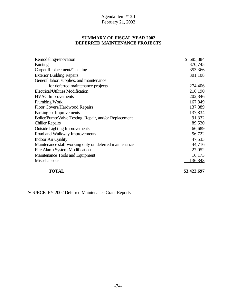#### **SUMMARY OF FISCAL YEAR 2002 DEFERRED MAINTENANCE PROJECTS**

| Remodeling/renovation                                  | 685,884<br>S. |
|--------------------------------------------------------|---------------|
| Painting                                               | 370,745       |
| Carpet Replacement/Cleaning                            | 353,366       |
| <b>Exterior Building Repairs</b>                       | 301,108       |
| General labor, supplies, and maintenance               |               |
| for deferred maintenance projects                      | 274,406       |
| Electrical/Utilities Modification                      | 216,190       |
| <b>HVAC</b> Improvements                               | 202,346       |
| Plumbing Work                                          | 167,849       |
| Floor Covers/Hardwood Repairs                          | 137,889       |
| Parking lot Improvements                               | 137,834       |
| Boiler/Pump/Valve Testing, Repair, and/or Replacement  | 91,332        |
| <b>Chiller Repairs</b>                                 | 89,520        |
| <b>Outside Lighting Improvements</b>                   | 66,689        |
| Road and Walkway Improvements                          | 56,722        |
| <b>Indoor Air Quality</b>                              | 47,533        |
| Maintenance staff working only on deferred maintenance | 44,716        |
| Fire Alarm System Modifications                        | 27,052        |
| Maintenance Tools and Equipment                        | 16,173        |
| Miscellaneous                                          | 136,343       |
|                                                        |               |

**TOTAL \$3,423,697**

SOURCE: FY 2002 Deferred Maintenance Grant Reports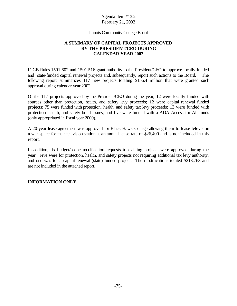Illinois Community College Board

#### **A SUMMARY OF CAPITAL PROJECTS APPROVED BY THE PRESIDENT/CEO DURING CALENDAR YEAR 2002**

ICCB Rules 1501.602 and 1501.516 grant authority to the President/CEO to approve locally funded and state-funded capital renewal projects and, subsequently, report such actions to the Board. The following report summarizes 117 new projects totaling \$156.4 million that were granted such approval during calendar year 2002.

Of the 117 projects approved by the President/CEO during the year, 12 were locally funded with sources other than protection, health, and safety levy proceeds; 12 were capital renewal funded projects; 75 were funded with protection, health, and safety tax levy proceeds; 13 were funded with protection, health, and safety bond issues; and five were funded with a ADA Access for All funds (only appropriated in fiscal year 2000).

A 20-year lease agreement was approved for Black Hawk College allowing them to lease television tower space for their television station at an annual lease rate of \$26,400 and is not included in this report.

In addition, six budget/scope modification requests to existing projects were approved during the year. Five were for protection, health, and safety projects not requiring additional tax levy authority, and one was for a capital renewal (state) funded project. The modifications totaled \$213,763 and are not included in the attached report.

#### **INFORMATION ONLY**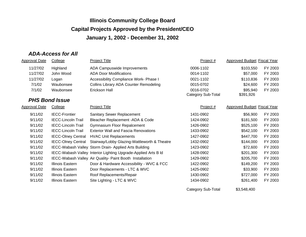### *ADA-Access for All*

| 11/27/02<br>Highland<br>ADA Campuswide Improvements<br>0006-1102<br>\$103,550<br>John Wood<br>11/27/02<br><b>ADA Door Modifications</b><br>0014-1102<br>\$57,000<br>\$110,836<br>11/27/02<br>Accessibility Compliance Work- Phase I<br>0021-1102<br>Logan<br>7/1/02<br><b>Collins Library ADA Counter Remodeling</b><br>\$24,600<br>Waubonsee<br>0015-0702<br>Erickson Hall<br>7/1/02<br>0016-0702<br>\$95,940<br>Waubonsee<br>Category Sub-Total<br>\$391,926<br><b>PHS Bond Issue</b> | <b>Approved Budget Fiscal Year</b> |
|-----------------------------------------------------------------------------------------------------------------------------------------------------------------------------------------------------------------------------------------------------------------------------------------------------------------------------------------------------------------------------------------------------------------------------------------------------------------------------------------|------------------------------------|
|                                                                                                                                                                                                                                                                                                                                                                                                                                                                                         | FY 2003                            |
|                                                                                                                                                                                                                                                                                                                                                                                                                                                                                         | FY 2003                            |
|                                                                                                                                                                                                                                                                                                                                                                                                                                                                                         | FY 2003                            |
|                                                                                                                                                                                                                                                                                                                                                                                                                                                                                         | FY 2003                            |
|                                                                                                                                                                                                                                                                                                                                                                                                                                                                                         | FY 2003                            |
|                                                                                                                                                                                                                                                                                                                                                                                                                                                                                         |                                    |
|                                                                                                                                                                                                                                                                                                                                                                                                                                                                                         |                                    |
| <b>Approval Date</b><br><b>Project Title</b><br><b>Approved Budget Fiscal Year</b><br>College<br>Project #                                                                                                                                                                                                                                                                                                                                                                              |                                    |
| 9/11/02<br><b>IECC-Frontier</b><br><b>Sanitary Sewer Replacement</b><br>1431-0902<br>\$56,900                                                                                                                                                                                                                                                                                                                                                                                           | FY 2003                            |
| 9/11/02<br>\$181,500<br><b>IECC-Lincoln Trail</b><br>Bleacher Replacement - ADA & Code<br>1424-0902                                                                                                                                                                                                                                                                                                                                                                                     | FY 2003                            |
| 9/11/02<br><b>IECC-Lincoln Trail</b><br>1426-0902<br>\$525,100<br><b>Gymnasium Floor Repalcement</b>                                                                                                                                                                                                                                                                                                                                                                                    | FY 2003                            |
| <b>Exterior Wall and Fascia Renovations</b><br>9/11/02<br><b>IECC-Lincoln Trail</b><br>1433-0902<br>\$542,100                                                                                                                                                                                                                                                                                                                                                                           | FY 2003                            |
| 9/11/02<br><b>IECC-Olney Central</b><br><b>HVAC Unit Replacements</b><br>1427-0902<br>\$447,700                                                                                                                                                                                                                                                                                                                                                                                         | FY 2003                            |
| 9/11/02<br><b>IECC-Olney Central</b><br>Stairway/Lobby Glazing-Wattleworth & Theatre<br>1432-0902<br>\$144,000                                                                                                                                                                                                                                                                                                                                                                          | FY 2003                            |
| 9/11/02<br>IECC-Wabash Valley Storm Drain- Applied Arts Building<br>\$72,600<br>1423-0902                                                                                                                                                                                                                                                                                                                                                                                               | FY 2003                            |
| 9/11/02<br>IECC-Wabash Valley Interior Lighting Upgrade-Applied Arts B Id<br>1428-0902<br>\$201,300                                                                                                                                                                                                                                                                                                                                                                                     | FY 2003                            |
| 9/11/02<br>IECC-Wabash Valley Air Quality- Paint Booth Installation<br>1429-0902<br>\$205,700                                                                                                                                                                                                                                                                                                                                                                                           | FY 2003                            |
| 9/11/02<br>Illinois Eastern<br>Door & Hardware Accessibility - WVC & FCC<br>1422-0902<br>\$149,200                                                                                                                                                                                                                                                                                                                                                                                      | FY 2003                            |
| 9/11/02<br>Illinois Eastern<br>1425-0902<br>\$33,900<br>Door Replacements - LTC & WVC                                                                                                                                                                                                                                                                                                                                                                                                   | FY 2003                            |
| 9/11/02<br>Illinois Eastern<br>Roof Replacements/Repair<br>1430-0902<br>\$727,000                                                                                                                                                                                                                                                                                                                                                                                                       | FY 2003                            |
| 9/11/02<br>Illinois Eastern<br>Site Lighting - LTC & WVC<br>1434-0902<br>\$261,400                                                                                                                                                                                                                                                                                                                                                                                                      | FY 2003                            |

Category Sub-Total \$3,548,400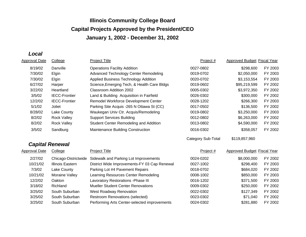*Local*

| <b>Approval Date</b> | College                 | <b>Project Title</b>                         | Project #                 | Approved Budget Fiscal Year        |         |
|----------------------|-------------------------|----------------------------------------------|---------------------------|------------------------------------|---------|
| 8/19/02              | Danville                | <b>Operations Facility Addition</b>          | 0027-0802                 | \$298,600                          | FY 2003 |
| 7/30/02              | Elgin                   | <b>Advanced Technology Center Remodeling</b> | 0019-0702                 | \$2,050,000                        | FY 2003 |
| 7/30/02              | Elgin                   | Applied Business Technology Addition         | 0020-0702                 | \$3,153,554                        | FY 2003 |
| 6/27/02              | Harper                  | Science, Emerging Tech, & Health Care Bldgs  | 0019-0602                 | \$95,219,599                       | FY 2002 |
| 3/22/02              | Heartland               | Classroom Addition 2002                      | 0005-0302                 | \$3,972,350                        | FY 2002 |
| 3/5/02               | <b>IECC-Frontier</b>    | Land & Building Acquisition in Fairfield     | 0026-0302                 | \$300,000                          | FY 2002 |
| 12/2/02              | <b>IECC-Frontier</b>    | Remodel Workforce Development Center         | 0028-1202                 | \$266,300                          | FY 2003 |
| 5/1/02               | Joliet                  | Parking Site Acquis -265 N Ottawa St (CC)    | 0017-0502                 | \$136,500                          | FY 2002 |
| 8/28/02              | Lake County             | Waukegan Univ Ctr. Acquis/Remodeling         | 0019-0802                 | \$3,250,000                        | FY 2003 |
| 8/2/02               | <b>Rock Valley</b>      | <b>Support Services Building</b>             | 0012-0802                 | \$6,263,000                        | FY 2002 |
| 8/2/02               | <b>Rock Valley</b>      | Student Center Remodeling and Addition       | 0013-0802                 | \$4,590,000                        | FY 2002 |
| 3/5/02               | Sandburg                | Maintenance Building Construction            | 0016-0302                 | \$358,057                          | FY 2002 |
|                      |                         |                                              | <b>Category Sub-Total</b> | \$119,857,960                      |         |
|                      | <b>Capital Renewal</b>  |                                              |                           |                                    |         |
| <b>Approval Date</b> | College                 | <b>Project Title</b>                         | Project #                 | <b>Approved Budget Fiscal Year</b> |         |
| 2/27/02              | Chicago-Districtwide    | Sidewalk and Parking Lot Improvements        | 0024-0202                 | \$8,000,000                        | FY 2002 |
| 10/21/02             | <b>Illinois Eastern</b> | District Wide Improvements-FY 03 Cap Renewal | 0027-1002                 | \$298,400                          | FY 2003 |
| 7/3/02               | Lake County             | Parking Lot #4 Pavement Repairs              | 0018-0702                 | \$684,020                          | FY 2002 |
| 10/21/02             | Moraine Valley          | Learning Resources Center Remodeling         | 0008-1002                 | \$850,000                          | FY 2003 |
| 12/2/02              | Oakton                  | Lavoratory Restorations - Phase III          | 0016-1202                 | \$371,500                          | FY 2003 |
| 3/18/02              | Richland                | <b>Mueller Student Center Renovations</b>    | 0009-0302                 | \$250,000                          | FY 2002 |
| 3/25/02              | South Suburban          | <b>West Roadway Renovation</b>               | 0022-0302                 | \$127,349                          | FY 2002 |
| 3/25/02              | South Suburban          | <b>Restroom Renovations (selected)</b>       | 0023-0302                 | \$71,040                           | FY 2002 |
| 3/25/02              | South Suburban          | Performing Arts Center-selected improvements | 0024-0302                 | \$281,880                          | FY 2002 |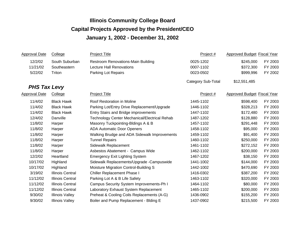| <b>Approval Date</b> | College                 | <b>Project Title</b>                          | Project #                 | <b>Approved Budget Fiscal Year</b> |         |
|----------------------|-------------------------|-----------------------------------------------|---------------------------|------------------------------------|---------|
| 12/2/02              | South Suburban          | <b>Restroom Renovations-Main Building</b>     | 0025-1202                 | \$245,000                          | FY 2003 |
| 11/21/02             | Southeastern            | <b>Lecture Hall Renovations</b>               | 0007-1102                 | \$372,300                          | FY 2003 |
| 5/22/02              | Triton                  | Parking Lot Repairs                           | 0023-0502                 | \$999,996                          | FY 2002 |
|                      |                         |                                               | <b>Category Sub-Total</b> | \$12,551,485                       |         |
| <b>PHS Tax Levy</b>  |                         |                                               |                           |                                    |         |
| <b>Approval Date</b> | College                 | <b>Project Title</b>                          | Project #                 | <b>Approved Budget Fiscal Year</b> |         |
| 11/4/02              | <b>Black Hawk</b>       | Roof Restoration in Moline                    | 1445-1102                 | \$598,400                          | FY 2003 |
| 11/4/02              | <b>Black Hawk</b>       | Parking Lot/Entry Drive Replacement/Upgrade   | 1446-1102                 | \$328,213                          | FY 2003 |
| 11/4/02              | <b>Black Hawk</b>       | Entry Stairs and Bridge improvements          | 1447-1102                 | \$172,480                          | FY 2003 |
| 12/4/02              | Danville                | Technology Center Mechanical/Electrical Rehab | 1487-1202                 | \$128,880                          | FY 2003 |
| 11/8/02              | Harper                  | Masonry Tuckpointing-Bldings A & B            | 1457-1102                 | \$291,448                          | FY 2003 |
| 11/8/02              | Harper                  | <b>ADA Automatic Door Openers</b>             | 1458-1102                 | \$95,000                           | FY 2003 |
| 11/8/02              | Harper                  | Walking Brudge and ADA Sidewalk Improvements  | 1459-1102                 | \$91,400                           | FY 2003 |
| 11/8/02              | Harper                  | <b>Tunnel Repairs</b>                         | 1460-1102                 | \$250,000                          | FY 2003 |
| 11/8/02              | Harper                  | Sidewalk Replacement                          | 1461-1102                 | \$272,152                          | FY 2003 |
| 11/8/02              | Harper                  | Asbestos Abatement - Campus Wide              | 1462-1102                 | \$200,000                          | FY 2003 |
| 12/2/02              | Heartland               | <b>Emergency Exit Lighting System</b>         | 1467-1202                 | \$38,150                           | FY 2003 |
| 10/17/02             | Highland                | Sidewalk Replacements/Upgrade -Campuswide     | 1441-1002                 | \$144,000                          | FY 2003 |
| 10/17/02             | Highland                | Moisture Migration Control-Building S         | 1442-1002                 | \$470,690                          | FY 2003 |
| 3/19/02              | <b>Illinois Central</b> | Chiller Replacement Phase I                   | 1416-0302                 | \$387,200                          | FY 2002 |
| 11/12/02             | <b>Illinois Central</b> | Parking Lot A & B Life Safety                 | 1463-1102                 | \$320,000                          | FY 2003 |
| 11/12/02             | Illinois Central        | Campus Security System Improvements-Ph I      | 1464-1102                 | \$80,000                           | FY 2003 |
| 11/12/02             | <b>Illinois Central</b> | Laboratory Exhaust System Replacement         | 1465-1102                 | \$200,000                          | FY 2003 |
| 9/30/02              | <b>Illinois Valley</b>  | Preheat & Cooling Coils Replacements (A-G)    | 1436-0902                 | \$155,200                          | FY 2003 |
| 9/30/02              | <b>Illinois Valley</b>  | Boiler and Pump Replacement - Blding E        | 1437-0902                 | \$215,500                          | FY 2003 |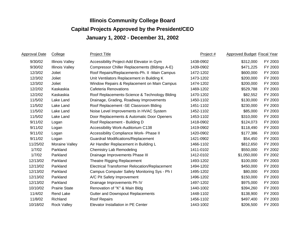| <b>Approval Date</b> | College                | <b>Project Title</b>                                 | Project # | <b>Approved Budget Fiscal Year</b> |         |
|----------------------|------------------------|------------------------------------------------------|-----------|------------------------------------|---------|
| 9/30/02              | <b>Illinois Valley</b> | Accessibility Project-Add Elevator in Gym            | 1438-0902 | \$312,000                          | FY 2003 |
| 9/30/02              | <b>Illinois Valley</b> | Compressor Chiller Replacements (Bldings A-E)        | 1439-0902 | \$471,225                          | FY 2003 |
| 12/3/02              | Joliet                 | Roof Repairs/Replacements-Ph. II -Main Campus        | 1472-1202 | \$600,000                          | FY 2003 |
| 12/3/02              | Joliet                 | Unit Ventilators Replacement in Building K           | 1473-1202 | \$200,000                          | FY 2003 |
| 12/3/02              | Joliet                 | Window Repairs & Replacement on Main Campus          | 1474-1202 | \$200,000                          | FY 2003 |
| 12/2/02              | Kaskaskia              | Cafeteria Renovations                                | 1469-1202 | \$529,788                          | FY 2003 |
| 12/2/02              | Kaskaskia              | Roof Replacements-Science & Technology Blding        | 1470-1202 | \$82,552                           | FY 2003 |
| 11/5/02              | Lake Land              | Drainage, Grading, Roadway Improvements              | 1450-1102 | \$130,000                          | FY 2003 |
| 11/5/02              | Lake Land              | Roof Replacement - SE Classroom Blding               | 1451-1102 | \$230,000                          | FY 2003 |
| 11/5/02              | Lake Land              | Noise Level Improvements in HVAC System              | 1452-1102 | \$85,000                           | FY 2003 |
| 11/5/02              | Lake Land              | Door Replacements & Automatic Door Openers           | 1453-1102 | \$310,000                          | FY 2003 |
| 9/11/02              | Logan                  | Roof Replacement - Building D                        | 1418-0902 | \$124,073                          | FY 2003 |
| 9/11/02              | Logan                  | Accessibility Work-Auditorium C138                   | 1419-0902 | \$118,490                          | FY 2003 |
| 9/11/02              | Logan                  | Accessibility Compliance Work- Phase II              | 1420-0902 | \$177,386                          | FY 2003 |
| 9/11/02              | Logan                  | <b>Guardrail Modifications/Replacement</b>           | 1421-0902 | \$54,450                           | FY 2003 |
| 11/25/02             | Moraine Valley         | Air Handler Replacement in Building L                | 1466-1102 | \$812,650                          | FY 2003 |
| 1/7/02               | Parkland               | <b>Chemistry Lab Remodeling</b>                      | 1411-0102 | \$550,000                          | FY 2002 |
| 1/7/02               | Parkland               | Drainage Improvements Phase III                      | 1412-0102 | \$1,050,000                        | FY 2002 |
| 12/13/02             | Parkland               | Theatre Rigging Replacement                          | 1493-1202 | \$100,000                          | FY 2003 |
| 12/13/02             | Parkland               | <b>Electrical Transformer Relocation/Replacement</b> | 1494-1202 | \$450,000                          | FY 2003 |
| 12/13/02             | Parkland               | Campus Computer Safety Monitoring Sys - Ph I         | 1495-1202 | \$80,000                           | FY 2003 |
| 12/13/02             | Parkland               | A/C Pit Safety Improvement                           | 1496-1202 | \$150,000                          | FY 2003 |
| 12/13/02             | Parkland               | Drainage Improvements Ph IV                          | 1497-1202 | \$975,000                          | FY 2003 |
| 10/10/02             | <b>Prairie State</b>   | Renovation of "K" & Main Bldg                        | 1440-1002 | \$394,260                          | FY 2003 |
| 11/4/02              | <b>Rend Lake</b>       | Gutter and Downspout Replacements                    | 1448-1102 | \$138,900                          | FY 2003 |
| 11/8/02              | Richland               | Roof Repairs                                         | 1456-1102 | \$497,400                          | FY 2003 |
| 10/18/02             | <b>Rock Valley</b>     | Elevator Installation in PE Center                   | 1443-1002 | \$206,500                          | FY 2003 |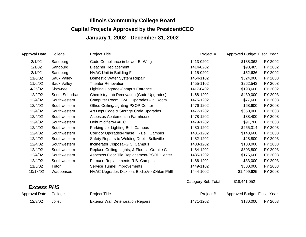| <b>Approval Date</b> | College        | <b>Project Title</b>                          | Project #                 | Approved Budget Fiscal Year |         |
|----------------------|----------------|-----------------------------------------------|---------------------------|-----------------------------|---------|
| 2/1/02               | Sandburg       | Code Compliance in Lower E- Wing              | 1413-0202                 | \$138,362                   | FY 2002 |
| 2/1/02               | Sandburg       | <b>Bleacher Replacement</b>                   | 1414-0202                 | \$90,485                    | FY 2002 |
| 2/1/02               | Sandburg       | <b>HVAC Unit in Building F</b>                | 1415-0202                 | \$52,636                    | FY 2002 |
| 11/6/02              | Sauk Valley    | Domestic Water System Repair                  | 1454-1102                 | \$324,000                   | FY 2003 |
| 11/6/02              | Sauk Valley    | <b>Theater Renovation</b>                     | 1455-1102                 | \$262,543                   | FY 2003 |
| 4/25/02              | Shawnee        | <b>Lighting Upgrade-Campus Entrance</b>       | 1417-0402                 | \$193,600                   | FY 2002 |
| 12/2/02              | South Suburban | Chemistry Lab Renovation (Code Upgrades)      | 1468-1202                 | \$430,000                   | FY 2003 |
| 12/4/02              | Southwestern   | Computer Room HVAC Upgrades - IS Room         | 1475-1202                 | \$77,600                    | FY 2003 |
| 12/4/02              | Southwestern   | Office Ceiling/Lighting-PSOP Center           | 1476-1202                 | \$68,600                    | FY 2003 |
| 12/4/02              | Southwestern   | Art Dept Code & Storage Code Upgrades         | 1477-1202                 | \$350,000                   | FY 2003 |
| 12/4/02              | Southwestern   | Asbestos Abatement in Farmhouse               | 1478-1202                 | \$38,400                    | FY 2003 |
| 12/4/02              | Southwestern   | Dehumidifiers-BACC                            | 1479-1202                 | \$91,700                    | FY 2003 |
| 12/4/02              | Southwestern   | Parking Lot Lighting-Bell. Campus             | 1480-1202                 | \$265,314                   | FY 2003 |
| 12/4/02              | Southwestern   | Corridor Upgrades-Phase III- Bell. Campus     | 1481-1202                 | \$148,600                   | FY 2003 |
| 12/4/02              | Southwestern   | Safety Repairs to Welding Dept - Belleville   | 1482-1202                 | \$28,800                    | FY 2003 |
| 12/4/02              | Southwestern   | Incinerator Disposal-G.C. Campus              | 1483-1202                 | \$100,000                   | FY 2003 |
| 12/4/02              | Southwestern   | Replace Ceiling, Lights, & Floors - Granite C | 1484-1202                 | \$303,800                   | FY 2003 |
| 12/4/02              | Southwestern   | Asbestos Floor Tile Replacement-PSOP Center   | 1485-1202                 | \$175,600                   | FY 2003 |
| 12/4/02              | Southwestern   | Furnace Replacements-R.B. Campus              | 1486-1202                 | \$33,000                    | FY 2003 |
| 11/5/02              | Triton         | <b>Service Tunnel Improvements</b>            | 1449-1102                 | \$300,000                   | FY 2003 |
| 10/18/02             | Waubonsee      | HVAC Upgrades-Dickson, Bodie, VonOhlen Phill  | 1444-1002                 | \$1,499,625                 | FY 2003 |
|                      |                |                                               | <b>Category Sub-Total</b> | \$18,441,052                |         |
| <b>Excess PHS</b>    |                |                                               |                           |                             |         |
| <b>Approval Date</b> | College        | <b>Project Title</b>                          | Project #                 | Approved Budget Fiscal Year |         |
| 12/3/02              | Joliet         | <b>Exterior Wall Deterioration Repairs</b>    | 1471-1202                 | \$180,000                   | FY 2003 |